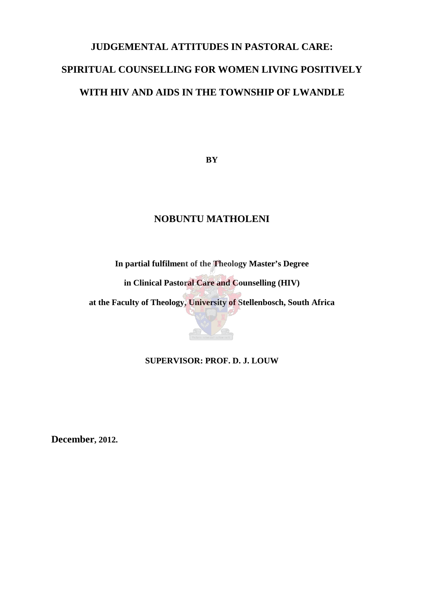# **JUDGEMENTAL ATTITUDES IN PASTORAL CARE: SPIRITUAL COUNSELLING FOR WOMEN LIVING POSITIVELY WITH HIV AND AIDS IN THE TOWNSHIP OF LWANDLE**

**BY**

# **NOBUNTU MATHOLENI**

**In partial fulfilment of the Theology Master's Degree** 

**in Clinical Pastoral Care and Counselling (HIV)**

**at the Faculty of Theology, University of Stellenbosch, South Africa** 

**SUPERVISOR: PROF. D. J. LOUW**

**December, 2012.**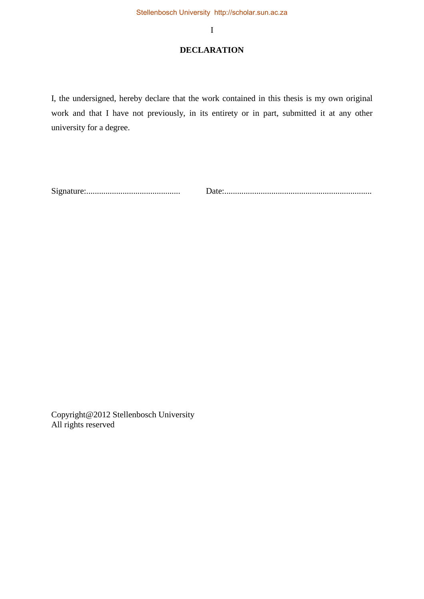## **DECLARATION**

I, the undersigned, hereby declare that the work contained in this thesis is my own original work and that I have not previously, in its entirety or in part, submitted it at any other university for a degree.

Signature:............................................ Date:.....................................................................

Copyright@2012 Stellenbosch University All rights reserved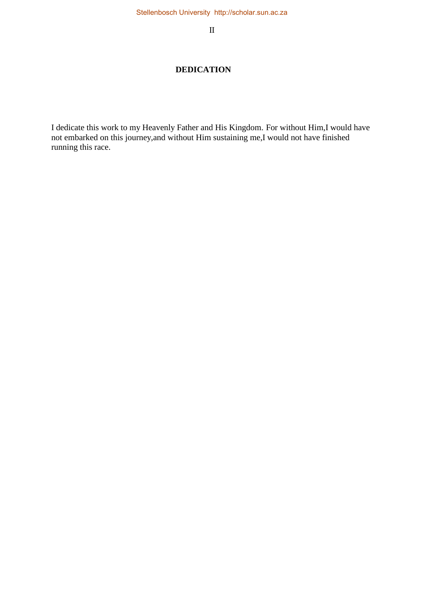II

# **DEDICATION**

I dedicate this work to my Heavenly Father and His Kingdom. For without Him,I would have not embarked on this journey,and without Him sustaining me,I would not have finished running this race.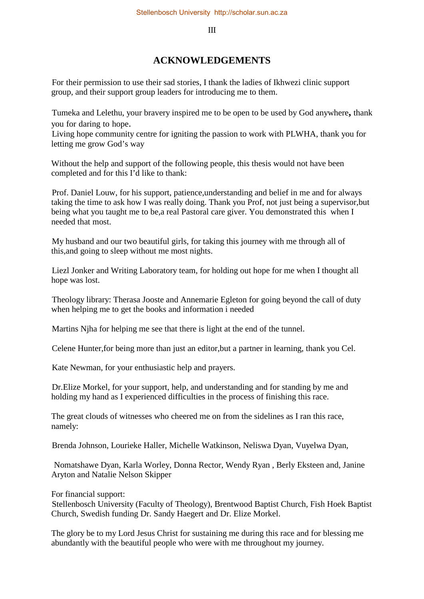III

# **ACKNOWLEDGEMENTS**

For their permission to use their sad stories, I thank the ladies of Ikhwezi clinic support group, and their support group leaders for introducing me to them.

Tumeka and Lelethu, your bravery inspired me to be open to be used by God anywhere**,** thank you for daring to hope.

Living hope community centre for igniting the passion to work with PLWHA, thank you for letting me grow God's way

Without the help and support of the following people, this thesis would not have been completed and for this I'd like to thank:

Prof. Daniel Louw, for his support, patience,understanding and belief in me and for always taking the time to ask how I was really doing. Thank you Prof, not just being a supervisor,but being what you taught me to be,a real Pastoral care giver. You demonstrated this when I needed that most.

My husband and our two beautiful girls, for taking this journey with me through all of this,and going to sleep without me most nights.

Liezl Jonker and Writing Laboratory team, for holding out hope for me when I thought all hope was lost.

Theology library: Therasa Jooste and Annemarie Egleton for going beyond the call of duty when helping me to get the books and information i needed

Martins Njha for helping me see that there is light at the end of the tunnel.

Celene Hunter,for being more than just an editor,but a partner in learning, thank you Cel.

Kate Newman, for your enthusiastic help and prayers.

Dr.Elize Morkel, for your support, help, and understanding and for standing by me and holding my hand as I experienced difficulties in the process of finishing this race.

The great clouds of witnesses who cheered me on from the sidelines as I ran this race, namely:

Brenda Johnson, Lourieke Haller, Michelle Watkinson, Neliswa Dyan, Vuyelwa Dyan,

 Nomatshawe Dyan, Karla Worley, Donna Rector, Wendy Ryan , Berly Eksteen and, Janine Aryton and Natalie Nelson Skipper

For financial support:

Stellenbosch University (Faculty of Theology), Brentwood Baptist Church, Fish Hoek Baptist Church, Swedish funding Dr. Sandy Haegert and Dr. Elize Morkel.

The glory be to my Lord Jesus Christ for sustaining me during this race and for blessing me abundantly with the beautiful people who were with me throughout my journey.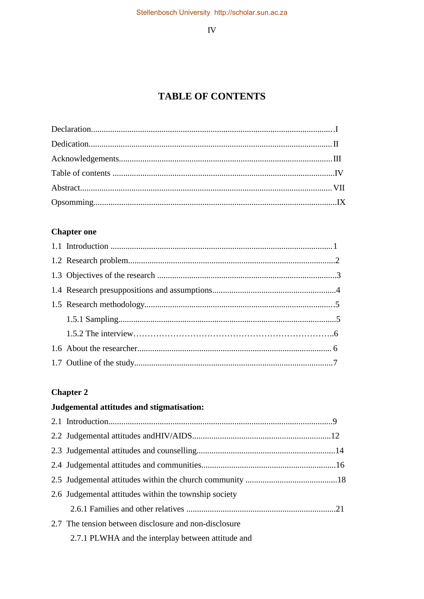${\rm IV}$ 

# **TABLE OF CONTENTS**

# **Chapter one**

# **Chapter 2**

# Judgemental attitudes and stigmatisation:

| 2.6 Judgemental attitudes within the township society |  |
|-------------------------------------------------------|--|
|                                                       |  |
| 2.7 The tension between disclosure and non-disclosure |  |
| 2.7.1 PLWHA and the interplay between attitude and    |  |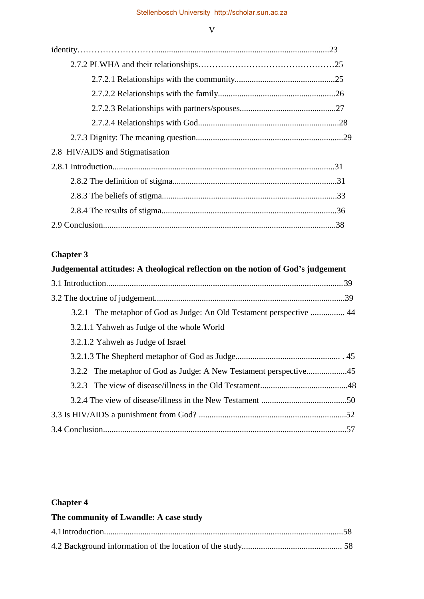# V

| 2.8 HIV/AIDS and Stigmatisation |  |
|---------------------------------|--|
|                                 |  |
|                                 |  |
|                                 |  |
|                                 |  |
|                                 |  |

# **Chapter 3**

| Judgemental attitudes: A theological reflection on the notion of God's judgement |  |
|----------------------------------------------------------------------------------|--|
|                                                                                  |  |
|                                                                                  |  |
| 3.2.1 The metaphor of God as Judge: An Old Testament perspective  44             |  |
| 3.2.1.1 Yahweh as Judge of the whole World                                       |  |
| 3.2.1.2 Yahweh as Judge of Israel                                                |  |
|                                                                                  |  |
|                                                                                  |  |
|                                                                                  |  |
|                                                                                  |  |
|                                                                                  |  |
|                                                                                  |  |

# **Chapter 4**

| The community of Lwandle: A case study |  |
|----------------------------------------|--|
|                                        |  |
|                                        |  |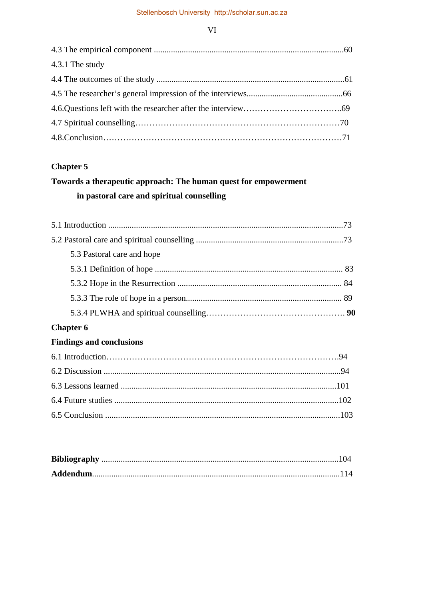VI

| 4.3.1 The study |  |
|-----------------|--|
|                 |  |
|                 |  |
|                 |  |
|                 |  |
|                 |  |

# **Chapter 5**

# **Towards a therapeutic approach: The human quest for empowerment in pastoral care and spiritual counselling**

| 5.3 Pastoral care and hope      |  |
|---------------------------------|--|
|                                 |  |
|                                 |  |
|                                 |  |
|                                 |  |
| <b>Chapter 6</b>                |  |
| <b>Findings and conclusions</b> |  |
|                                 |  |
|                                 |  |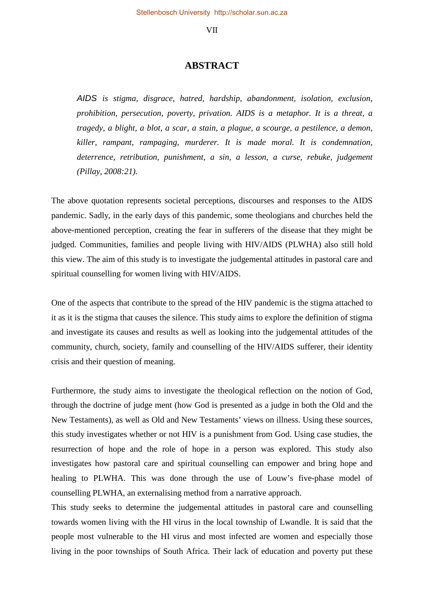#### VII

### **ABSTRACT**

*AIDS is stigma, disgrace, hatred, hardship, abandonment, isolation, exclusion, prohibition, persecution, poverty, privation. AIDS is a metaphor. It is a threat, a tragedy, a blight, a blot, a scar, a stain, a plague, a scourge, a pestilence, a demon, killer, rampant, rampaging, murderer. It is made moral. It is condemnation, deterrence, retribution, punishment, a sin, a lesson, a curse, rebuke, judgement (Pillay, 2008:21).* 

The above quotation represents societal perceptions, discourses and responses to the AIDS pandemic. Sadly, in the early days of this pandemic, some theologians and churches held the above-mentioned perception, creating the fear in sufferers of the disease that they might be judged. Communities, families and people living with HIV/AIDS (PLWHA) also still hold this view. The aim of this study is to investigate the judgemental attitudes in pastoral care and spiritual counselling for women living with HIV/AIDS.

One of the aspects that contribute to the spread of the HIV pandemic is the stigma attached to it as it is the stigma that causes the silence. This study aims to explore the definition of stigma and investigate its causes and results as well as looking into the judgemental attitudes of the community, church, society, family and counselling of the HIV/AIDS sufferer, their identity crisis and their question of meaning.

Furthermore, the study aims to investigate the theological reflection on the notion of God, through the doctrine of judge ment (how God is presented as a judge in both the Old and the New Testaments), as well as Old and New Testaments' views on illness. Using these sources, this study investigates whether or not HIV is a punishment from God. Using case studies, the resurrection of hope and the role of hope in a person was explored. This study also investigates how pastoral care and spiritual counselling can empower and bring hope and healing to PLWHA. This was done through the use of Louw's five-phase model of counselling PLWHA, an externalising method from a narrative approach.

This study seeks to determine the judgemental attitudes in pastoral care and counselling towards women living with the HI virus in the local township of Lwandle. It is said that the people most vulnerable to the HI virus and most infected are women and especially those living in the poor townships of South Africa. Their lack of education and poverty put these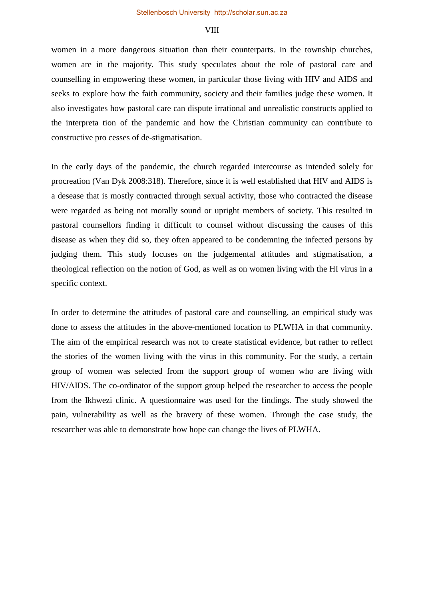### **VIII**

women in a more dangerous situation than their counterparts. In the township churches, women are in the majority. This study speculates about the role of pastoral care and counselling in empowering these women, in particular those living with HIV and AIDS and seeks to explore how the faith community, society and their families judge these women. It also investigates how pastoral care can dispute irrational and unrealistic constructs applied to the interpreta tion of the pandemic and how the Christian community can contribute to constructive pro cesses of de-stigmatisation.

In the early days of the pandemic, the church regarded intercourse as intended solely for procreation (Van Dyk 2008:318). Therefore, since it is well established that HIV and AIDS is a desease that is mostly contracted through sexual activity, those who contracted the disease were regarded as being not morally sound or upright members of society. This resulted in pastoral counsellors finding it difficult to counsel without discussing the causes of this disease as when they did so, they often appeared to be condemning the infected persons by judging them. This study focuses on the judgemental attitudes and stigmatisation, a theological reflection on the notion of God, as well as on women living with the HI virus in a specific context.

In order to determine the attitudes of pastoral care and counselling, an empirical study was done to assess the attitudes in the above-mentioned location to PLWHA in that community. The aim of the empirical research was not to create statistical evidence, but rather to reflect the stories of the women living with the virus in this community. For the study, a certain group of women was selected from the support group of women who are living with HIV/AIDS. The co-ordinator of the support group helped the researcher to access the people from the Ikhwezi clinic. A questionnaire was used for the findings. The study showed the pain, vulnerability as well as the bravery of these women. Through the case study, the researcher was able to demonstrate how hope can change the lives of PLWHA.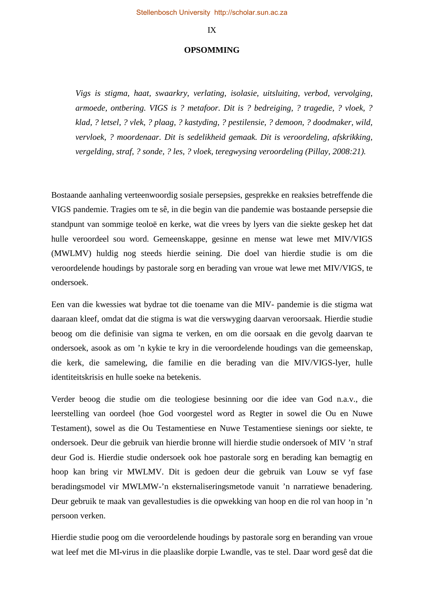#### IX

#### **OPSOMMING**

*Vigs is stigma, haat, swaarkry, verlating, isolasie, uitsluiting, verbod, vervolging, armoede, ontbering. VIGS is ? metafoor. Dit is ? bedreiging, ? tragedie, ? vloek, ? klad, ? letsel, ? vlek, ? plaag, ? kastyding, ? pestilensie, ? demoon, ? doodmaker, wild, vervloek, ? moordenaar. Dit is sedelikheid gemaak. Dit is veroordeling, afskrikking, vergelding, straf, ? sonde, ? les, ? vloek, teregwysing veroordeling (Pillay, 2008:21).* 

Bostaande aanhaling verteenwoordig sosiale persepsies, gesprekke en reaksies betreffende die VIGS pandemie. Tragies om te sê, in die begin van die pandemie was bostaande persepsie die standpunt van sommige teoloë en kerke, wat die vrees by lyers van die siekte geskep het dat hulle veroordeel sou word. Gemeenskappe, gesinne en mense wat lewe met MIV/VIGS (MWLMV) huldig nog steeds hierdie seining. Die doel van hierdie studie is om die veroordelende houdings by pastorale sorg en berading van vroue wat lewe met MIV/VIGS, te ondersoek.

Een van die kwessies wat bydrae tot die toename van die MIV- pandemie is die stigma wat daaraan kleef, omdat dat die stigma is wat die verswyging daarvan veroorsaak. Hierdie studie beoog om die definisie van sigma te verken, en om die oorsaak en die gevolg daarvan te ondersoek, asook as om 'n kykie te kry in die veroordelende houdings van die gemeenskap, die kerk, die samelewing, die familie en die berading van die MIV/VIGS-lyer, hulle identiteitskrisis en hulle soeke na betekenis.

Verder beoog die studie om die teologiese besinning oor die idee van God n.a.v., die leerstelling van oordeel (hoe God voorgestel word as Regter in sowel die Ou en Nuwe Testament), sowel as die Ou Testamentiese en Nuwe Testamentiese sienings oor siekte, te ondersoek. Deur die gebruik van hierdie bronne will hierdie studie ondersoek of MIV 'n straf deur God is. Hierdie studie ondersoek ook hoe pastorale sorg en berading kan bemagtig en hoop kan bring vir MWLMV. Dit is gedoen deur die gebruik van Louw se vyf fase beradingsmodel vir MWLMW-'n eksternaliseringsmetode vanuit 'n narratiewe benadering. Deur gebruik te maak van gevallestudies is die opwekking van hoop en die rol van hoop in 'n persoon verken.

Hierdie studie poog om die veroordelende houdings by pastorale sorg en beranding van vroue wat leef met die MI-virus in die plaaslike dorpie Lwandle, vas te stel. Daar word gesê dat die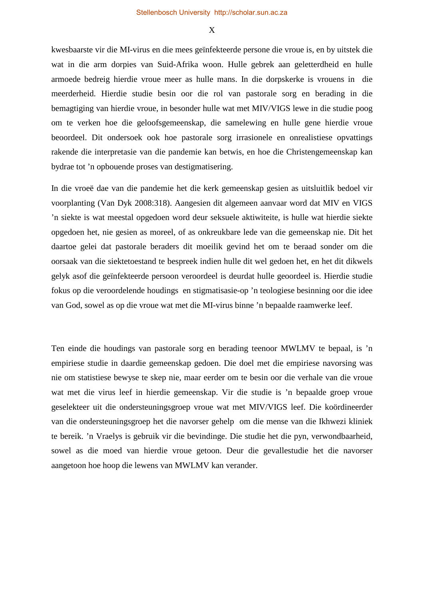X

kwesbaarste vir die MI-virus en die mees geïnfekteerde persone die vroue is, en by uitstek die wat in die arm dorpies van Suid-Afrika woon. Hulle gebrek aan geletterdheid en hulle armoede bedreig hierdie vroue meer as hulle mans. In die dorpskerke is vrouens in die meerderheid. Hierdie studie besin oor die rol van pastorale sorg en berading in die bemagtiging van hierdie vroue, in besonder hulle wat met MIV/VIGS lewe in die studie poog om te verken hoe die geloofsgemeenskap, die samelewing en hulle gene hierdie vroue beoordeel. Dit ondersoek ook hoe pastorale sorg irrasionele en onrealistiese opvattings rakende die interpretasie van die pandemie kan betwis, en hoe die Christengemeenskap kan bydrae tot 'n opbouende proses van destigmatisering.

In die vroeë dae van die pandemie het die kerk gemeenskap gesien as uitsluitlik bedoel vir voorplanting (Van Dyk 2008:318). Aangesien dit algemeen aanvaar word dat MIV en VIGS 'n siekte is wat meestal opgedoen word deur seksuele aktiwiteite, is hulle wat hierdie siekte opgedoen het, nie gesien as moreel, of as onkreukbare lede van die gemeenskap nie. Dit het daartoe gelei dat pastorale beraders dit moeilik gevind het om te beraad sonder om die oorsaak van die siektetoestand te bespreek indien hulle dit wel gedoen het, en het dit dikwels gelyk asof die geïnfekteerde persoon veroordeel is deurdat hulle geoordeel is. Hierdie studie fokus op die veroordelende houdings en stigmatisasie-op 'n teologiese besinning oor die idee van God, sowel as op die vroue wat met die MI-virus binne 'n bepaalde raamwerke leef.

Ten einde die houdings van pastorale sorg en berading teenoor MWLMV te bepaal, is 'n empiriese studie in daardie gemeenskap gedoen. Die doel met die empiriese navorsing was nie om statistiese bewyse te skep nie, maar eerder om te besin oor die verhale van die vroue wat met die virus leef in hierdie gemeenskap. Vir die studie is 'n bepaalde groep vroue geselekteer uit die ondersteuningsgroep vroue wat met MIV/VIGS leef. Die koördineerder van die ondersteuningsgroep het die navorser gehelp om die mense van die Ikhwezi kliniek te bereik. 'n Vraelys is gebruik vir die bevindinge. Die studie het die pyn, verwondbaarheid, sowel as die moed van hierdie vroue getoon. Deur die gevallestudie het die navorser aangetoon hoe hoop die lewens van MWLMV kan verander.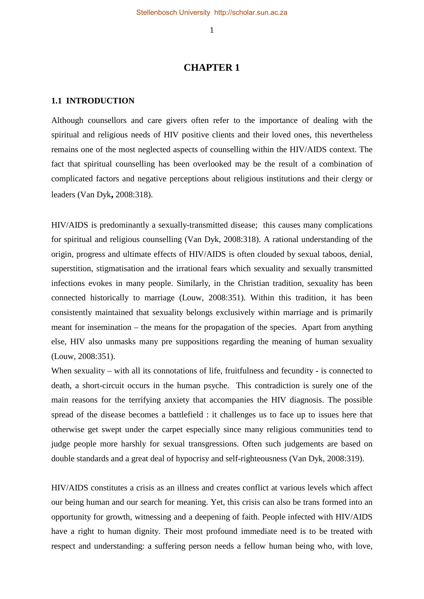# **CHAPTER 1**

### **1.1 INTRODUCTION**

Although counsellors and care givers often refer to the importance of dealing with the spiritual and religious needs of HIV positive clients and their loved ones, this nevertheless remains one of the most neglected aspects of counselling within the HIV/AIDS context. The fact that spiritual counselling has been overlooked may be the result of a combination of complicated factors and negative perceptions about religious institutions and their clergy or leaders (Van Dyk**,** 2008:318).

HIV/AIDS is predominantly a sexually-transmitted disease; this causes many complications for spiritual and religious counselling (Van Dyk, 2008:318). A rational understanding of the origin, progress and ultimate effects of HIV/AIDS is often clouded by sexual taboos, denial, superstition, stigmatisation and the irrational fears which sexuality and sexually transmitted infections evokes in many people. Similarly, in the Christian tradition, sexuality has been connected historically to marriage (Louw, 2008:351). Within this tradition, it has been consistently maintained that sexuality belongs exclusively within marriage and is primarily meant for insemination – the means for the propagation of the species. Apart from anything else, HIV also unmasks many pre suppositions regarding the meaning of human sexuality (Louw, 2008:351).

When sexuality – with all its connotations of life, fruitfulness and fecundity - is connected to death, a short-circuit occurs in the human psyche. This contradiction is surely one of the main reasons for the terrifying anxiety that accompanies the HIV diagnosis. The possible spread of the disease becomes a battlefield : it challenges us to face up to issues here that otherwise get swept under the carpet especially since many religious communities tend to judge people more harshly for sexual transgressions. Often such judgements are based on double standards and a great deal of hypocrisy and self-righteousness (Van Dyk, 2008:319).

HIV/AIDS constitutes a crisis as an illness and creates conflict at various levels which affect our being human and our search for meaning. Yet, this crisis can also be trans formed into an opportunity for growth, witnessing and a deepening of faith. People infected with HIV/AIDS have a right to human dignity. Their most profound immediate need is to be treated with respect and understanding: a suffering person needs a fellow human being who, with love,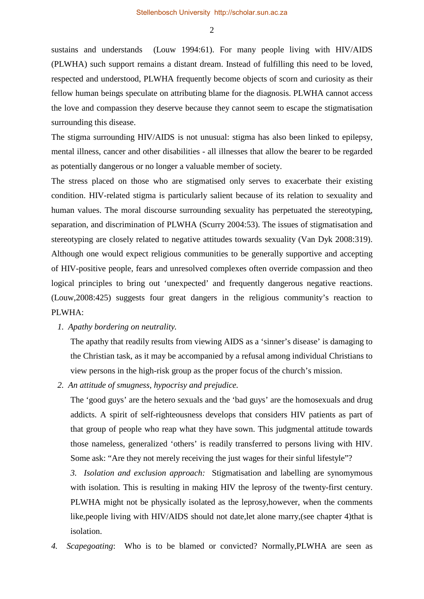sustains and understands (Louw 1994:61). For many people living with HIV/AIDS (PLWHA) such support remains a distant dream. Instead of fulfilling this need to be loved, respected and understood, PLWHA frequently become objects of scorn and curiosity as their fellow human beings speculate on attributing blame for the diagnosis. PLWHA cannot access the love and compassion they deserve because they cannot seem to escape the stigmatisation surrounding this disease.

The stigma surrounding HIV/AIDS is not unusual: stigma has also been linked to epilepsy, mental illness, cancer and other disabilities - all illnesses that allow the bearer to be regarded as potentially dangerous or no longer a valuable member of society.

The stress placed on those who are stigmatised only serves to exacerbate their existing condition. HIV-related stigma is particularly salient because of its relation to sexuality and human values. The moral discourse surrounding sexuality has perpetuated the stereotyping, separation, and discrimination of PLWHA (Scurry 2004:53). The issues of stigmatisation and stereotyping are closely related to negative attitudes towards sexuality (Van Dyk 2008:319). Although one would expect religious communities to be generally supportive and accepting of HIV-positive people, fears and unresolved complexes often override compassion and theo logical principles to bring out 'unexpected' and frequently dangerous negative reactions. (Louw,2008:425) suggests four great dangers in the religious community's reaction to PLWHA:

*1. Apathy bordering on neutrality.* 

The apathy that readily results from viewing AIDS as a 'sinner's disease' is damaging to the Christian task, as it may be accompanied by a refusal among individual Christians to view persons in the high-risk group as the proper focus of the church's mission.

*2. An attitude of smugness, hypocrisy and prejudice.* 

The 'good guys' are the hetero sexuals and the 'bad guys' are the homosexuals and drug addicts. A spirit of self-righteousness develops that considers HIV patients as part of that group of people who reap what they have sown. This judgmental attitude towards those nameless, generalized 'others' is readily transferred to persons living with HIV. Some ask: "Are they not merely receiving the just wages for their sinful lifestyle"?

*3. Isolation and exclusion approach:* Stigmatisation and labelling are synomymous with isolation. This is resulting in making HIV the leprosy of the twenty-first century. PLWHA might not be physically isolated as the leprosy,however, when the comments like, people living with HIV/AIDS should not date, let alone marry, (see chapter 4) that is isolation.

*4. Scapegoating*: Who is to be blamed or convicted? Normally,PLWHA are seen as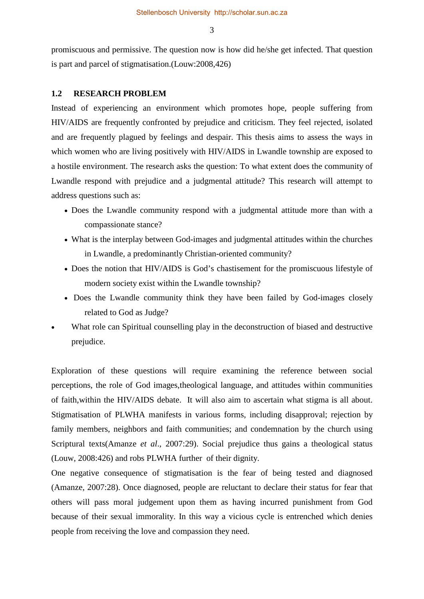promiscuous and permissive. The question now is how did he/she get infected. That question is part and parcel of stigmatisation.(Louw:2008,426)

### **1.2 RESEARCH PROBLEM**

Instead of experiencing an environment which promotes hope, people suffering from HIV/AIDS are frequently confronted by prejudice and criticism. They feel rejected, isolated and are frequently plagued by feelings and despair. This thesis aims to assess the ways in which women who are living positively with HIV/AIDS in Lwandle township are exposed to a hostile environment. The research asks the question: To what extent does the community of Lwandle respond with prejudice and a judgmental attitude? This research will attempt to address questions such as:

- Does the Lwandle community respond with a judgmental attitude more than with a compassionate stance?
- What is the interplay between God-images and judgmental attitudes within the churches in Lwandle, a predominantly Christian-oriented community?
- Does the notion that HIV/AIDS is God's chastisement for the promiscuous lifestyle of modern society exist within the Lwandle township?
- Does the Lwandle community think they have been failed by God-images closely related to God as Judge?
- What role can Spiritual counselling play in the deconstruction of biased and destructive prejudice.

Exploration of these questions will require examining the reference between social perceptions, the role of God images,theological language, and attitudes within communities of faith,within the HIV/AIDS debate. It will also aim to ascertain what stigma is all about. Stigmatisation of PLWHA manifests in various forms, including disapproval; rejection by family members, neighbors and faith communities; and condemnation by the church using Scriptural texts(Amanze *et al*., 2007:29). Social prejudice thus gains a theological status (Louw, 2008:426) and robs PLWHA further of their dignity.

One negative consequence of stigmatisation is the fear of being tested and diagnosed (Amanze, 2007:28). Once diagnosed, people are reluctant to declare their status for fear that others will pass moral judgement upon them as having incurred punishment from God because of their sexual immorality. In this way a vicious cycle is entrenched which denies people from receiving the love and compassion they need.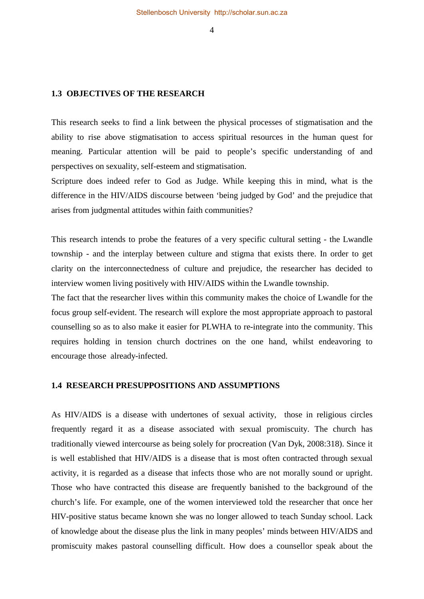#### **1.3 OBJECTIVES OF THE RESEARCH**

This research seeks to find a link between the physical processes of stigmatisation and the ability to rise above stigmatisation to access spiritual resources in the human quest for meaning. Particular attention will be paid to people's specific understanding of and perspectives on sexuality, self-esteem and stigmatisation.

Scripture does indeed refer to God as Judge. While keeping this in mind, what is the difference in the HIV/AIDS discourse between 'being judged by God' and the prejudice that arises from judgmental attitudes within faith communities?

This research intends to probe the features of a very specific cultural setting - the Lwandle township - and the interplay between culture and stigma that exists there. In order to get clarity on the interconnectedness of culture and prejudice, the researcher has decided to interview women living positively with HIV/AIDS within the Lwandle township.

The fact that the researcher lives within this community makes the choice of Lwandle for the focus group self-evident. The research will explore the most appropriate approach to pastoral counselling so as to also make it easier for PLWHA to re-integrate into the community. This requires holding in tension church doctrines on the one hand, whilst endeavoring to encourage those already-infected.

### **1.4 RESEARCH PRESUPPOSITIONS AND ASSUMPTIONS**

As HIV/AIDS is a disease with undertones of sexual activity, those in religious circles frequently regard it as a disease associated with sexual promiscuity. The church has traditionally viewed intercourse as being solely for procreation (Van Dyk, 2008:318). Since it is well established that HIV/AIDS is a disease that is most often contracted through sexual activity, it is regarded as a disease that infects those who are not morally sound or upright. Those who have contracted this disease are frequently banished to the background of the church's life. For example, one of the women interviewed told the researcher that once her HIV-positive status became known she was no longer allowed to teach Sunday school. Lack of knowledge about the disease plus the link in many peoples' minds between HIV/AIDS and promiscuity makes pastoral counselling difficult. How does a counsellor speak about the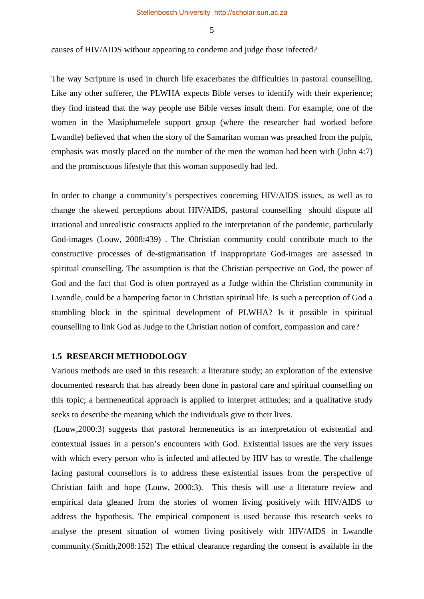causes of HIV/AIDS without appearing to condemn and judge those infected?

The way Scripture is used in church life exacerbates the difficulties in pastoral counselling. Like any other sufferer, the PLWHA expects Bible verses to identify with their experience; they find instead that the way people use Bible verses insult them. For example, one of the women in the Masiphumelele support group (where the researcher had worked before Lwandle) believed that when the story of the Samaritan woman was preached from the pulpit, emphasis was mostly placed on the number of the men the woman had been with (John 4:7) and the promiscuous lifestyle that this woman supposedly had led.

In order to change a community's perspectives concerning HIV/AIDS issues, as well as to change the skewed perceptions about HIV/AIDS, pastoral counselling should dispute all irrational and unrealistic constructs applied to the interpretation of the pandemic, particularly God-images (Louw, 2008:439) . The Christian community could contribute much to the constructive processes of de-stigmatisation if inappropriate God-images are assessed in spiritual counselling. The assumption is that the Christian perspective on God, the power of God and the fact that God is often portrayed as a Judge within the Christian community in Lwandle, could be a hampering factor in Christian spiritual life. Is such a perception of God a stumbling block in the spiritual development of PLWHA? Is it possible in spiritual counselling to link God as Judge to the Christian notion of comfort, compassion and care?

### **1.5 RESEARCH METHODOLOGY**

Various methods are used in this research: a literature study; an exploration of the extensive documented research that has already been done in pastoral care and spiritual counselling on this topic; a hermeneutical approach is applied to interpret attitudes; and a qualitative study seeks to describe the meaning which the individuals give to their lives.

(Louw,2000:3) suggests that pastoral hermeneutics is an interpretation of existential and contextual issues in a person's encounters with God. Existential issues are the very issues with which every person who is infected and affected by HIV has to wrestle. The challenge facing pastoral counsellors is to address these existential issues from the perspective of Christian faith and hope (Louw, 2000:3). This thesis will use a literature review and empirical data gleaned from the stories of women living positively with HIV/AIDS to address the hypothesis. The empirical component is used because this research seeks to analyse the present situation of women living positively with HIV/AIDS in Lwandle community.(Smith,2008:152) The ethical clearance regarding the consent is available in the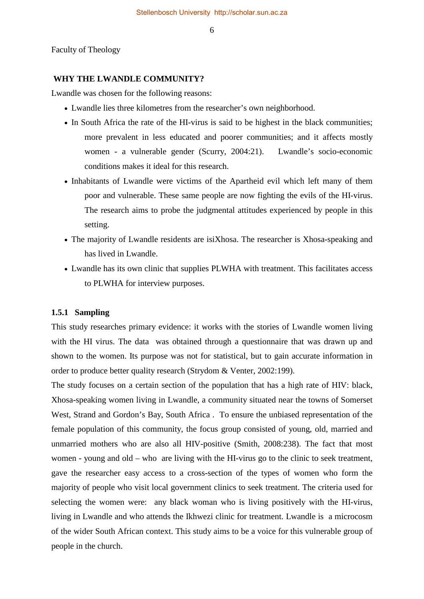Faculty of Theology

#### **WHY THE LWANDLE COMMUNITY?**

Lwandle was chosen for the following reasons:

- Lwandle lies three kilometres from the researcher's own neighborhood.
- In South Africa the rate of the HI-virus is said to be highest in the black communities; more prevalent in less educated and poorer communities; and it affects mostly women - a vulnerable gender (Scurry, 2004:21). Lwandle's socio-economic conditions makes it ideal for this research.
- Inhabitants of Lwandle were victims of the Apartheid evil which left many of them poor and vulnerable. These same people are now fighting the evils of the HI-virus. The research aims to probe the judgmental attitudes experienced by people in this setting.
- The majority of Lwandle residents are isiXhosa. The researcher is Xhosa-speaking and has lived in Lwandle.
- Lwandle has its own clinic that supplies PLWHA with treatment. This facilitates access to PLWHA for interview purposes.

### **1.5.1 Sampling**

This study researches primary evidence: it works with the stories of Lwandle women living with the HI virus. The data was obtained through a questionnaire that was drawn up and shown to the women. Its purpose was not for statistical, but to gain accurate information in order to produce better quality research (Strydom & Venter, 2002:199).

The study focuses on a certain section of the population that has a high rate of HIV: black, Xhosa-speaking women living in Lwandle, a community situated near the towns of Somerset West, Strand and Gordon's Bay, South Africa . To ensure the unbiased representation of the female population of this community, the focus group consisted of young, old, married and unmarried mothers who are also all HIV-positive (Smith, 2008:238). The fact that most women - young and old – who are living with the HI-virus go to the clinic to seek treatment, gave the researcher easy access to a cross-section of the types of women who form the majority of people who visit local government clinics to seek treatment. The criteria used for selecting the women were: any black woman who is living positively with the HI-virus, living in Lwandle and who attends the Ikhwezi clinic for treatment. Lwandle is a microcosm of the wider South African context. This study aims to be a voice for this vulnerable group of people in the church.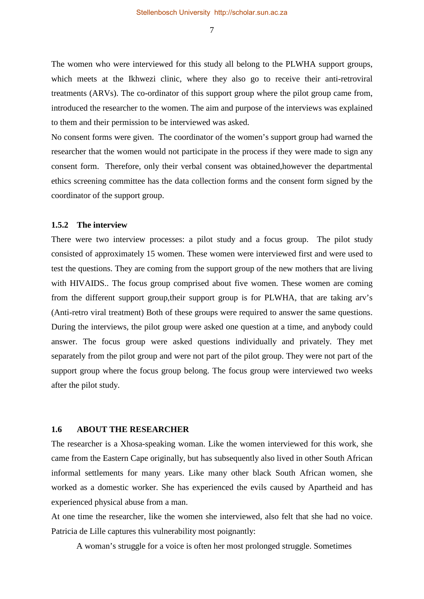The women who were interviewed for this study all belong to the PLWHA support groups, which meets at the Ikhwezi clinic, where they also go to receive their anti-retroviral treatments (ARVs). The co-ordinator of this support group where the pilot group came from, introduced the researcher to the women. The aim and purpose of the interviews was explained to them and their permission to be interviewed was asked.

No consent forms were given. The coordinator of the women's support group had warned the researcher that the women would not participate in the process if they were made to sign any consent form. Therefore, only their verbal consent was obtained,however the departmental ethics screening committee has the data collection forms and the consent form signed by the coordinator of the support group.

### **1.5.2 The interview**

There were two interview processes: a pilot study and a focus group. The pilot study consisted of approximately 15 women. These women were interviewed first and were used to test the questions. They are coming from the support group of the new mothers that are living with HIVAIDS.. The focus group comprised about five women. These women are coming from the different support group,their support group is for PLWHA, that are taking arv's (Anti-retro viral treatment) Both of these groups were required to answer the same questions. During the interviews, the pilot group were asked one question at a time, and anybody could answer. The focus group were asked questions individually and privately. They met separately from the pilot group and were not part of the pilot group. They were not part of the support group where the focus group belong. The focus group were interviewed two weeks after the pilot study.

#### **1.6 ABOUT THE RESEARCHER**

The researcher is a Xhosa-speaking woman. Like the women interviewed for this work, she came from the Eastern Cape originally, but has subsequently also lived in other South African informal settlements for many years. Like many other black South African women, she worked as a domestic worker. She has experienced the evils caused by Apartheid and has experienced physical abuse from a man.

At one time the researcher, like the women she interviewed, also felt that she had no voice. Patricia de Lille captures this vulnerability most poignantly:

A woman's struggle for a voice is often her most prolonged struggle. Sometimes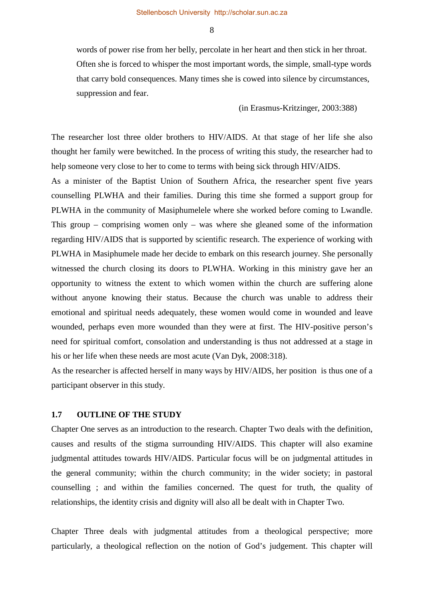words of power rise from her belly, percolate in her heart and then stick in her throat. Often she is forced to whisper the most important words, the simple, small-type words that carry bold consequences. Many times she is cowed into silence by circumstances, suppression and fear.

(in Erasmus-Kritzinger, 2003:388)

The researcher lost three older brothers to HIV/AIDS. At that stage of her life she also thought her family were bewitched. In the process of writing this study, the researcher had to help someone very close to her to come to terms with being sick through HIV/AIDS.

As a minister of the Baptist Union of Southern Africa, the researcher spent five years counselling PLWHA and their families. During this time she formed a support group for PLWHA in the community of Masiphumelele where she worked before coming to Lwandle. This group – comprising women only – was where she gleaned some of the information regarding HIV/AIDS that is supported by scientific research. The experience of working with PLWHA in Masiphumele made her decide to embark on this research journey. She personally witnessed the church closing its doors to PLWHA. Working in this ministry gave her an opportunity to witness the extent to which women within the church are suffering alone without anyone knowing their status. Because the church was unable to address their emotional and spiritual needs adequately, these women would come in wounded and leave wounded, perhaps even more wounded than they were at first. The HIV-positive person's need for spiritual comfort, consolation and understanding is thus not addressed at a stage in his or her life when these needs are most acute (Van Dyk, 2008:318).

As the researcher is affected herself in many ways by HIV/AIDS, her position is thus one of a participant observer in this study.

### **1.7 OUTLINE OF THE STUDY**

Chapter One serves as an introduction to the research. Chapter Two deals with the definition, causes and results of the stigma surrounding HIV/AIDS. This chapter will also examine judgmental attitudes towards HIV/AIDS. Particular focus will be on judgmental attitudes in the general community; within the church community; in the wider society; in pastoral counselling ; and within the families concerned. The quest for truth, the quality of relationships, the identity crisis and dignity will also all be dealt with in Chapter Two.

Chapter Three deals with judgmental attitudes from a theological perspective; more particularly, a theological reflection on the notion of God's judgement. This chapter will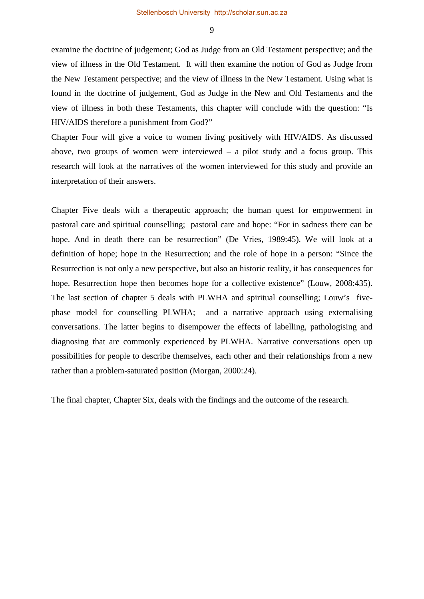examine the doctrine of judgement; God as Judge from an Old Testament perspective; and the view of illness in the Old Testament. It will then examine the notion of God as Judge from the New Testament perspective; and the view of illness in the New Testament. Using what is found in the doctrine of judgement, God as Judge in the New and Old Testaments and the view of illness in both these Testaments, this chapter will conclude with the question: "Is HIV/AIDS therefore a punishment from God?"

Chapter Four will give a voice to women living positively with HIV/AIDS. As discussed above, two groups of women were interviewed  $-$  a pilot study and a focus group. This research will look at the narratives of the women interviewed for this study and provide an interpretation of their answers.

Chapter Five deals with a therapeutic approach; the human quest for empowerment in pastoral care and spiritual counselling; pastoral care and hope: "For in sadness there can be hope. And in death there can be resurrection" (De Vries, 1989:45). We will look at a definition of hope; hope in the Resurrection; and the role of hope in a person: "Since the Resurrection is not only a new perspective, but also an historic reality, it has consequences for hope. Resurrection hope then becomes hope for a collective existence" (Louw, 2008:435). The last section of chapter 5 deals with PLWHA and spiritual counselling; Louw's fivephase model for counselling PLWHA; and a narrative approach using externalising conversations. The latter begins to disempower the effects of labelling, pathologising and diagnosing that are commonly experienced by PLWHA. Narrative conversations open up possibilities for people to describe themselves, each other and their relationships from a new rather than a problem-saturated position (Morgan, 2000:24).

The final chapter, Chapter Six, deals with the findings and the outcome of the research.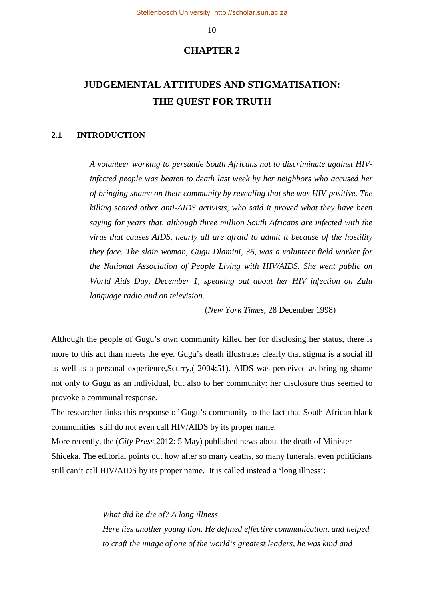### **CHAPTER 2**

# **JUDGEMENTAL ATTITUDES AND STIGMATISATION: THE QUEST FOR TRUTH**

#### **2.1 INTRODUCTION**

*A volunteer working to persuade South Africans not to discriminate against HIVinfected people was beaten to death last week by her neighbors who accused her of bringing shame on their community by revealing that she was HIV-positive. The killing scared other anti-AIDS activists, who said it proved what they have been saying for years that, although three million South Africans are infected with the virus that causes AIDS, nearly all are afraid to admit it because of the hostility they face. The slain woman, Gugu Dlamini, 36, was a volunteer field worker for the National Association of People Living with HIV/AIDS. She went public on World Aids Day, December 1, speaking out about her HIV infection on Zulu language radio and on television.* 

(*New York Times*, 28 December 1998)

Although the people of Gugu's own community killed her for disclosing her status, there is more to this act than meets the eye. Gugu's death illustrates clearly that stigma is a social ill as well as a personal experience,Scurry,( 2004:51). AIDS was perceived as bringing shame not only to Gugu as an individual, but also to her community: her disclosure thus seemed to provoke a communal response.

The researcher links this response of Gugu's community to the fact that South African black communities still do not even call HIV/AIDS by its proper name.

More recently, the (*City Press,*2012: 5 May) published news about the death of Minister Shiceka. The editorial points out how after so many deaths, so many funerals, even politicians still can't call HIV/AIDS by its proper name. It is called instead a 'long illness':

> *What did he die of? A long illness Here lies another young lion. He defined effective communication, and helped to craft the image of one of the world's greatest leaders, he was kind and*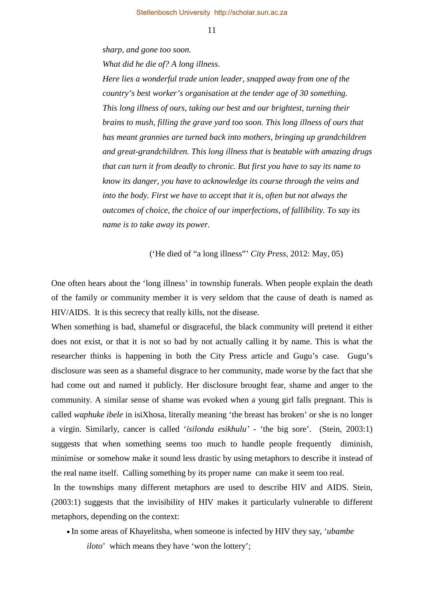*sharp, and gone too soon.* 

*What did he die of? A long illness.* 

*Here lies a wonderful trade union leader, snapped away from one of the country's best worker's organisation at the tender age of 30 something. This long illness of ours, taking our best and our brightest, turning their brains to mush, filling the grave yard too soon. This long illness of ours that has meant grannies are turned back into mothers, bringing up grandchildren and great-grandchildren. This long illness that is beatable with amazing drugs that can turn it from deadly to chronic. But first you have to say its name to know its danger, you have to acknowledge its course through the veins and into the body. First we have to accept that it is, often but not always the outcomes of choice, the choice of our imperfections, of fallibility. To say its name is to take away its power.* 

('He died of "a long illness"' *City Press,* 2012: May, 05)

One often hears about the 'long illness' in township funerals. When people explain the death of the family or community member it is very seldom that the cause of death is named as HIV/AIDS. It is this secrecy that really kills, not the disease.

When something is bad, shameful or disgraceful, the black community will pretend it either does not exist, or that it is not so bad by not actually calling it by name. This is what the researcher thinks is happening in both the City Press article and Gugu's case. Gugu's disclosure was seen as a shameful disgrace to her community, made worse by the fact that she had come out and named it publicly. Her disclosure brought fear, shame and anger to the community. A similar sense of shame was evoked when a young girl falls pregnant. This is called *waphuke ibele* in isiXhosa, literally meaning 'the breast has broken' or she is no longer a virgin. Similarly, cancer is called '*isilonda esikhulu' -* 'the big sore'. (Stein, 2003:1) suggests that when something seems too much to handle people frequently diminish, minimise or somehow make it sound less drastic by using metaphors to describe it instead of the real name itself. Calling something by its proper name can make it seem too real.

In the townships many different metaphors are used to describe HIV and AIDS. Stein, (2003:1) suggests that the invisibility of HIV makes it particularly vulnerable to different metaphors, depending on the context:

• In some areas of Khayelitsha, when someone is infected by HIV they say, '*ubambe* 

*iloto*' which means they have 'won the lottery';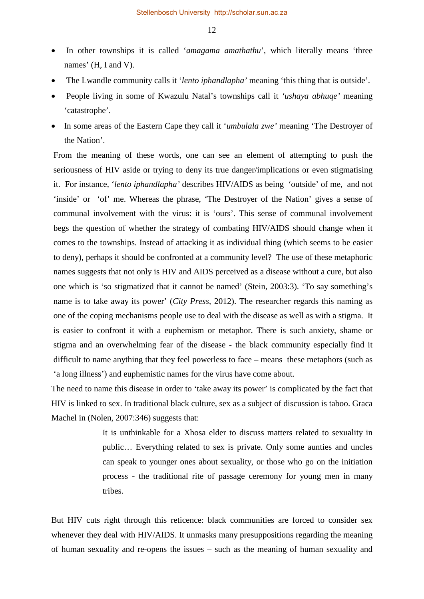- In other townships it is called '*amagama amathathu*', which literally means 'three names' (H, I and V).
- The Lwandle community calls it '*lento iphandlapha'* meaning 'this thing that is outside'.
- People living in some of Kwazulu Natal's townships call it *'ushaya abhuqe'* meaning 'catastrophe'.
- In some areas of the Eastern Cape they call it '*umbulala zwe'* meaning 'The Destroyer of the Nation'.

From the meaning of these words, one can see an element of attempting to push the seriousness of HIV aside or trying to deny its true danger/implications or even stigmatising it. For instance, '*lento iphandlapha'* describes HIV/AIDS as being 'outside' of me, and not 'inside' or 'of' me. Whereas the phrase, 'The Destroyer of the Nation' gives a sense of communal involvement with the virus: it is 'ours'. This sense of communal involvement begs the question of whether the strategy of combating HIV/AIDS should change when it comes to the townships. Instead of attacking it as individual thing (which seems to be easier to deny), perhaps it should be confronted at a community level? The use of these metaphoric names suggests that not only is HIV and AIDS perceived as a disease without a cure, but also one which is 'so stigmatized that it cannot be named' (Stein, 2003:3). 'To say something's name is to take away its power' (*City Press*, 2012). The researcher regards this naming as one of the coping mechanisms people use to deal with the disease as well as with a stigma. It is easier to confront it with a euphemism or metaphor. There is such anxiety, shame or stigma and an overwhelming fear of the disease - the black community especially find it difficult to name anything that they feel powerless to face – means these metaphors (such as 'a long illness') and euphemistic names for the virus have come about.

The need to name this disease in order to 'take away its power' is complicated by the fact that HIV is linked to sex. In traditional black culture, sex as a subject of discussion is taboo. Graca Machel in (Nolen, 2007:346) suggests that:

> It is unthinkable for a Xhosa elder to discuss matters related to sexuality in public… Everything related to sex is private. Only some aunties and uncles can speak to younger ones about sexuality, or those who go on the initiation process - the traditional rite of passage ceremony for young men in many tribes.

But HIV cuts right through this reticence: black communities are forced to consider sex whenever they deal with HIV/AIDS. It unmasks many presuppositions regarding the meaning of human sexuality and re-opens the issues – such as the meaning of human sexuality and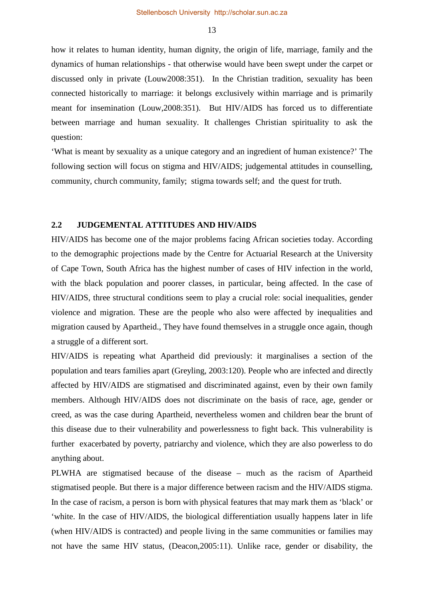how it relates to human identity, human dignity, the origin of life, marriage, family and the dynamics of human relationships - that otherwise would have been swept under the carpet or discussed only in private (Louw2008:351). In the Christian tradition, sexuality has been connected historically to marriage: it belongs exclusively within marriage and is primarily meant for insemination (Louw,2008:351). But HIV/AIDS has forced us to differentiate between marriage and human sexuality. It challenges Christian spirituality to ask the question:

'What is meant by sexuality as a unique category and an ingredient of human existence?' The following section will focus on stigma and HIV/AIDS; judgemental attitudes in counselling, community, church community, family; stigma towards self; and the quest for truth.

### **2.2 JUDGEMENTAL ATTITUDES AND HIV/AIDS**

HIV/AIDS has become one of the major problems facing African societies today. According to the demographic projections made by the Centre for Actuarial Research at the University of Cape Town, South Africa has the highest number of cases of HIV infection in the world, with the black population and poorer classes, in particular, being affected. In the case of HIV/AIDS, three structural conditions seem to play a crucial role: social inequalities, gender violence and migration. These are the people who also were affected by inequalities and migration caused by Apartheid., They have found themselves in a struggle once again, though a struggle of a different sort.

HIV/AIDS is repeating what Apartheid did previously: it marginalises a section of the population and tears families apart (Greyling, 2003:120). People who are infected and directly affected by HIV/AIDS are stigmatised and discriminated against, even by their own family members. Although HIV/AIDS does not discriminate on the basis of race, age, gender or creed, as was the case during Apartheid, nevertheless women and children bear the brunt of this disease due to their vulnerability and powerlessness to fight back. This vulnerability is further exacerbated by poverty, patriarchy and violence, which they are also powerless to do anything about.

PLWHA are stigmatised because of the disease – much as the racism of Apartheid stigmatised people. But there is a major difference between racism and the HIV/AIDS stigma. In the case of racism, a person is born with physical features that may mark them as 'black' or 'white. In the case of HIV/AIDS, the biological differentiation usually happens later in life (when HIV/AIDS is contracted) and people living in the same communities or families may not have the same HIV status, (Deacon,2005:11). Unlike race, gender or disability, the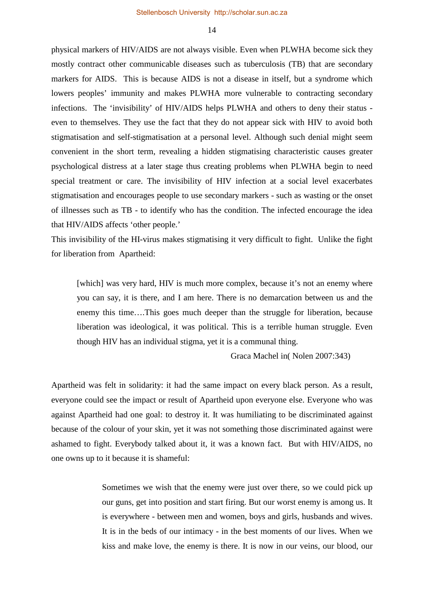physical markers of HIV/AIDS are not always visible. Even when PLWHA become sick they mostly contract other communicable diseases such as tuberculosis (TB) that are secondary markers for AIDS. This is because AIDS is not a disease in itself, but a syndrome which lowers peoples' immunity and makes PLWHA more vulnerable to contracting secondary infections. The 'invisibility' of HIV/AIDS helps PLWHA and others to deny their status even to themselves. They use the fact that they do not appear sick with HIV to avoid both stigmatisation and self-stigmatisation at a personal level. Although such denial might seem convenient in the short term, revealing a hidden stigmatising characteristic causes greater psychological distress at a later stage thus creating problems when PLWHA begin to need special treatment or care. The invisibility of HIV infection at a social level exacerbates stigmatisation and encourages people to use secondary markers - such as wasting or the onset of illnesses such as TB - to identify who has the condition. The infected encourage the idea that HIV/AIDS affects 'other people.'

This invisibility of the HI-virus makes stigmatising it very difficult to fight. Unlike the fight for liberation from Apartheid:

[which] was very hard, HIV is much more complex, because it's not an enemy where you can say, it is there, and I am here. There is no demarcation between us and the enemy this time….This goes much deeper than the struggle for liberation, because liberation was ideological, it was political. This is a terrible human struggle. Even though HIV has an individual stigma, yet it is a communal thing.

Graca Machel in( Nolen 2007:343)

Apartheid was felt in solidarity: it had the same impact on every black person. As a result, everyone could see the impact or result of Apartheid upon everyone else. Everyone who was against Apartheid had one goal: to destroy it. It was humiliating to be discriminated against because of the colour of your skin, yet it was not something those discriminated against were ashamed to fight. Everybody talked about it, it was a known fact. But with HIV/AIDS, no one owns up to it because it is shameful:

> Sometimes we wish that the enemy were just over there, so we could pick up our guns, get into position and start firing. But our worst enemy is among us. It is everywhere - between men and women, boys and girls, husbands and wives. It is in the beds of our intimacy - in the best moments of our lives. When we kiss and make love, the enemy is there. It is now in our veins, our blood, our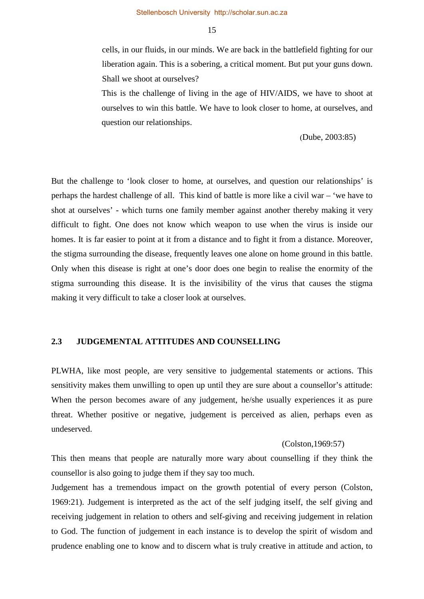cells, in our fluids, in our minds. We are back in the battlefield fighting for our liberation again. This is a sobering, a critical moment. But put your guns down. Shall we shoot at ourselves?

This is the challenge of living in the age of HIV/AIDS, we have to shoot at ourselves to win this battle. We have to look closer to home, at ourselves, and question our relationships.

(Dube, 2003:85)

But the challenge to 'look closer to home, at ourselves, and question our relationships' is perhaps the hardest challenge of all. This kind of battle is more like a civil war – 'we have to shot at ourselves' - which turns one family member against another thereby making it very difficult to fight. One does not know which weapon to use when the virus is inside our homes. It is far easier to point at it from a distance and to fight it from a distance. Moreover, the stigma surrounding the disease, frequently leaves one alone on home ground in this battle. Only when this disease is right at one's door does one begin to realise the enormity of the stigma surrounding this disease. It is the invisibility of the virus that causes the stigma making it very difficult to take a closer look at ourselves.

### **2.3 JUDGEMENTAL ATTITUDES AND COUNSELLING**

PLWHA, like most people, are very sensitive to judgemental statements or actions. This sensitivity makes them unwilling to open up until they are sure about a counsellor's attitude: When the person becomes aware of any judgement, he/she usually experiences it as pure threat. Whether positive or negative, judgement is perceived as alien, perhaps even as undeserved.

#### (Colston,1969:57)

This then means that people are naturally more wary about counselling if they think the counsellor is also going to judge them if they say too much.

Judgement has a tremendous impact on the growth potential of every person (Colston, 1969:21). Judgement is interpreted as the act of the self judging itself, the self giving and receiving judgement in relation to others and self-giving and receiving judgement in relation to God. The function of judgement in each instance is to develop the spirit of wisdom and prudence enabling one to know and to discern what is truly creative in attitude and action, to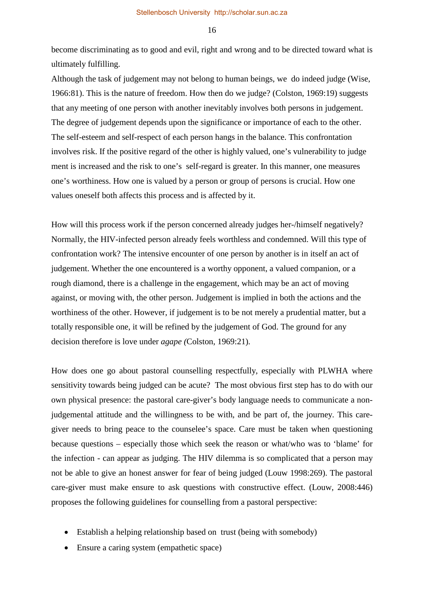become discriminating as to good and evil, right and wrong and to be directed toward what is ultimately fulfilling.

Although the task of judgement may not belong to human beings, we do indeed judge (Wise, 1966:81). This is the nature of freedom. How then do we judge? (Colston, 1969:19) suggests that any meeting of one person with another inevitably involves both persons in judgement. The degree of judgement depends upon the significance or importance of each to the other. The self-esteem and self-respect of each person hangs in the balance. This confrontation involves risk. If the positive regard of the other is highly valued, one's vulnerability to judge ment is increased and the risk to one's self-regard is greater. In this manner, one measures one's worthiness. How one is valued by a person or group of persons is crucial. How one values oneself both affects this process and is affected by it.

How will this process work if the person concerned already judges her-/himself negatively? Normally, the HIV-infected person already feels worthless and condemned. Will this type of confrontation work? The intensive encounter of one person by another is in itself an act of judgement. Whether the one encountered is a worthy opponent, a valued companion, or a rough diamond, there is a challenge in the engagement, which may be an act of moving against, or moving with, the other person. Judgement is implied in both the actions and the worthiness of the other. However, if judgement is to be not merely a prudential matter, but a totally responsible one, it will be refined by the judgement of God. The ground for any decision therefore is love under *agape (*Colston, 1969:21)*.* 

How does one go about pastoral counselling respectfully, especially with PLWHA where sensitivity towards being judged can be acute? The most obvious first step has to do with our own physical presence: the pastoral care-giver's body language needs to communicate a nonjudgemental attitude and the willingness to be with, and be part of, the journey. This caregiver needs to bring peace to the counselee's space. Care must be taken when questioning because questions – especially those which seek the reason or what/who was to 'blame' for the infection - can appear as judging. The HIV dilemma is so complicated that a person may not be able to give an honest answer for fear of being judged (Louw 1998:269). The pastoral care-giver must make ensure to ask questions with constructive effect. (Louw, 2008:446) proposes the following guidelines for counselling from a pastoral perspective:

- Establish a helping relationship based on trust (being with somebody)
- Ensure a caring system (empathetic space)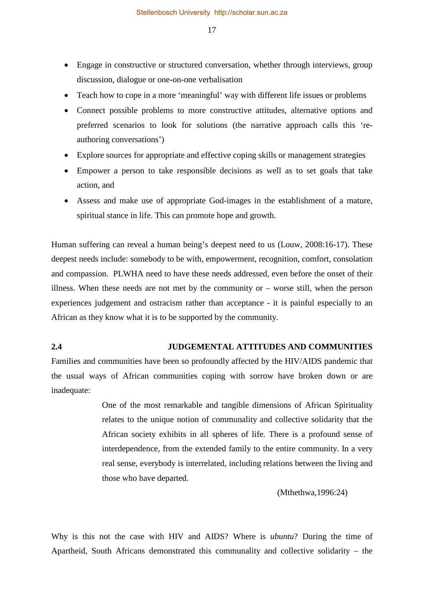- Engage in constructive or structured conversation, whether through interviews, group discussion, dialogue or one-on-one verbalisation
- Teach how to cope in a more 'meaningful' way with different life issues or problems
- Connect possible problems to more constructive attitudes, alternative options and preferred scenarios to look for solutions (the narrative approach calls this 'reauthoring conversations')
- Explore sources for appropriate and effective coping skills or management strategies
- Empower a person to take responsible decisions as well as to set goals that take action, and
- Assess and make use of appropriate God-images in the establishment of a mature, spiritual stance in life. This can promote hope and growth.

Human suffering can reveal a human being's deepest need to us (Louw, 2008:16-17). These deepest needs include: somebody to be with, empowerment, recognition, comfort, consolation and compassion. PLWHA need to have these needs addressed, even before the onset of their illness. When these needs are not met by the community or  $-$  worse still, when the person experiences judgement and ostracism rather than acceptance - it is painful especially to an African as they know what it is to be supported by the community.

# **2.4 JUDGEMENTAL ATTITUDES AND COMMUNITIES**

Families and communities have been so profoundly affected by the HIV/AIDS pandemic that the usual ways of African communities coping with sorrow have broken down or are inadequate:

> One of the most remarkable and tangible dimensions of African Spirituality relates to the unique notion of communality and collective solidarity that the African society exhibits in all spheres of life. There is a profound sense of interdependence, from the extended family to the entire community. In a very real sense, everybody is interrelated, including relations between the living and those who have departed.

> > (Mthethwa,1996:24)

Why is this not the case with HIV and AIDS? Where is *ubuntu*? During the time of Apartheid, South Africans demonstrated this communality and collective solidarity – the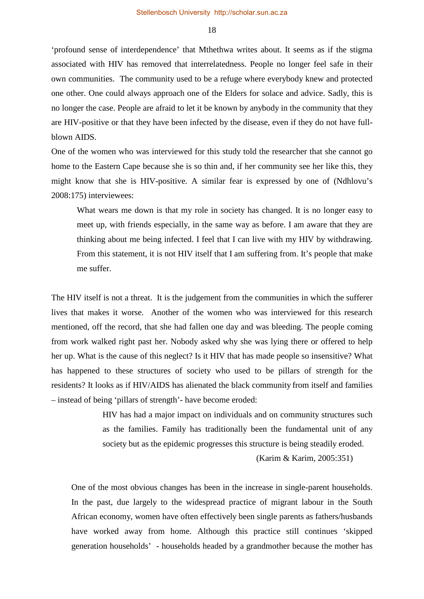'profound sense of interdependence' that Mthethwa writes about. It seems as if the stigma associated with HIV has removed that interrelatedness. People no longer feel safe in their own communities. The community used to be a refuge where everybody knew and protected one other. One could always approach one of the Elders for solace and advice. Sadly, this is no longer the case. People are afraid to let it be known by anybody in the community that they are HIV-positive or that they have been infected by the disease, even if they do not have fullblown AIDS.

One of the women who was interviewed for this study told the researcher that she cannot go home to the Eastern Cape because she is so thin and, if her community see her like this, they might know that she is HIV-positive. A similar fear is expressed by one of (Ndhlovu's 2008:175) interviewees:

What wears me down is that my role in society has changed. It is no longer easy to meet up, with friends especially, in the same way as before. I am aware that they are thinking about me being infected. I feel that I can live with my HIV by withdrawing. From this statement, it is not HIV itself that I am suffering from. It's people that make me suffer.

The HIV itself is not a threat. It is the judgement from the communities in which the sufferer lives that makes it worse. Another of the women who was interviewed for this research mentioned, off the record, that she had fallen one day and was bleeding. The people coming from work walked right past her. Nobody asked why she was lying there or offered to help her up. What is the cause of this neglect? Is it HIV that has made people so insensitive? What has happened to these structures of society who used to be pillars of strength for the residents? It looks as if HIV/AIDS has alienated the black community from itself and families – instead of being 'pillars of strength'- have become eroded:

> HIV has had a major impact on individuals and on community structures such as the families. Family has traditionally been the fundamental unit of any society but as the epidemic progresses this structure is being steadily eroded.

> > (Karim & Karim, 2005:351)

One of the most obvious changes has been in the increase in single-parent households. In the past, due largely to the widespread practice of migrant labour in the South African economy, women have often effectively been single parents as fathers/husbands have worked away from home. Although this practice still continues 'skipped generation households' - households headed by a grandmother because the mother has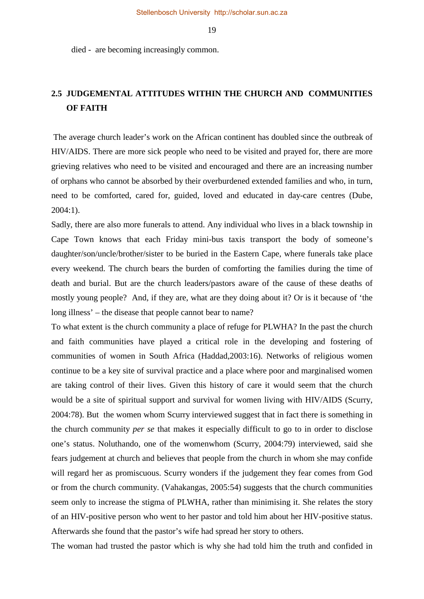died - are becoming increasingly common.

# **2.5 JUDGEMENTAL ATTITUDES WITHIN THE CHURCH AND COMMUNITIES OF FAITH**

The average church leader's work on the African continent has doubled since the outbreak of HIV/AIDS. There are more sick people who need to be visited and prayed for, there are more grieving relatives who need to be visited and encouraged and there are an increasing number of orphans who cannot be absorbed by their overburdened extended families and who, in turn, need to be comforted, cared for, guided, loved and educated in day-care centres (Dube, 2004:1).

Sadly, there are also more funerals to attend. Any individual who lives in a black township in Cape Town knows that each Friday mini-bus taxis transport the body of someone's daughter/son/uncle/brother/sister to be buried in the Eastern Cape, where funerals take place every weekend. The church bears the burden of comforting the families during the time of death and burial. But are the church leaders/pastors aware of the cause of these deaths of mostly young people? And, if they are, what are they doing about it? Or is it because of 'the long illness' – the disease that people cannot bear to name?

To what extent is the church community a place of refuge for PLWHA? In the past the church and faith communities have played a critical role in the developing and fostering of communities of women in South Africa (Haddad,2003:16). Networks of religious women continue to be a key site of survival practice and a place where poor and marginalised women are taking control of their lives. Given this history of care it would seem that the church would be a site of spiritual support and survival for women living with HIV/AIDS (Scurry, 2004:78). But the women whom Scurry interviewed suggest that in fact there is something in the church community *per se* that makes it especially difficult to go to in order to disclose one's status. Noluthando, one of the womenwhom (Scurry, 2004:79) interviewed, said she fears judgement at church and believes that people from the church in whom she may confide will regard her as promiscuous. Scurry wonders if the judgement they fear comes from God or from the church community. (Vahakangas, 2005:54) suggests that the church communities seem only to increase the stigma of PLWHA, rather than minimising it. She relates the story of an HIV-positive person who went to her pastor and told him about her HIV-positive status. Afterwards she found that the pastor's wife had spread her story to others.

The woman had trusted the pastor which is why she had told him the truth and confided in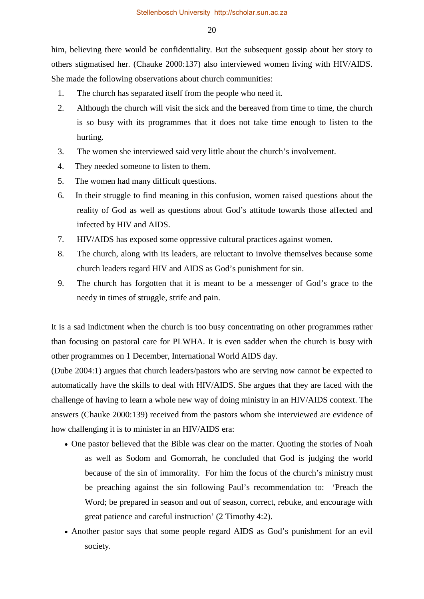him, believing there would be confidentiality. But the subsequent gossip about her story to others stigmatised her. (Chauke 2000:137) also interviewed women living with HIV/AIDS. She made the following observations about church communities:

- 1. The church has separated itself from the people who need it.
- 2. Although the church will visit the sick and the bereaved from time to time, the church is so busy with its programmes that it does not take time enough to listen to the hurting.
- 3. The women she interviewed said very little about the church's involvement.
- 4. They needed someone to listen to them.
- 5. The women had many difficult questions.
- 6. In their struggle to find meaning in this confusion, women raised questions about the reality of God as well as questions about God's attitude towards those affected and infected by HIV and AIDS.
- 7. HIV/AIDS has exposed some oppressive cultural practices against women.
- 8. The church, along with its leaders, are reluctant to involve themselves because some church leaders regard HIV and AIDS as God's punishment for sin.
- 9. The church has forgotten that it is meant to be a messenger of God's grace to the needy in times of struggle, strife and pain.

It is a sad indictment when the church is too busy concentrating on other programmes rather than focusing on pastoral care for PLWHA. It is even sadder when the church is busy with other programmes on 1 December, International World AIDS day.

(Dube 2004:1) argues that church leaders/pastors who are serving now cannot be expected to automatically have the skills to deal with HIV/AIDS. She argues that they are faced with the challenge of having to learn a whole new way of doing ministry in an HIV/AIDS context. The answers (Chauke 2000:139) received from the pastors whom she interviewed are evidence of how challenging it is to minister in an HIV/AIDS era:

- One pastor believed that the Bible was clear on the matter. Quoting the stories of Noah as well as Sodom and Gomorrah, he concluded that God is judging the world because of the sin of immorality. For him the focus of the church's ministry must be preaching against the sin following Paul's recommendation to: 'Preach the Word; be prepared in season and out of season, correct, rebuke, and encourage with great patience and careful instruction' (2 Timothy 4:2).
- Another pastor says that some people regard AIDS as God's punishment for an evil society.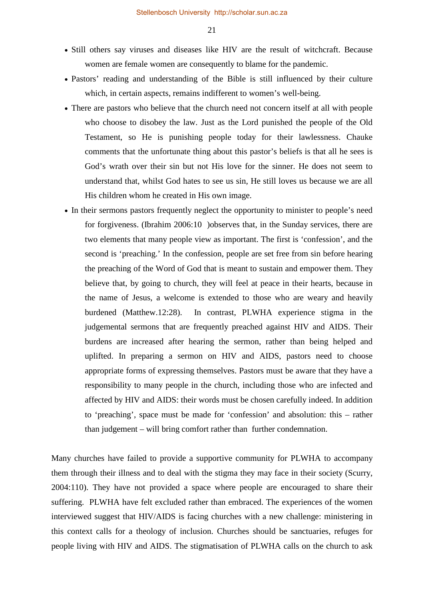- Still others say viruses and diseases like HIV are the result of witchcraft. Because women are female women are consequently to blame for the pandemic.
- Pastors' reading and understanding of the Bible is still influenced by their culture which, in certain aspects, remains indifferent to women's well-being.
- There are pastors who believe that the church need not concern itself at all with people who choose to disobey the law. Just as the Lord punished the people of the Old Testament, so He is punishing people today for their lawlessness. Chauke comments that the unfortunate thing about this pastor's beliefs is that all he sees is God's wrath over their sin but not His love for the sinner. He does not seem to understand that, whilst God hates to see us sin, He still loves us because we are all His children whom he created in His own image.
- In their sermons pastors frequently neglect the opportunity to minister to people's need for forgiveness. (Ibrahim 2006:10 )observes that, in the Sunday services, there are two elements that many people view as important. The first is 'confession', and the second is 'preaching.' In the confession, people are set free from sin before hearing the preaching of the Word of God that is meant to sustain and empower them. They believe that, by going to church, they will feel at peace in their hearts, because in the name of Jesus, a welcome is extended to those who are weary and heavily burdened (Matthew.12:28). In contrast, PLWHA experience stigma in the judgemental sermons that are frequently preached against HIV and AIDS. Their burdens are increased after hearing the sermon, rather than being helped and uplifted. In preparing a sermon on HIV and AIDS, pastors need to choose appropriate forms of expressing themselves. Pastors must be aware that they have a responsibility to many people in the church, including those who are infected and affected by HIV and AIDS: their words must be chosen carefully indeed. In addition to 'preaching', space must be made for 'confession' and absolution: this – rather than judgement – will bring comfort rather than further condemnation.

Many churches have failed to provide a supportive community for PLWHA to accompany them through their illness and to deal with the stigma they may face in their society (Scurry, 2004:110). They have not provided a space where people are encouraged to share their suffering. PLWHA have felt excluded rather than embraced. The experiences of the women interviewed suggest that HIV/AIDS is facing churches with a new challenge: ministering in this context calls for a theology of inclusion. Churches should be sanctuaries, refuges for people living with HIV and AIDS. The stigmatisation of PLWHA calls on the church to ask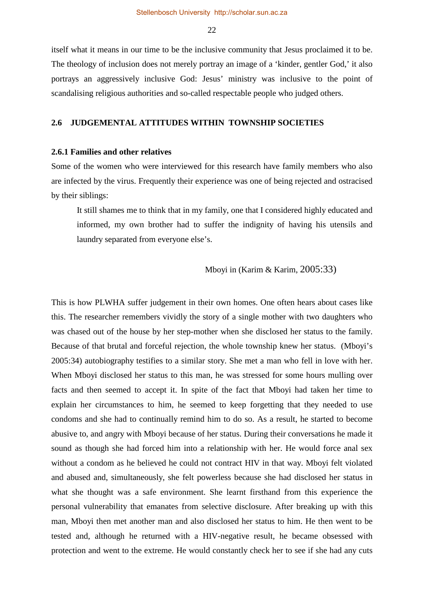itself what it means in our time to be the inclusive community that Jesus proclaimed it to be. The theology of inclusion does not merely portray an image of a 'kinder, gentler God,' it also portrays an aggressively inclusive God: Jesus' ministry was inclusive to the point of scandalising religious authorities and so-called respectable people who judged others.

### **2.6 JUDGEMENTAL ATTITUDES WITHIN TOWNSHIP SOCIETIES**

### **2.6.1 Families and other relatives**

Some of the women who were interviewed for this research have family members who also are infected by the virus. Frequently their experience was one of being rejected and ostracised by their siblings:

It still shames me to think that in my family, one that I considered highly educated and informed, my own brother had to suffer the indignity of having his utensils and laundry separated from everyone else's.

Mboyi in (Karim & Karim, 2005:33)

This is how PLWHA suffer judgement in their own homes. One often hears about cases like this. The researcher remembers vividly the story of a single mother with two daughters who was chased out of the house by her step-mother when she disclosed her status to the family. Because of that brutal and forceful rejection, the whole township knew her status. (Mboyi's 2005:34) autobiography testifies to a similar story. She met a man who fell in love with her. When Mboyi disclosed her status to this man, he was stressed for some hours mulling over facts and then seemed to accept it. In spite of the fact that Mboyi had taken her time to explain her circumstances to him, he seemed to keep forgetting that they needed to use condoms and she had to continually remind him to do so. As a result, he started to become abusive to, and angry with Mboyi because of her status. During their conversations he made it sound as though she had forced him into a relationship with her. He would force anal sex without a condom as he believed he could not contract HIV in that way. Mboyi felt violated and abused and, simultaneously, she felt powerless because she had disclosed her status in what she thought was a safe environment. She learnt firsthand from this experience the personal vulnerability that emanates from selective disclosure. After breaking up with this man, Mboyi then met another man and also disclosed her status to him. He then went to be tested and, although he returned with a HIV-negative result, he became obsessed with protection and went to the extreme. He would constantly check her to see if she had any cuts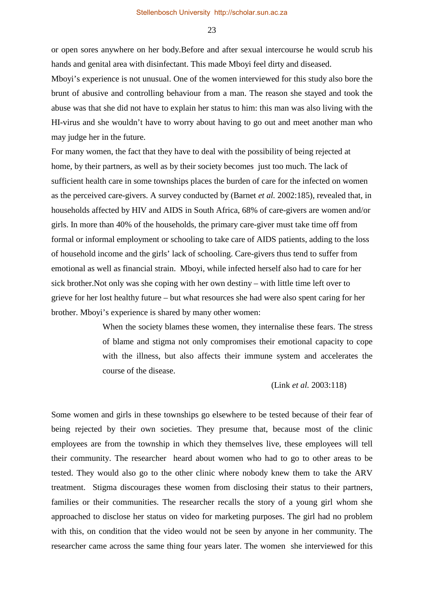or open sores anywhere on her body.Before and after sexual intercourse he would scrub his hands and genital area with disinfectant. This made Mboyi feel dirty and diseased.

Mboyi's experience is not unusual. One of the women interviewed for this study also bore the brunt of abusive and controlling behaviour from a man. The reason she stayed and took the abuse was that she did not have to explain her status to him: this man was also living with the HI-virus and she wouldn't have to worry about having to go out and meet another man who may judge her in the future.

For many women, the fact that they have to deal with the possibility of being rejected at home, by their partners, as well as by their society becomes just too much. The lack of sufficient health care in some townships places the burden of care for the infected on women as the perceived care-givers. A survey conducted by (Barnet *et al.* 2002:185), revealed that, in households affected by HIV and AIDS in South Africa, 68% of care-givers are women and/or girls. In more than 40% of the households, the primary care-giver must take time off from formal or informal employment or schooling to take care of AIDS patients, adding to the loss of household income and the girls' lack of schooling. Care-givers thus tend to suffer from emotional as well as financial strain. Mboyi, while infected herself also had to care for her sick brother.Not only was she coping with her own destiny – with little time left over to grieve for her lost healthy future – but what resources she had were also spent caring for her brother. Mboyi's experience is shared by many other women:

> When the society blames these women, they internalise these fears. The stress of blame and stigma not only compromises their emotional capacity to cope with the illness, but also affects their immune system and accelerates the course of the disease.

> > (Link *et al.* 2003:118)

Some women and girls in these townships go elsewhere to be tested because of their fear of being rejected by their own societies. They presume that, because most of the clinic employees are from the township in which they themselves live, these employees will tell their community. The researcher heard about women who had to go to other areas to be tested. They would also go to the other clinic where nobody knew them to take the ARV treatment. Stigma discourages these women from disclosing their status to their partners, families or their communities. The researcher recalls the story of a young girl whom she approached to disclose her status on video for marketing purposes. The girl had no problem with this, on condition that the video would not be seen by anyone in her community. The researcher came across the same thing four years later. The women she interviewed for this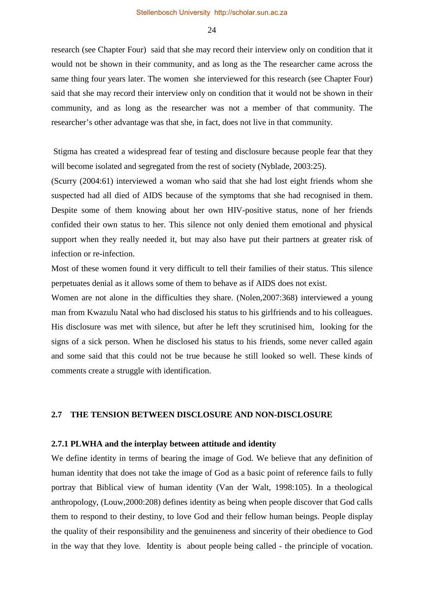research (see Chapter Four) said that she may record their interview only on condition that it would not be shown in their community, and as long as the The researcher came across the same thing four years later. The women she interviewed for this research (see Chapter Four) said that she may record their interview only on condition that it would not be shown in their community, and as long as the researcher was not a member of that community. The researcher's other advantage was that she, in fact, does not live in that community.

Stigma has created a widespread fear of testing and disclosure because people fear that they will become isolated and segregated from the rest of society (Nyblade, 2003:25).

(Scurry (2004:61) interviewed a woman who said that she had lost eight friends whom she suspected had all died of AIDS because of the symptoms that she had recognised in them. Despite some of them knowing about her own HIV-positive status, none of her friends confided their own status to her. This silence not only denied them emotional and physical support when they really needed it, but may also have put their partners at greater risk of infection or re-infection.

Most of these women found it very difficult to tell their families of their status. This silence perpetuates denial as it allows some of them to behave as if AIDS does not exist.

Women are not alone in the difficulties they share. (Nolen,2007:368) interviewed a young man from Kwazulu Natal who had disclosed his status to his girlfriends and to his colleagues. His disclosure was met with silence, but after he left they scrutinised him, looking for the signs of a sick person. When he disclosed his status to his friends, some never called again and some said that this could not be true because he still looked so well. These kinds of comments create a struggle with identification.

### **2.7 THE TENSION BETWEEN DISCLOSURE AND NON-DISCLOSURE**

#### **2.7.1 PLWHA and the interplay between attitude and identity**

We define identity in terms of bearing the image of God. We believe that any definition of human identity that does not take the image of God as a basic point of reference fails to fully portray that Biblical view of human identity (Van der Walt, 1998:105). In a theological anthropology, (Louw,2000:208) defines identity as being when people discover that God calls them to respond to their destiny, to love God and their fellow human beings. People display the quality of their responsibility and the genuineness and sincerity of their obedience to God in the way that they love. Identity is about people being called - the principle of vocation.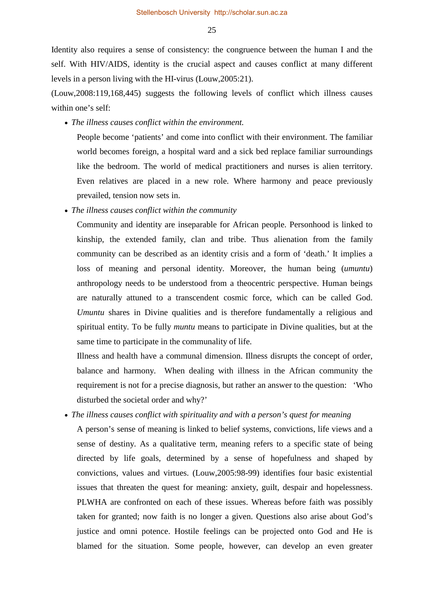Identity also requires a sense of consistency: the congruence between the human I and the self. With HIV/AIDS, identity is the crucial aspect and causes conflict at many different levels in a person living with the HI-virus (Louw,2005:21).

(Louw,2008:119,168,445) suggests the following levels of conflict which illness causes within one's self:

• *The illness causes conflict within the environment.* 

People become 'patients' and come into conflict with their environment. The familiar world becomes foreign, a hospital ward and a sick bed replace familiar surroundings like the bedroom. The world of medical practitioners and nurses is alien territory. Even relatives are placed in a new role. Where harmony and peace previously prevailed, tension now sets in.

• *The illness causes conflict within the community*

Community and identity are inseparable for African people. Personhood is linked to kinship, the extended family, clan and tribe. Thus alienation from the family community can be described as an identity crisis and a form of 'death.' It implies a loss of meaning and personal identity. Moreover, the human being (*umuntu*) anthropology needs to be understood from a theocentric perspective. Human beings are naturally attuned to a transcendent cosmic force, which can be called God. *Umuntu* shares in Divine qualities and is therefore fundamentally a religious and spiritual entity. To be fully *muntu* means to participate in Divine qualities, but at the same time to participate in the communality of life.

Illness and health have a communal dimension. Illness disrupts the concept of order, balance and harmony. When dealing with illness in the African community the requirement is not for a precise diagnosis, but rather an answer to the question: 'Who disturbed the societal order and why?'

• *The illness causes conflict with spirituality and with a person's quest for meaning* 

A person's sense of meaning is linked to belief systems, convictions, life views and a sense of destiny. As a qualitative term, meaning refers to a specific state of being directed by life goals, determined by a sense of hopefulness and shaped by convictions, values and virtues. (Louw,2005:98-99) identifies four basic existential issues that threaten the quest for meaning: anxiety, guilt, despair and hopelessness. PLWHA are confronted on each of these issues. Whereas before faith was possibly taken for granted; now faith is no longer a given. Questions also arise about God's justice and omni potence. Hostile feelings can be projected onto God and He is blamed for the situation. Some people, however, can develop an even greater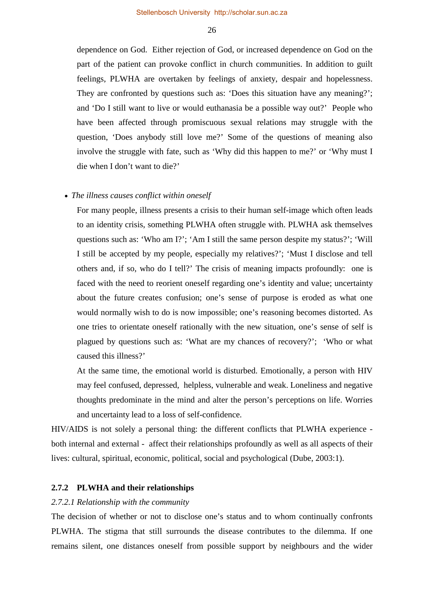dependence on God. Either rejection of God, or increased dependence on God on the part of the patient can provoke conflict in church communities. In addition to guilt feelings, PLWHA are overtaken by feelings of anxiety, despair and hopelessness. They are confronted by questions such as: 'Does this situation have any meaning?'; and 'Do I still want to live or would euthanasia be a possible way out?' People who have been affected through promiscuous sexual relations may struggle with the question, 'Does anybody still love me?' Some of the questions of meaning also involve the struggle with fate, such as 'Why did this happen to me?' or 'Why must I die when I don't want to die?'

## • *The illness causes conflict within oneself*

For many people, illness presents a crisis to their human self-image which often leads to an identity crisis, something PLWHA often struggle with. PLWHA ask themselves questions such as: 'Who am I?'; 'Am I still the same person despite my status?'; 'Will I still be accepted by my people, especially my relatives?'; 'Must I disclose and tell others and, if so, who do I tell?' The crisis of meaning impacts profoundly: one is faced with the need to reorient oneself regarding one's identity and value; uncertainty about the future creates confusion; one's sense of purpose is eroded as what one would normally wish to do is now impossible; one's reasoning becomes distorted. As one tries to orientate oneself rationally with the new situation, one's sense of self is plagued by questions such as: 'What are my chances of recovery?'; 'Who or what caused this illness?'

At the same time, the emotional world is disturbed. Emotionally, a person with HIV may feel confused, depressed, helpless, vulnerable and weak. Loneliness and negative thoughts predominate in the mind and alter the person's perceptions on life. Worries and uncertainty lead to a loss of self-confidence.

HIV/AIDS is not solely a personal thing: the different conflicts that PLWHA experience both internal and external - affect their relationships profoundly as well as all aspects of their lives: cultural, spiritual, economic, political, social and psychological (Dube, 2003:1).

#### **2.7.2 PLWHA and their relationships**

## *2.7.2.1 Relationship with the community*

The decision of whether or not to disclose one's status and to whom continually confronts PLWHA. The stigma that still surrounds the disease contributes to the dilemma. If one remains silent, one distances oneself from possible support by neighbours and the wider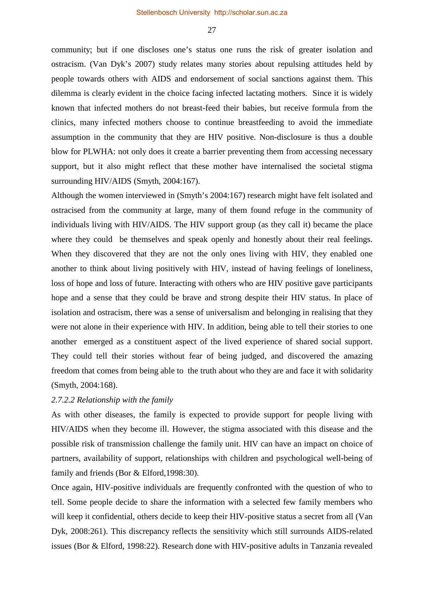community; but if one discloses one's status one runs the risk of greater isolation and ostracism. (Van Dyk's 2007) study relates many stories about repulsing attitudes held by people towards others with AIDS and endorsement of social sanctions against them. This dilemma is clearly evident in the choice facing infected lactating mothers. Since it is widely known that infected mothers do not breast-feed their babies, but receive formula from the clinics, many infected mothers choose to continue breastfeeding to avoid the immediate assumption in the community that they are HIV positive. Non-disclosure is thus a double blow for PLWHA: not only does it create a barrier preventing them from accessing necessary support, but it also might reflect that these mother have internalised the societal stigma surrounding HIV/AIDS (Smyth, 2004:167).

Although the women interviewed in (Smyth's 2004:167) research might have felt isolated and ostracised from the community at large, many of them found refuge in the community of individuals living with HIV/AIDS. The HIV support group (as they call it) became the place where they could be themselves and speak openly and honestly about their real feelings. When they discovered that they are not the only ones living with HIV, they enabled one another to think about living positively with HIV, instead of having feelings of loneliness, loss of hope and loss of future. Interacting with others who are HIV positive gave participants hope and a sense that they could be brave and strong despite their HIV status. In place of isolation and ostracism, there was a sense of universalism and belonging in realising that they were not alone in their experience with HIV. In addition, being able to tell their stories to one another emerged as a constituent aspect of the lived experience of shared social support. They could tell their stories without fear of being judged, and discovered the amazing freedom that comes from being able to the truth about who they are and face it with solidarity (Smyth, 2004:168).

## *2.7.2.2 Relationship with the family*

As with other diseases, the family is expected to provide support for people living with HIV/AIDS when they become ill. However, the stigma associated with this disease and the possible risk of transmission challenge the family unit. HIV can have an impact on choice of partners, availability of support, relationships with children and psychological well-being of family and friends (Bor & Elford,1998:30).

Once again, HIV-positive individuals are frequently confronted with the question of who to tell. Some people decide to share the information with a selected few family members who will keep it confidential, others decide to keep their HIV-positive status a secret from all (Van Dyk, 2008:261). This discrepancy reflects the sensitivity which still surrounds AIDS-related issues (Bor & Elford, 1998:22). Research done with HIV-positive adults in Tanzania revealed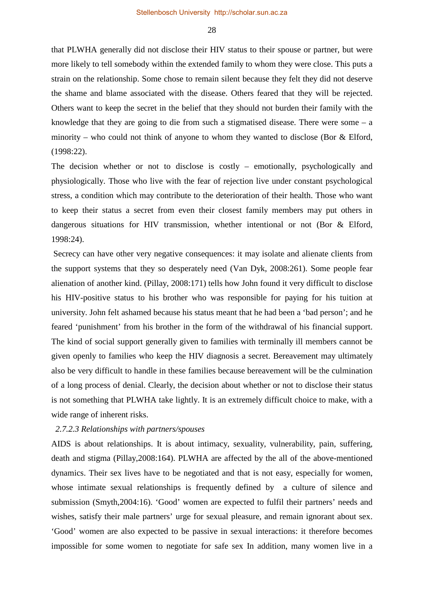that PLWHA generally did not disclose their HIV status to their spouse or partner, but were more likely to tell somebody within the extended family to whom they were close. This puts a strain on the relationship. Some chose to remain silent because they felt they did not deserve the shame and blame associated with the disease. Others feared that they will be rejected. Others want to keep the secret in the belief that they should not burden their family with the knowledge that they are going to die from such a stigmatised disease. There were some – a minority – who could not think of anyone to whom they wanted to disclose (Bor  $&$  Elford, (1998:22).

The decision whether or not to disclose is costly – emotionally, psychologically and physiologically. Those who live with the fear of rejection live under constant psychological stress, a condition which may contribute to the deterioration of their health. Those who want to keep their status a secret from even their closest family members may put others in dangerous situations for HIV transmission, whether intentional or not (Bor & Elford, 1998:24).

Secrecy can have other very negative consequences: it may isolate and alienate clients from the support systems that they so desperately need (Van Dyk, 2008:261). Some people fear alienation of another kind. (Pillay, 2008:171) tells how John found it very difficult to disclose his HIV-positive status to his brother who was responsible for paying for his tuition at university. John felt ashamed because his status meant that he had been a 'bad person'; and he feared 'punishment' from his brother in the form of the withdrawal of his financial support. The kind of social support generally given to families with terminally ill members cannot be given openly to families who keep the HIV diagnosis a secret. Bereavement may ultimately also be very difficult to handle in these families because bereavement will be the culmination of a long process of denial. Clearly, the decision about whether or not to disclose their status is not something that PLWHA take lightly. It is an extremely difficult choice to make, with a wide range of inherent risks.

## *2.7.2.3 Relationships with partners/spouses*

AIDS is about relationships. It is about intimacy, sexuality, vulnerability, pain, suffering, death and stigma (Pillay,2008:164). PLWHA are affected by the all of the above-mentioned dynamics. Their sex lives have to be negotiated and that is not easy, especially for women, whose intimate sexual relationships is frequently defined by a culture of silence and submission (Smyth,2004:16). 'Good' women are expected to fulfil their partners' needs and wishes, satisfy their male partners' urge for sexual pleasure, and remain ignorant about sex. 'Good' women are also expected to be passive in sexual interactions: it therefore becomes impossible for some women to negotiate for safe sex In addition, many women live in a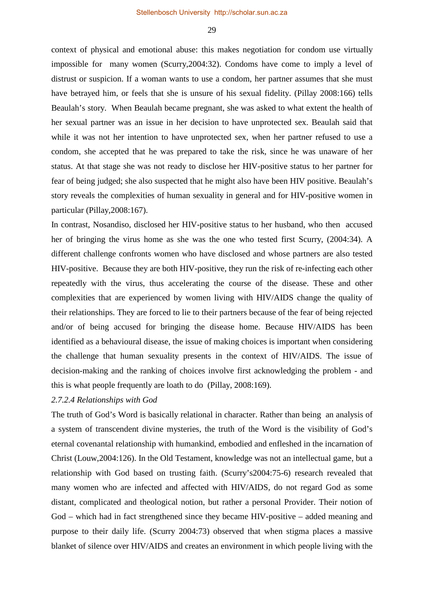context of physical and emotional abuse: this makes negotiation for condom use virtually impossible for many women (Scurry,2004:32). Condoms have come to imply a level of distrust or suspicion. If a woman wants to use a condom, her partner assumes that she must have betrayed him, or feels that she is unsure of his sexual fidelity. (Pillay 2008:166) tells Beaulah's story. When Beaulah became pregnant, she was asked to what extent the health of her sexual partner was an issue in her decision to have unprotected sex. Beaulah said that while it was not her intention to have unprotected sex, when her partner refused to use a condom, she accepted that he was prepared to take the risk, since he was unaware of her status. At that stage she was not ready to disclose her HIV-positive status to her partner for fear of being judged; she also suspected that he might also have been HIV positive. Beaulah's story reveals the complexities of human sexuality in general and for HIV-positive women in particular (Pillay,2008:167).

In contrast, Nosandiso, disclosed her HIV-positive status to her husband, who then accused her of bringing the virus home as she was the one who tested first Scurry, (2004:34). A different challenge confronts women who have disclosed and whose partners are also tested HIV-positive. Because they are both HIV-positive, they run the risk of re-infecting each other repeatedly with the virus, thus accelerating the course of the disease. These and other complexities that are experienced by women living with HIV/AIDS change the quality of their relationships. They are forced to lie to their partners because of the fear of being rejected and/or of being accused for bringing the disease home. Because HIV/AIDS has been identified as a behavioural disease, the issue of making choices is important when considering the challenge that human sexuality presents in the context of HIV/AIDS. The issue of decision-making and the ranking of choices involve first acknowledging the problem - and this is what people frequently are loath to do (Pillay, 2008:169).

## *2.7.2.4 Relationships with God*

The truth of God's Word is basically relational in character. Rather than being an analysis of a system of transcendent divine mysteries, the truth of the Word is the visibility of God's eternal covenantal relationship with humankind, embodied and enfleshed in the incarnation of Christ (Louw,2004:126). In the Old Testament, knowledge was not an intellectual game, but a relationship with God based on trusting faith. (Scurry's2004:75-6) research revealed that many women who are infected and affected with HIV/AIDS, do not regard God as some distant, complicated and theological notion, but rather a personal Provider. Their notion of God – which had in fact strengthened since they became HIV-positive – added meaning and purpose to their daily life. (Scurry 2004:73) observed that when stigma places a massive blanket of silence over HIV/AIDS and creates an environment in which people living with the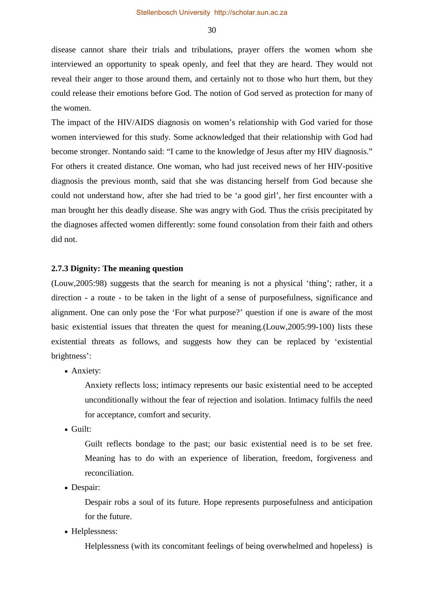disease cannot share their trials and tribulations, prayer offers the women whom she interviewed an opportunity to speak openly, and feel that they are heard. They would not reveal their anger to those around them, and certainly not to those who hurt them, but they could release their emotions before God. The notion of God served as protection for many of the women.

The impact of the HIV/AIDS diagnosis on women's relationship with God varied for those women interviewed for this study. Some acknowledged that their relationship with God had become stronger. Nontando said: "I came to the knowledge of Jesus after my HIV diagnosis." For others it created distance. One woman, who had just received news of her HIV-positive diagnosis the previous month, said that she was distancing herself from God because she could not understand how, after she had tried to be 'a good girl', her first encounter with a man brought her this deadly disease. She was angry with God. Thus the crisis precipitated by the diagnoses affected women differently: some found consolation from their faith and others did not.

## **2.7.3 Dignity: The meaning question**

(Louw,2005:98) suggests that the search for meaning is not a physical 'thing'; rather, it a direction - a route - to be taken in the light of a sense of purposefulness, significance and alignment. One can only pose the 'For what purpose?' question if one is aware of the most basic existential issues that threaten the quest for meaning.(Louw,2005:99-100) lists these existential threats as follows, and suggests how they can be replaced by 'existential brightness':

• Anxiety:

Anxiety reflects loss; intimacy represents our basic existential need to be accepted unconditionally without the fear of rejection and isolation. Intimacy fulfils the need for acceptance, comfort and security.

• Guilt:

Guilt reflects bondage to the past; our basic existential need is to be set free. Meaning has to do with an experience of liberation, freedom, forgiveness and reconciliation.

• Despair:

Despair robs a soul of its future. Hope represents purposefulness and anticipation for the future.

• Helplessness:

Helplessness (with its concomitant feelings of being overwhelmed and hopeless) is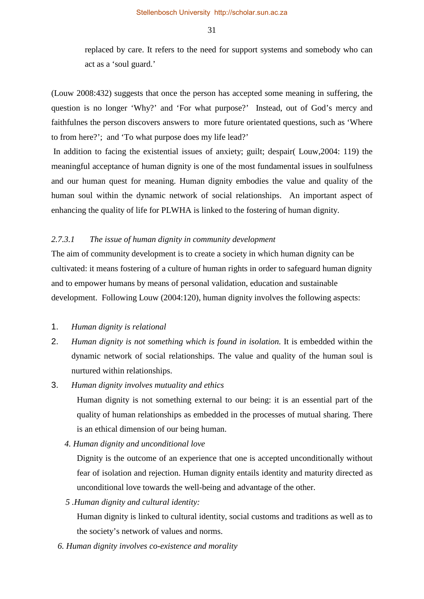replaced by care. It refers to the need for support systems and somebody who can act as a 'soul guard.'

(Louw 2008:432) suggests that once the person has accepted some meaning in suffering, the question is no longer 'Why?' and 'For what purpose?' Instead, out of God's mercy and faithfulnes the person discovers answers to more future orientated questions, such as 'Where to from here?'; and 'To what purpose does my life lead?'

In addition to facing the existential issues of anxiety; guilt; despair( Louw,2004: 119) the meaningful acceptance of human dignity is one of the most fundamental issues in soulfulness and our human quest for meaning. Human dignity embodies the value and quality of the human soul within the dynamic network of social relationships. An important aspect of enhancing the quality of life for PLWHA is linked to the fostering of human dignity.

## *2.7.3.1 The issue of human dignity in community development*

The aim of community development is to create a society in which human dignity can be cultivated: it means fostering of a culture of human rights in order to safeguard human dignity and to empower humans by means of personal validation, education and sustainable development. Following Louw (2004:120), human dignity involves the following aspects:

## 1. *Human dignity is relational*

2. *Human dignity is not something which is found in isolation.* It is embedded within the dynamic network of social relationships. The value and quality of the human soul is nurtured within relationships.

## 3. *Human dignity involves mutuality and ethics*

Human dignity is not something external to our being: it is an essential part of the quality of human relationships as embedded in the processes of mutual sharing. There is an ethical dimension of our being human.

*4. Human dignity and unconditional love* 

Dignity is the outcome of an experience that one is accepted unconditionally without fear of isolation and rejection. Human dignity entails identity and maturity directed as unconditional love towards the well-being and advantage of the other.

*5 .Human dignity and cultural identity:* 

Human dignity is linked to cultural identity, social customs and traditions as well as to the society's network of values and norms.

*6. Human dignity involves co-existence and morality*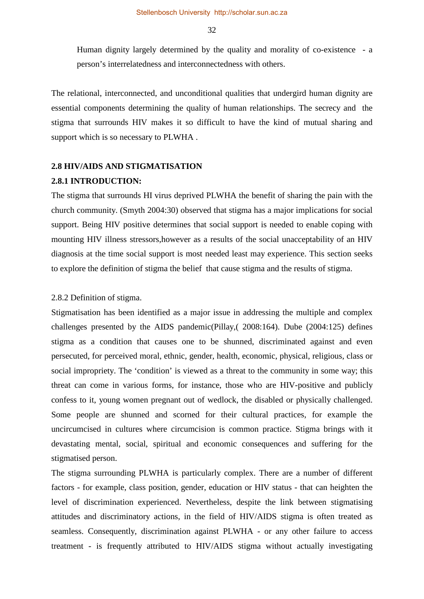Human dignity largely determined by the quality and morality of co-existence - a person's interrelatedness and interconnectedness with others.

The relational, interconnected, and unconditional qualities that undergird human dignity are essential components determining the quality of human relationships. The secrecy and the stigma that surrounds HIV makes it so difficult to have the kind of mutual sharing and support which is so necessary to PLWHA .

# **2.8 HIV/AIDS AND STIGMATISATION 2.8.1 INTRODUCTION:**

The stigma that surrounds HI virus deprived PLWHA the benefit of sharing the pain with the church community. (Smyth 2004:30) observed that stigma has a major implications for social support. Being HIV positive determines that social support is needed to enable coping with mounting HIV illness stressors,however as a results of the social unacceptability of an HIV diagnosis at the time social support is most needed least may experience. This section seeks to explore the definition of stigma the belief that cause stigma and the results of stigma.

#### 2.8.2 Definition of stigma.

Stigmatisation has been identified as a major issue in addressing the multiple and complex challenges presented by the AIDS pandemic(Pillay,( 2008:164). Dube (2004:125) defines stigma as a condition that causes one to be shunned, discriminated against and even persecuted, for perceived moral, ethnic, gender, health, economic, physical, religious, class or social impropriety. The 'condition' is viewed as a threat to the community in some way; this threat can come in various forms, for instance, those who are HIV-positive and publicly confess to it, young women pregnant out of wedlock, the disabled or physically challenged. Some people are shunned and scorned for their cultural practices, for example the uncircumcised in cultures where circumcision is common practice. Stigma brings with it devastating mental, social, spiritual and economic consequences and suffering for the stigmatised person.

The stigma surrounding PLWHA is particularly complex. There are a number of different factors - for example, class position, gender, education or HIV status - that can heighten the level of discrimination experienced. Nevertheless, despite the link between stigmatising attitudes and discriminatory actions, in the field of HIV/AIDS stigma is often treated as seamless. Consequently, discrimination against PLWHA - or any other failure to access treatment - is frequently attributed to HIV/AIDS stigma without actually investigating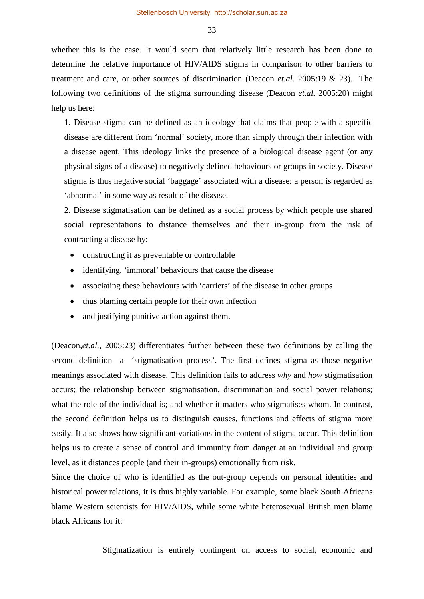whether this is the case. It would seem that relatively little research has been done to determine the relative importance of HIV/AIDS stigma in comparison to other barriers to treatment and care, or other sources of discrimination (Deacon *et.al.* 2005:19 & 23). The following two definitions of the stigma surrounding disease (Deacon *et.al.* 2005:20) might help us here:

1. Disease stigma can be defined as an ideology that claims that people with a specific disease are different from 'normal' society, more than simply through their infection with a disease agent. This ideology links the presence of a biological disease agent (or any physical signs of a disease) to negatively defined behaviours or groups in society. Disease stigma is thus negative social 'baggage' associated with a disease: a person is regarded as 'abnormal' in some way as result of the disease.

2. Disease stigmatisation can be defined as a social process by which people use shared social representations to distance themselves and their in-group from the risk of contracting a disease by:

- constructing it as preventable or controllable
- identifying, 'immoral' behaviours that cause the disease
- associating these behaviours with 'carriers' of the disease in other groups
- thus blaming certain people for their own infection
- and justifying punitive action against them.

(Deacon,*et.al.*, 2005:23) differentiates further between these two definitions by calling the second definition a 'stigmatisation process'. The first defines stigma as those negative meanings associated with disease. This definition fails to address *why* and *how* stigmatisation occurs; the relationship between stigmatisation, discrimination and social power relations; what the role of the individual is; and whether it matters who stigmatises whom. In contrast, the second definition helps us to distinguish causes, functions and effects of stigma more easily. It also shows how significant variations in the content of stigma occur. This definition helps us to create a sense of control and immunity from danger at an individual and group level, as it distances people (and their in-groups) emotionally from risk.

Since the choice of who is identified as the out-group depends on personal identities and historical power relations, it is thus highly variable. For example, some black South Africans blame Western scientists for HIV/AIDS, while some white heterosexual British men blame black Africans for it:

Stigmatization is entirely contingent on access to social, economic and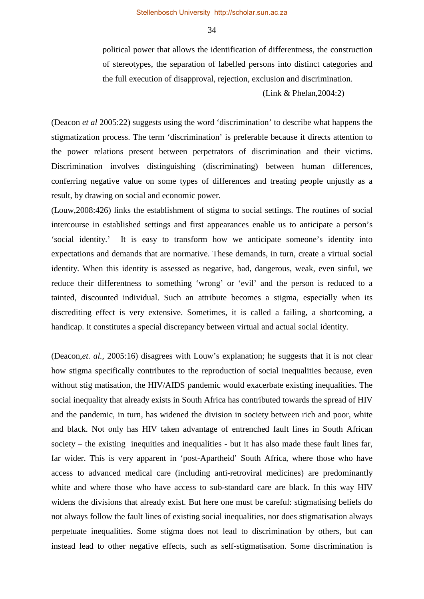political power that allows the identification of differentness, the construction of stereotypes, the separation of labelled persons into distinct categories and the full execution of disapproval, rejection, exclusion and discrimination.

(Link & Phelan,2004:2)

(Deacon *et al* 2005:22) suggests using the word 'discrimination' to describe what happens the stigmatization process. The term 'discrimination' is preferable because it directs attention to the power relations present between perpetrators of discrimination and their victims. Discrimination involves distinguishing (discriminating) between human differences, conferring negative value on some types of differences and treating people unjustly as a result, by drawing on social and economic power.

(Louw,2008:426) links the establishment of stigma to social settings. The routines of social intercourse in established settings and first appearances enable us to anticipate a person's 'social identity.' It is easy to transform how we anticipate someone's identity into expectations and demands that are normative. These demands, in turn, create a virtual social identity. When this identity is assessed as negative, bad, dangerous, weak, even sinful, we reduce their differentness to something 'wrong' or 'evil' and the person is reduced to a tainted, discounted individual. Such an attribute becomes a stigma, especially when its discrediting effect is very extensive. Sometimes, it is called a failing, a shortcoming, a handicap. It constitutes a special discrepancy between virtual and actual social identity.

(Deacon,*et. al.*, 2005:16) disagrees with Louw's explanation; he suggests that it is not clear how stigma specifically contributes to the reproduction of social inequalities because, even without stig matisation, the HIV/AIDS pandemic would exacerbate existing inequalities. The social inequality that already exists in South Africa has contributed towards the spread of HIV and the pandemic, in turn, has widened the division in society between rich and poor, white and black. Not only has HIV taken advantage of entrenched fault lines in South African society – the existing inequities and inequalities - but it has also made these fault lines far, far wider. This is very apparent in 'post-Apartheid' South Africa, where those who have access to advanced medical care (including anti-retroviral medicines) are predominantly white and where those who have access to sub-standard care are black. In this way HIV widens the divisions that already exist. But here one must be careful: stigmatising beliefs do not always follow the fault lines of existing social inequalities, nor does stigmatisation always perpetuate inequalities. Some stigma does not lead to discrimination by others, but can instead lead to other negative effects, such as self-stigmatisation. Some discrimination is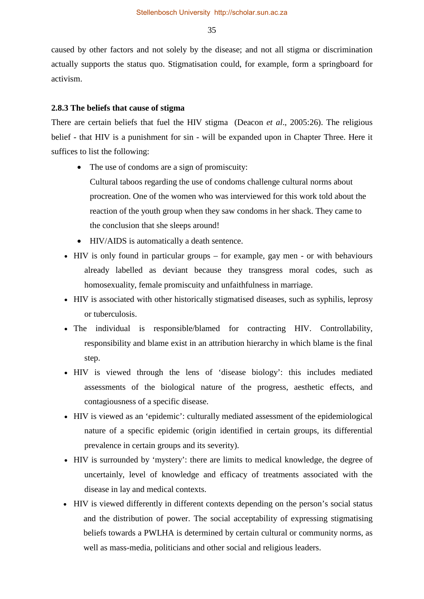caused by other factors and not solely by the disease; and not all stigma or discrimination actually supports the status quo. Stigmatisation could, for example, form a springboard for activism.

#### **2.8.3 The beliefs that cause of stigma**

There are certain beliefs that fuel the HIV stigma (Deacon *et al*., 2005:26). The religious belief - that HIV is a punishment for sin - will be expanded upon in Chapter Three. Here it suffices to list the following:

- The use of condoms are a sign of promiscuity:
	- Cultural taboos regarding the use of condoms challenge cultural norms about procreation. One of the women who was interviewed for this work told about the reaction of the youth group when they saw condoms in her shack. They came to the conclusion that she sleeps around!
- HIV/AIDS is automatically a death sentence.
- HIV is only found in particular groups for example, gay men or with behaviours already labelled as deviant because they transgress moral codes, such as homosexuality, female promiscuity and unfaithfulness in marriage.
- HIV is associated with other historically stigmatised diseases, such as syphilis, leprosy or tuberculosis.
- The individual is responsible/blamed for contracting HIV. Controllability, responsibility and blame exist in an attribution hierarchy in which blame is the final step.
- HIV is viewed through the lens of 'disease biology': this includes mediated assessments of the biological nature of the progress, aesthetic effects, and contagiousness of a specific disease.
- HIV is viewed as an 'epidemic': culturally mediated assessment of the epidemiological nature of a specific epidemic (origin identified in certain groups, its differential prevalence in certain groups and its severity).
- HIV is surrounded by 'mystery': there are limits to medical knowledge, the degree of uncertainly, level of knowledge and efficacy of treatments associated with the disease in lay and medical contexts.
- HIV is viewed differently in different contexts depending on the person's social status and the distribution of power. The social acceptability of expressing stigmatising beliefs towards a PWLHA is determined by certain cultural or community norms, as well as mass-media, politicians and other social and religious leaders.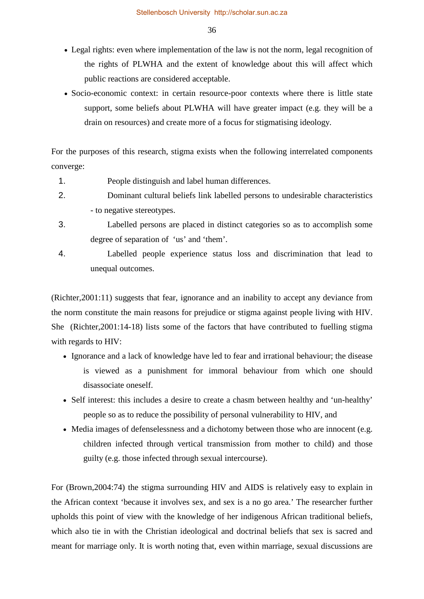- Legal rights: even where implementation of the law is not the norm, legal recognition of the rights of PLWHA and the extent of knowledge about this will affect which public reactions are considered acceptable.
- Socio-economic context: in certain resource-poor contexts where there is little state support, some beliefs about PLWHA will have greater impact (e.g. they will be a drain on resources) and create more of a focus for stigmatising ideology.

For the purposes of this research, stigma exists when the following interrelated components converge:

- 1. People distinguish and label human differences.
- 2. Dominant cultural beliefs link labelled persons to undesirable characteristics - to negative stereotypes.
- 3. Labelled persons are placed in distinct categories so as to accomplish some degree of separation of 'us' and 'them'.
- 4. Labelled people experience status loss and discrimination that lead to unequal outcomes.

(Richter,2001:11) suggests that fear, ignorance and an inability to accept any deviance from the norm constitute the main reasons for prejudice or stigma against people living with HIV. She (Richter,2001:14-18) lists some of the factors that have contributed to fuelling stigma with regards to HIV:

- Ignorance and a lack of knowledge have led to fear and irrational behaviour; the disease is viewed as a punishment for immoral behaviour from which one should disassociate oneself.
- Self interest: this includes a desire to create a chasm between healthy and 'un-healthy' people so as to reduce the possibility of personal vulnerability to HIV, and
- Media images of defenselessness and a dichotomy between those who are innocent (e.g. children infected through vertical transmission from mother to child) and those guilty (e.g. those infected through sexual intercourse).

For (Brown,2004:74) the stigma surrounding HIV and AIDS is relatively easy to explain in the African context 'because it involves sex, and sex is a no go area.' The researcher further upholds this point of view with the knowledge of her indigenous African traditional beliefs, which also tie in with the Christian ideological and doctrinal beliefs that sex is sacred and meant for marriage only. It is worth noting that, even within marriage, sexual discussions are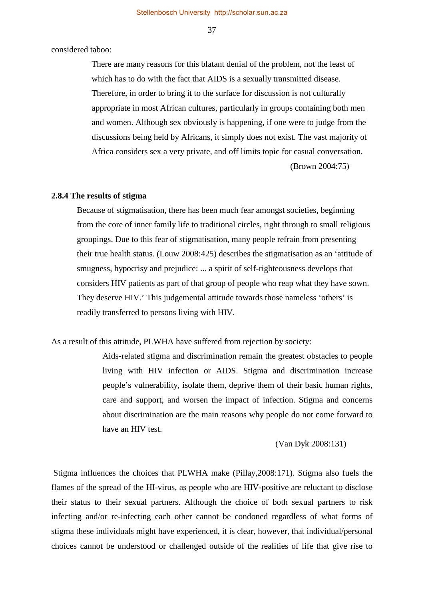considered taboo:

 There are many reasons for this blatant denial of the problem, not the least of which has to do with the fact that AIDS is a sexually transmitted disease. Therefore, in order to bring it to the surface for discussion is not culturally appropriate in most African cultures, particularly in groups containing both men and women. Although sex obviously is happening, if one were to judge from the discussions being held by Africans, it simply does not exist. The vast majority of Africa considers sex a very private, and off limits topic for casual conversation.

(Brown 2004:75)

#### **2.8.4 The results of stigma**

Because of stigmatisation, there has been much fear amongst societies, beginning from the core of inner family life to traditional circles, right through to small religious groupings. Due to this fear of stigmatisation, many people refrain from presenting their true health status. (Louw 2008:425) describes the stigmatisation as an 'attitude of smugness, hypocrisy and prejudice: ... a spirit of self-righteousness develops that considers HIV patients as part of that group of people who reap what they have sown. They deserve HIV.' This judgemental attitude towards those nameless 'others' is readily transferred to persons living with HIV.

As a result of this attitude, PLWHA have suffered from rejection by society:

Aids-related stigma and discrimination remain the greatest obstacles to people living with HIV infection or AIDS. Stigma and discrimination increase people's vulnerability, isolate them, deprive them of their basic human rights, care and support, and worsen the impact of infection. Stigma and concerns about discrimination are the main reasons why people do not come forward to have an HIV test.

(Van Dyk 2008:131)

Stigma influences the choices that PLWHA make (Pillay,2008:171). Stigma also fuels the flames of the spread of the HI-virus, as people who are HIV-positive are reluctant to disclose their status to their sexual partners. Although the choice of both sexual partners to risk infecting and/or re-infecting each other cannot be condoned regardless of what forms of stigma these individuals might have experienced, it is clear, however, that individual/personal choices cannot be understood or challenged outside of the realities of life that give rise to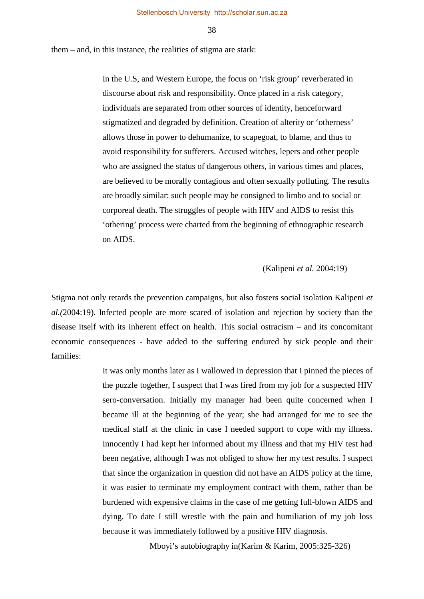them – and, in this instance, the realities of stigma are stark:

 In the U.S, and Western Europe, the focus on 'risk group' reverberated in discourse about risk and responsibility. Once placed in a risk category, individuals are separated from other sources of identity, henceforward stigmatized and degraded by definition. Creation of alterity or 'otherness' allows those in power to dehumanize, to scapegoat, to blame, and thus to avoid responsibility for sufferers. Accused witches, lepers and other people who are assigned the status of dangerous others, in various times and places, are believed to be morally contagious and often sexually polluting. The results are broadly similar: such people may be consigned to limbo and to social or corporeal death. The struggles of people with HIV and AIDS to resist this 'othering' process were charted from the beginning of ethnographic research on AIDS.

(Kalipeni *et al.* 2004:19)

Stigma not only retards the prevention campaigns, but also fosters social isolation Kalipeni *et al.(*2004:19). Infected people are more scared of isolation and rejection by society than the disease itself with its inherent effect on health. This social ostracism – and its concomitant economic consequences - have added to the suffering endured by sick people and their families:

> It was only months later as I wallowed in depression that I pinned the pieces of the puzzle together, I suspect that I was fired from my job for a suspected HIV sero-conversation. Initially my manager had been quite concerned when I became ill at the beginning of the year; she had arranged for me to see the medical staff at the clinic in case I needed support to cope with my illness. Innocently I had kept her informed about my illness and that my HIV test had been negative, although I was not obliged to show her my test results. I suspect that since the organization in question did not have an AIDS policy at the time, it was easier to terminate my employment contract with them, rather than be burdened with expensive claims in the case of me getting full-blown AIDS and dying. To date I still wrestle with the pain and humiliation of my job loss because it was immediately followed by a positive HIV diagnosis.

> > Mboyi's autobiography in(Karim & Karim, 2005:325-326)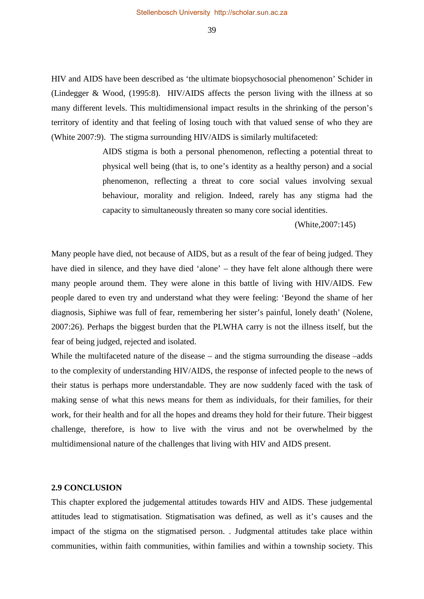Stellenbosch University http://scholar.sun.ac.za

39

HIV and AIDS have been described as 'the ultimate biopsychosocial phenomenon' Schider in (Lindegger & Wood, (1995:8). HIV/AIDS affects the person living with the illness at so many different levels. This multidimensional impact results in the shrinking of the person's territory of identity and that feeling of losing touch with that valued sense of who they are (White 2007:9). The stigma surrounding HIV/AIDS is similarly multifaceted:

> AIDS stigma is both a personal phenomenon, reflecting a potential threat to physical well being (that is, to one's identity as a healthy person) and a social phenomenon, reflecting a threat to core social values involving sexual behaviour, morality and religion. Indeed, rarely has any stigma had the capacity to simultaneously threaten so many core social identities.

> > (White,2007:145)

Many people have died, not because of AIDS, but as a result of the fear of being judged. They have died in silence, and they have died 'alone' – they have felt alone although there were many people around them. They were alone in this battle of living with HIV/AIDS. Few people dared to even try and understand what they were feeling: 'Beyond the shame of her diagnosis, Siphiwe was full of fear, remembering her sister's painful, lonely death' (Nolene, 2007:26). Perhaps the biggest burden that the PLWHA carry is not the illness itself, but the fear of being judged, rejected and isolated.

While the multifaceted nature of the disease – and the stigma surrounding the disease –adds to the complexity of understanding HIV/AIDS, the response of infected people to the news of their status is perhaps more understandable. They are now suddenly faced with the task of making sense of what this news means for them as individuals, for their families, for their work, for their health and for all the hopes and dreams they hold for their future. Their biggest challenge, therefore, is how to live with the virus and not be overwhelmed by the multidimensional nature of the challenges that living with HIV and AIDS present.

## **2.9 CONCLUSION**

This chapter explored the judgemental attitudes towards HIV and AIDS. These judgemental attitudes lead to stigmatisation. Stigmatisation was defined, as well as it's causes and the impact of the stigma on the stigmatised person. . Judgmental attitudes take place within communities, within faith communities, within families and within a township society. This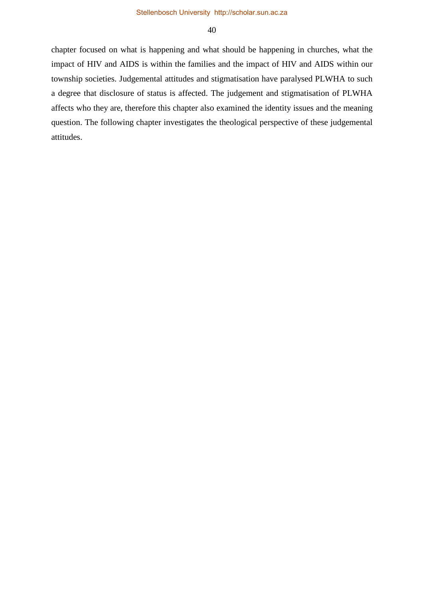chapter focused on what is happening and what should be happening in churches, what the impact of HIV and AIDS is within the families and the impact of HIV and AIDS within our township societies. Judgemental attitudes and stigmatisation have paralysed PLWHA to such a degree that disclosure of status is affected. The judgement and stigmatisation of PLWHA affects who they are, therefore this chapter also examined the identity issues and the meaning question. The following chapter investigates the theological perspective of these judgemental attitudes.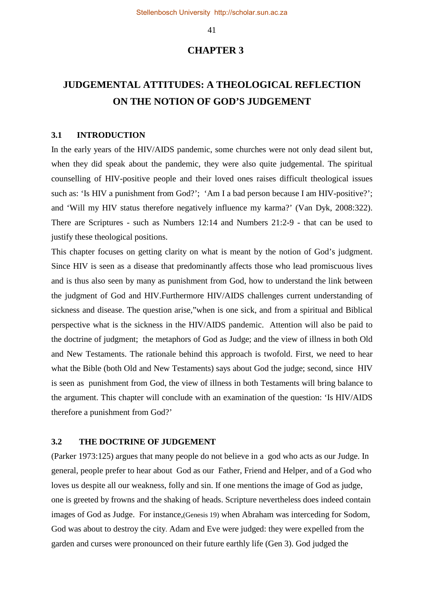# **CHAPTER 3**

# **JUDGEMENTAL ATTITUDES: A THEOLOGICAL REFLECTION ON THE NOTION OF GOD'S JUDGEMENT**

#### **3.1 INTRODUCTION**

In the early years of the HIV/AIDS pandemic, some churches were not only dead silent but, when they did speak about the pandemic, they were also quite judgemental. The spiritual counselling of HIV-positive people and their loved ones raises difficult theological issues such as: 'Is HIV a punishment from God?'; 'Am I a bad person because I am HIV-positive?'; and 'Will my HIV status therefore negatively influence my karma?' (Van Dyk, 2008:322). There are Scriptures - such as Numbers 12:14 and Numbers 21:2-9 - that can be used to justify these theological positions.

This chapter focuses on getting clarity on what is meant by the notion of God's judgment. Since HIV is seen as a disease that predominantly affects those who lead promiscuous lives and is thus also seen by many as punishment from God, how to understand the link between the judgment of God and HIV.Furthermore HIV/AIDS challenges current understanding of sickness and disease. The question arise,"when is one sick, and from a spiritual and Biblical perspective what is the sickness in the HIV/AIDS pandemic. Attention will also be paid to the doctrine of judgment; the metaphors of God as Judge; and the view of illness in both Old and New Testaments. The rationale behind this approach is twofold. First, we need to hear what the Bible (both Old and New Testaments) says about God the judge; second, since HIV is seen as punishment from God, the view of illness in both Testaments will bring balance to the argument. This chapter will conclude with an examination of the question: 'Is HIV/AIDS therefore a punishment from God?'

## **3.2 THE DOCTRINE OF JUDGEMENT**

(Parker 1973:125) argues that many people do not believe in a god who acts as our Judge. In general, people prefer to hear about God as our Father, Friend and Helper, and of a God who loves us despite all our weakness, folly and sin. If one mentions the image of God as judge, one is greeted by frowns and the shaking of heads. Scripture nevertheless does indeed contain images of God as Judge. For instance,(Genesis 19) when Abraham was interceding for Sodom, God was about to destroy the city. Adam and Eve were judged: they were expelled from the garden and curses were pronounced on their future earthly life (Gen 3). God judged the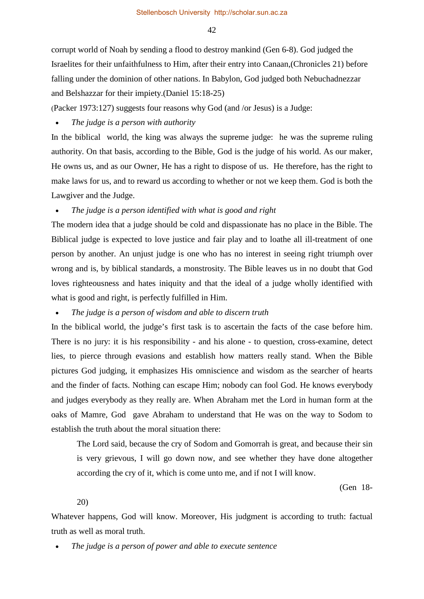corrupt world of Noah by sending a flood to destroy mankind (Gen 6-8). God judged the Israelites for their unfaithfulness to Him, after their entry into Canaan,(Chronicles 21) before falling under the dominion of other nations. In Babylon, God judged both Nebuchadnezzar and Belshazzar for their impiety.(Daniel 15:18-25)

(Packer 1973:127) suggests four reasons why God (and /or Jesus) is a Judge:

• *The judge is a person with authority* 

In the biblical world, the king was always the supreme judge: he was the supreme ruling authority. On that basis, according to the Bible, God is the judge of his world. As our maker, He owns us, and as our Owner, He has a right to dispose of us. He therefore, has the right to make laws for us, and to reward us according to whether or not we keep them. God is both the Lawgiver and the Judge.

## • *The judge is a person identified with what is good and right*

The modern idea that a judge should be cold and dispassionate has no place in the Bible. The Biblical judge is expected to love justice and fair play and to loathe all ill-treatment of one person by another. An unjust judge is one who has no interest in seeing right triumph over wrong and is, by biblical standards, a monstrosity. The Bible leaves us in no doubt that God loves righteousness and hates iniquity and that the ideal of a judge wholly identified with what is good and right, is perfectly fulfilled in Him.

• *The judge is a person of wisdom and able to discern truth* 

In the biblical world, the judge's first task is to ascertain the facts of the case before him. There is no jury: it is his responsibility - and his alone - to question, cross-examine, detect lies, to pierce through evasions and establish how matters really stand. When the Bible pictures God judging, it emphasizes His omniscience and wisdom as the searcher of hearts and the finder of facts. Nothing can escape Him; nobody can fool God. He knows everybody and judges everybody as they really are. When Abraham met the Lord in human form at the oaks of Mamre, God gave Abraham to understand that He was on the way to Sodom to establish the truth about the moral situation there:

The Lord said, because the cry of Sodom and Gomorrah is great, and because their sin is very grievous, I will go down now, and see whether they have done altogether according the cry of it, which is come unto me, and if not I will know.

(Gen 18-

20)

Whatever happens, God will know. Moreover, His judgment is according to truth: factual truth as well as moral truth.

• *The judge is a person of power and able to execute sentence*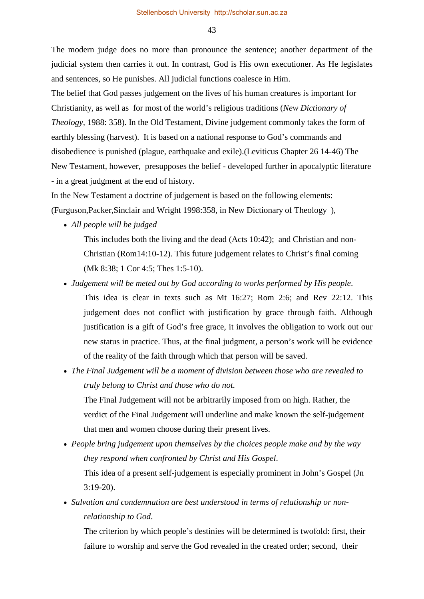The modern judge does no more than pronounce the sentence; another department of the judicial system then carries it out. In contrast, God is His own executioner. As He legislates and sentences, so He punishes. All judicial functions coalesce in Him.

The belief that God passes judgement on the lives of his human creatures is important for Christianity, as well as for most of the world's religious traditions (*New Dictionary of Theology,* 1988: 358). In the Old Testament, Divine judgement commonly takes the form of earthly blessing (harvest). It is based on a national response to God's commands and disobedience is punished (plague, earthquake and exile).(Leviticus Chapter 26 14-46) The New Testament, however, presupposes the belief - developed further in apocalyptic literature - in a great judgment at the end of history.

In the New Testament a doctrine of judgement is based on the following elements: (Furguson,Packer,Sinclair and Wright 1998:358, in New Dictionary of Theology ),

• *All people will be judged*

This includes both the living and the dead (Acts 10:42); and Christian and non-Christian (Rom14:10-12). This future judgement relates to Christ's final coming (Mk 8:38; 1 Cor 4:5; Thes 1:5-10).

- *Judgement will be meted out by God according to works performed by His people*. This idea is clear in texts such as Mt 16:27; Rom 2:6; and Rev 22:12. This judgement does not conflict with justification by grace through faith. Although justification is a gift of God's free grace, it involves the obligation to work out our new status in practice. Thus, at the final judgment, a person's work will be evidence of the reality of the faith through which that person will be saved.
- *The Final Judgement will be a moment of division between those who are revealed to truly belong to Christ and those who do not.* The Final Judgement will not be arbitrarily imposed from on high. Rather, the verdict of the Final Judgement will underline and make known the self-judgement that men and women choose during their present lives.
- *People bring judgement upon themselves by the choices people make and by the way they respond when confronted by Christ and His Gospel*. This idea of a present self-judgement is especially prominent in John's Gospel (Jn 3:19-20).
- *Salvation and condemnation are best understood in terms of relationship or nonrelationship to God*.

The criterion by which people's destinies will be determined is twofold: first, their failure to worship and serve the God revealed in the created order; second, their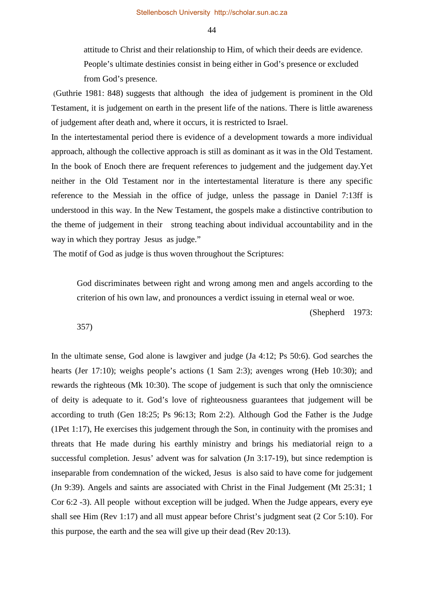attitude to Christ and their relationship to Him, of which their deeds are evidence. People's ultimate destinies consist in being either in God's presence or excluded from God's presence.

(Guthrie 1981: 848) suggests that although the idea of judgement is prominent in the Old Testament, it is judgement on earth in the present life of the nations. There is little awareness of judgement after death and, where it occurs, it is restricted to Israel.

In the intertestamental period there is evidence of a development towards a more individual approach, although the collective approach is still as dominant as it was in the Old Testament. In the book of Enoch there are frequent references to judgement and the judgement day.Yet neither in the Old Testament nor in the intertestamental literature is there any specific reference to the Messiah in the office of judge, unless the passage in Daniel 7:13ff is understood in this way. In the New Testament, the gospels make a distinctive contribution to the theme of judgement in their strong teaching about individual accountability and in the way in which they portray Jesus as judge."

The motif of God as judge is thus woven throughout the Scriptures:

God discriminates between right and wrong among men and angels according to the criterion of his own law, and pronounces a verdict issuing in eternal weal or woe.

(Shepherd 1973:

357)

In the ultimate sense, God alone is lawgiver and judge (Ja 4:12; Ps 50:6). God searches the hearts (Jer 17:10); weighs people's actions (1 Sam 2:3); avenges wrong (Heb 10:30); and rewards the righteous (Mk 10:30). The scope of judgement is such that only the omniscience of deity is adequate to it. God's love of righteousness guarantees that judgement will be according to truth (Gen 18:25; Ps 96:13; Rom 2:2). Although God the Father is the Judge (1Pet 1:17), He exercises this judgement through the Son, in continuity with the promises and threats that He made during his earthly ministry and brings his mediatorial reign to a successful completion. Jesus' advent was for salvation (Jn 3:17-19), but since redemption is inseparable from condemnation of the wicked, Jesus is also said to have come for judgement (Jn 9:39). Angels and saints are associated with Christ in the Final Judgement (Mt 25:31; 1 Cor 6:2 -3). All people without exception will be judged. When the Judge appears, every eye shall see Him (Rev 1:17) and all must appear before Christ's judgment seat (2 Cor 5:10). For this purpose, the earth and the sea will give up their dead (Rev 20:13).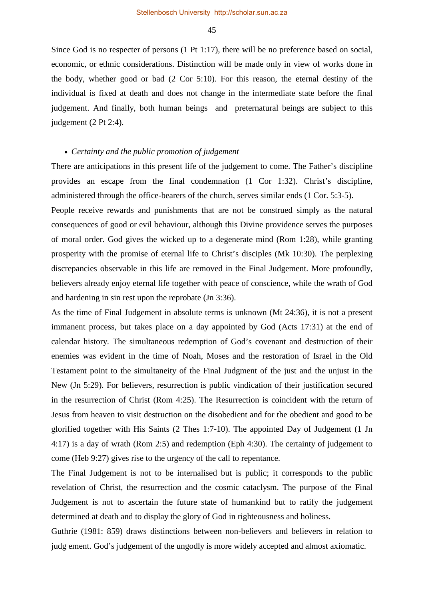Since God is no respecter of persons (1 Pt 1:17), there will be no preference based on social, economic, or ethnic considerations. Distinction will be made only in view of works done in the body, whether good or bad (2 Cor 5:10). For this reason, the eternal destiny of the individual is fixed at death and does not change in the intermediate state before the final judgement. And finally, both human beings and preternatural beings are subject to this judgement (2 Pt 2:4).

## • *Certainty and the public promotion of judgement*

There are anticipations in this present life of the judgement to come. The Father's discipline provides an escape from the final condemnation (1 Cor 1:32). Christ's discipline, administered through the office-bearers of the church, serves similar ends (1 Cor. 5:3-5).

People receive rewards and punishments that are not be construed simply as the natural consequences of good or evil behaviour, although this Divine providence serves the purposes of moral order. God gives the wicked up to a degenerate mind (Rom 1:28), while granting prosperity with the promise of eternal life to Christ's disciples (Mk 10:30). The perplexing discrepancies observable in this life are removed in the Final Judgement. More profoundly, believers already enjoy eternal life together with peace of conscience, while the wrath of God and hardening in sin rest upon the reprobate (Jn 3:36).

As the time of Final Judgement in absolute terms is unknown (Mt 24:36), it is not a present immanent process, but takes place on a day appointed by God (Acts 17:31) at the end of calendar history. The simultaneous redemption of God's covenant and destruction of their enemies was evident in the time of Noah, Moses and the restoration of Israel in the Old Testament point to the simultaneity of the Final Judgment of the just and the unjust in the New (Jn 5:29). For believers, resurrection is public vindication of their justification secured in the resurrection of Christ (Rom 4:25). The Resurrection is coincident with the return of Jesus from heaven to visit destruction on the disobedient and for the obedient and good to be glorified together with His Saints (2 Thes 1:7-10). The appointed Day of Judgement (1 Jn 4:17) is a day of wrath (Rom 2:5) and redemption (Eph 4:30). The certainty of judgement to come (Heb 9:27) gives rise to the urgency of the call to repentance.

The Final Judgement is not to be internalised but is public; it corresponds to the public revelation of Christ, the resurrection and the cosmic cataclysm. The purpose of the Final Judgement is not to ascertain the future state of humankind but to ratify the judgement determined at death and to display the glory of God in righteousness and holiness.

Guthrie (1981: 859) draws distinctions between non-believers and believers in relation to judg ement. God's judgement of the ungodly is more widely accepted and almost axiomatic.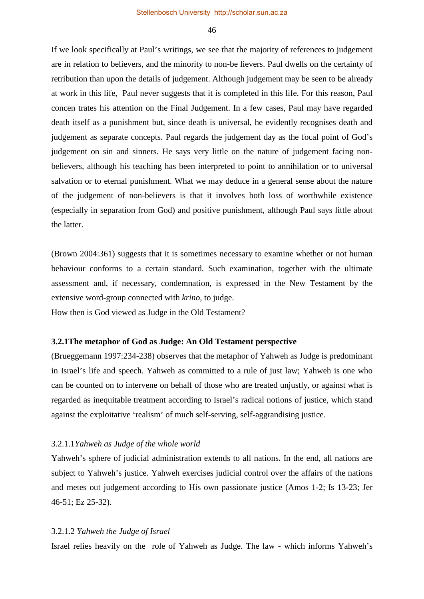If we look specifically at Paul's writings, we see that the majority of references to judgement are in relation to believers, and the minority to non-be lievers. Paul dwells on the certainty of retribution than upon the details of judgement. Although judgement may be seen to be already at work in this life, Paul never suggests that it is completed in this life. For this reason, Paul concen trates his attention on the Final Judgement. In a few cases, Paul may have regarded death itself as a punishment but, since death is universal, he evidently recognises death and judgement as separate concepts. Paul regards the judgement day as the focal point of God's judgement on sin and sinners. He says very little on the nature of judgement facing nonbelievers, although his teaching has been interpreted to point to annihilation or to universal salvation or to eternal punishment. What we may deduce in a general sense about the nature of the judgement of non-believers is that it involves both loss of worthwhile existence (especially in separation from God) and positive punishment, although Paul says little about the latter.

(Brown 2004:361) suggests that it is sometimes necessary to examine whether or not human behaviour conforms to a certain standard. Such examination, together with the ultimate assessment and, if necessary, condemnation, is expressed in the New Testament by the extensive word-group connected with *krino,* to judge.

How then is God viewed as Judge in the Old Testament?

## **3.2.1The metaphor of God as Judge: An Old Testament perspective**

(Brueggemann 1997:234-238) observes that the metaphor of Yahweh as Judge is predominant in Israel's life and speech. Yahweh as committed to a rule of just law; Yahweh is one who can be counted on to intervene on behalf of those who are treated unjustly, or against what is regarded as inequitable treatment according to Israel's radical notions of justice, which stand against the exploitative 'realism' of much self-serving, self-aggrandising justice.

#### 3.2.1.1*Yahweh as Judge of the whole world*

Yahweh's sphere of judicial administration extends to all nations. In the end, all nations are subject to Yahweh's justice. Yahweh exercises judicial control over the affairs of the nations and metes out judgement according to His own passionate justice (Amos 1-2; Is 13-23; Jer 46-51; Ez 25-32).

#### 3.2.1.2 *Yahweh the Judge of Israel*

Israel relies heavily on the role of Yahweh as Judge. The law - which informs Yahweh's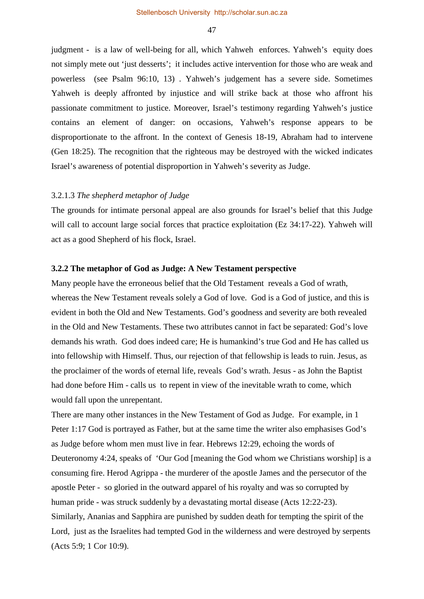judgment - is a law of well-being for all, which Yahweh enforces. Yahweh's equity does not simply mete out 'just desserts'; it includes active intervention for those who are weak and powerless (see Psalm 96:10, 13) . Yahweh's judgement has a severe side. Sometimes Yahweh is deeply affronted by injustice and will strike back at those who affront his passionate commitment to justice. Moreover, Israel's testimony regarding Yahweh's justice contains an element of danger: on occasions, Yahweh's response appears to be disproportionate to the affront. In the context of Genesis 18-19, Abraham had to intervene (Gen 18:25). The recognition that the righteous may be destroyed with the wicked indicates Israel's awareness of potential disproportion in Yahweh's severity as Judge.

#### 3.2.1.3 *The shepherd metaphor of Judge*

The grounds for intimate personal appeal are also grounds for Israel's belief that this Judge will call to account large social forces that practice exploitation (Ez 34:17-22). Yahweh will act as a good Shepherd of his flock, Israel.

## **3.2.2 The metaphor of God as Judge: A New Testament perspective**

Many people have the erroneous belief that the Old Testament reveals a God of wrath, whereas the New Testament reveals solely a God of love. God is a God of justice, and this is evident in both the Old and New Testaments. God's goodness and severity are both revealed in the Old and New Testaments. These two attributes cannot in fact be separated: God's love demands his wrath. God does indeed care; He is humankind's true God and He has called us into fellowship with Himself. Thus, our rejection of that fellowship is leads to ruin. Jesus, as the proclaimer of the words of eternal life, reveals God's wrath. Jesus - as John the Baptist had done before Him - calls us to repent in view of the inevitable wrath to come, which would fall upon the unrepentant.

There are many other instances in the New Testament of God as Judge. For example, in 1 Peter 1:17 God is portrayed as Father, but at the same time the writer also emphasises God's as Judge before whom men must live in fear. Hebrews 12:29, echoing the words of Deuteronomy 4:24, speaks of 'Our God [meaning the God whom we Christians worship] is a consuming fire. Herod Agrippa - the murderer of the apostle James and the persecutor of the apostle Peter - so gloried in the outward apparel of his royalty and was so corrupted by human pride - was struck suddenly by a devastating mortal disease (Acts 12:22-23). Similarly, Ananias and Sapphira are punished by sudden death for tempting the spirit of the Lord, just as the Israelites had tempted God in the wilderness and were destroyed by serpents (Acts 5:9; 1 Cor 10:9).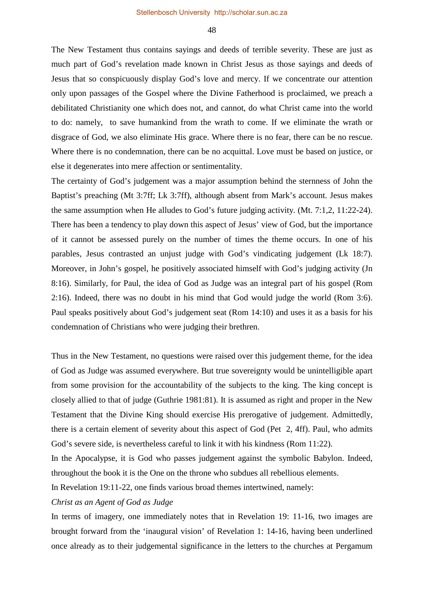The New Testament thus contains sayings and deeds of terrible severity. These are just as much part of God's revelation made known in Christ Jesus as those sayings and deeds of Jesus that so conspicuously display God's love and mercy. If we concentrate our attention only upon passages of the Gospel where the Divine Fatherhood is proclaimed, we preach a debilitated Christianity one which does not, and cannot, do what Christ came into the world to do: namely, to save humankind from the wrath to come. If we eliminate the wrath or disgrace of God, we also eliminate His grace. Where there is no fear, there can be no rescue. Where there is no condemnation, there can be no acquittal. Love must be based on justice, or else it degenerates into mere affection or sentimentality.

The certainty of God's judgement was a major assumption behind the sternness of John the Baptist's preaching (Mt 3:7ff; Lk 3:7ff), although absent from Mark's account. Jesus makes the same assumption when He alludes to God's future judging activity. (Mt. 7:1,2, 11:22-24). There has been a tendency to play down this aspect of Jesus' view of God, but the importance of it cannot be assessed purely on the number of times the theme occurs. In one of his parables, Jesus contrasted an unjust judge with God's vindicating judgement (Lk 18:7). Moreover, in John's gospel, he positively associated himself with God's judging activity (Jn 8:16). Similarly, for Paul, the idea of God as Judge was an integral part of his gospel (Rom 2:16). Indeed, there was no doubt in his mind that God would judge the world (Rom 3:6). Paul speaks positively about God's judgement seat (Rom 14:10) and uses it as a basis for his condemnation of Christians who were judging their brethren.

Thus in the New Testament, no questions were raised over this judgement theme, for the idea of God as Judge was assumed everywhere. But true sovereignty would be unintelligible apart from some provision for the accountability of the subjects to the king. The king concept is closely allied to that of judge (Guthrie 1981:81). It is assumed as right and proper in the New Testament that the Divine King should exercise His prerogative of judgement. Admittedly, there is a certain element of severity about this aspect of God (Pet 2, 4ff). Paul, who admits God's severe side, is nevertheless careful to link it with his kindness (Rom 11:22).

In the Apocalypse, it is God who passes judgement against the symbolic Babylon. Indeed, throughout the book it is the One on the throne who subdues all rebellious elements.

In Revelation 19:11-22, one finds various broad themes intertwined, namely:

## *Christ as an Agent of God as Judge*

In terms of imagery, one immediately notes that in Revelation 19: 11-16, two images are brought forward from the 'inaugural vision' of Revelation 1: 14-16, having been underlined once already as to their judgemental significance in the letters to the churches at Pergamum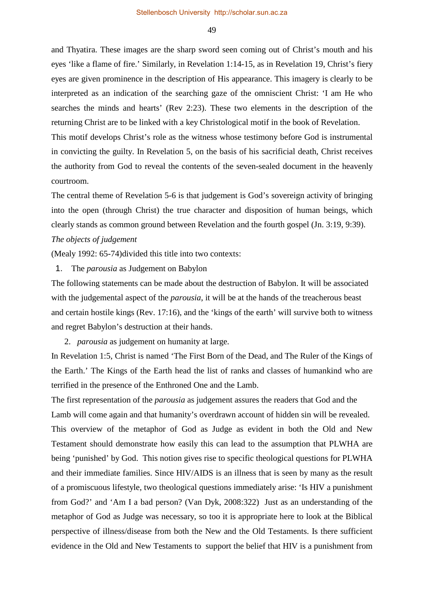and Thyatira. These images are the sharp sword seen coming out of Christ's mouth and his eyes 'like a flame of fire.' Similarly, in Revelation 1:14-15, as in Revelation 19, Christ's fiery eyes are given prominence in the description of His appearance. This imagery is clearly to be interpreted as an indication of the searching gaze of the omniscient Christ: 'I am He who searches the minds and hearts' (Rev 2:23). These two elements in the description of the returning Christ are to be linked with a key Christological motif in the book of Revelation. This motif develops Christ's role as the witness whose testimony before God is instrumental

in convicting the guilty. In Revelation 5, on the basis of his sacrificial death, Christ receives the authority from God to reveal the contents of the seven-sealed document in the heavenly courtroom.

The central theme of Revelation 5-6 is that judgement is God's sovereign activity of bringing into the open (through Christ) the true character and disposition of human beings, which clearly stands as common ground between Revelation and the fourth gospel (Jn. 3:19, 9:39).

## *The objects of judgement*

(Mealy 1992: 65-74)divided this title into two contexts:

1. The *parousia* as Judgement on Babylon

The following statements can be made about the destruction of Babylon. It will be associated with the judgemental aspect of the *parousia*, it will be at the hands of the treacherous beast and certain hostile kings (Rev. 17:16), and the 'kings of the earth' will survive both to witness and regret Babylon's destruction at their hands.

2. *parousia* as judgement on humanity at large.

In Revelation 1:5, Christ is named 'The First Born of the Dead, and The Ruler of the Kings of the Earth.' The Kings of the Earth head the list of ranks and classes of humankind who are terrified in the presence of the Enthroned One and the Lamb.

The first representation of the *parousia* as judgement assures the readers that God and the Lamb will come again and that humanity's overdrawn account of hidden sin will be revealed. This overview of the metaphor of God as Judge as evident in both the Old and New Testament should demonstrate how easily this can lead to the assumption that PLWHA are being 'punished' by God. This notion gives rise to specific theological questions for PLWHA and their immediate families. Since HIV/AIDS is an illness that is seen by many as the result of a promiscuous lifestyle, two theological questions immediately arise: 'Is HIV a punishment from God?' and 'Am I a bad person? (Van Dyk, 2008:322) Just as an understanding of the metaphor of God as Judge was necessary, so too it is appropriate here to look at the Biblical perspective of illness/disease from both the New and the Old Testaments. Is there sufficient evidence in the Old and New Testaments to support the belief that HIV is a punishment from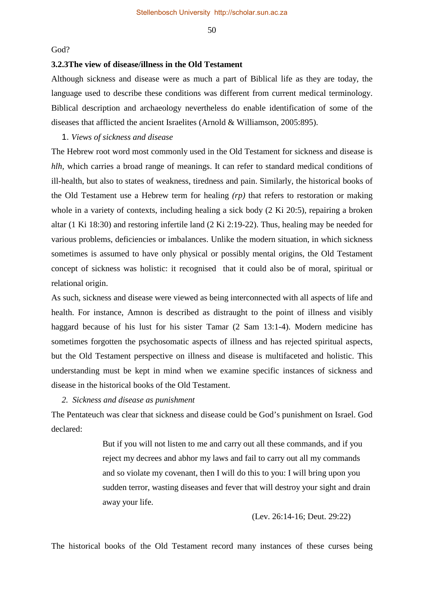#### God?

#### **3.2.3The view of disease/illness in the Old Testament**

Although sickness and disease were as much a part of Biblical life as they are today, the language used to describe these conditions was different from current medical terminology. Biblical description and archaeology nevertheless do enable identification of some of the diseases that afflicted the ancient Israelites (Arnold & Williamson, 2005:895).

#### 1. *Views of sickness and disease*

The Hebrew root word most commonly used in the Old Testament for sickness and disease is *hlh*, which carries a broad range of meanings. It can refer to standard medical conditions of ill-health, but also to states of weakness, tiredness and pain. Similarly, the historical books of the Old Testament use a Hebrew term for healing *(rp)* that refers to restoration or making whole in a variety of contexts, including healing a sick body (2 Ki 20:5), repairing a broken altar (1 Ki 18:30) and restoring infertile land (2 Ki 2:19-22). Thus, healing may be needed for various problems, deficiencies or imbalances. Unlike the modern situation, in which sickness sometimes is assumed to have only physical or possibly mental origins, the Old Testament concept of sickness was holistic: it recognised that it could also be of moral, spiritual or relational origin.

As such, sickness and disease were viewed as being interconnected with all aspects of life and health. For instance, Amnon is described as distraught to the point of illness and visibly haggard because of his lust for his sister Tamar (2 Sam 13:1-4). Modern medicine has sometimes forgotten the psychosomatic aspects of illness and has rejected spiritual aspects, but the Old Testament perspective on illness and disease is multifaceted and holistic. This understanding must be kept in mind when we examine specific instances of sickness and disease in the historical books of the Old Testament.

#### *2. Sickness and disease as punishment*

The Pentateuch was clear that sickness and disease could be God's punishment on Israel. God declared:

> But if you will not listen to me and carry out all these commands, and if you reject my decrees and abhor my laws and fail to carry out all my commands and so violate my covenant, then I will do this to you: I will bring upon you sudden terror, wasting diseases and fever that will destroy your sight and drain away your life.

> > (Lev. 26:14-16; Deut. 29:22)

The historical books of the Old Testament record many instances of these curses being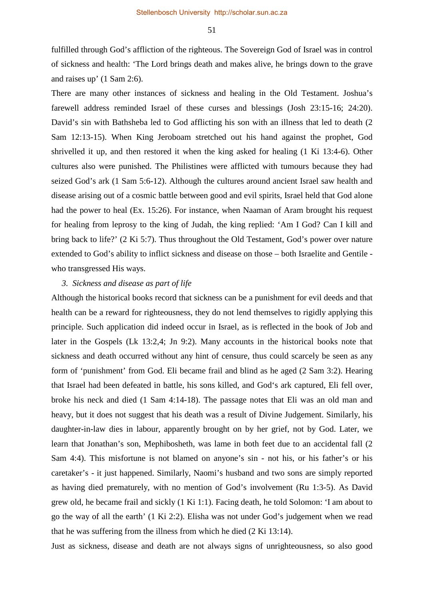fulfilled through God's affliction of the righteous. The Sovereign God of Israel was in control of sickness and health: 'The Lord brings death and makes alive, he brings down to the grave and raises up' (1 Sam 2:6).

There are many other instances of sickness and healing in the Old Testament. Joshua's farewell address reminded Israel of these curses and blessings (Josh 23:15-16; 24:20). David's sin with Bathsheba led to God afflicting his son with an illness that led to death (2) Sam 12:13-15). When King Jeroboam stretched out his hand against the prophet, God shrivelled it up, and then restored it when the king asked for healing (1 Ki 13:4-6). Other cultures also were punished. The Philistines were afflicted with tumours because they had seized God's ark (1 Sam 5:6-12). Although the cultures around ancient Israel saw health and disease arising out of a cosmic battle between good and evil spirits, Israel held that God alone had the power to heal (Ex. 15:26). For instance, when Naaman of Aram brought his request for healing from leprosy to the king of Judah, the king replied: 'Am I God? Can I kill and bring back to life?' (2 Ki 5:7). Thus throughout the Old Testament, God's power over nature extended to God's ability to inflict sickness and disease on those – both Israelite and Gentile who transgressed His ways.

#### *3. Sickness and disease as part of life*

Although the historical books record that sickness can be a punishment for evil deeds and that health can be a reward for righteousness, they do not lend themselves to rigidly applying this principle. Such application did indeed occur in Israel, as is reflected in the book of Job and later in the Gospels (Lk 13:2,4; Jn 9:2). Many accounts in the historical books note that sickness and death occurred without any hint of censure, thus could scarcely be seen as any form of 'punishment' from God. Eli became frail and blind as he aged (2 Sam 3:2). Hearing that Israel had been defeated in battle, his sons killed, and God's ark captured, Eli fell over, broke his neck and died (1 Sam 4:14-18). The passage notes that Eli was an old man and heavy, but it does not suggest that his death was a result of Divine Judgement. Similarly, his daughter-in-law dies in labour, apparently brought on by her grief, not by God. Later, we learn that Jonathan's son, Mephibosheth, was lame in both feet due to an accidental fall (2 Sam 4:4). This misfortune is not blamed on anyone's sin - not his, or his father's or his caretaker's - it just happened. Similarly, Naomi's husband and two sons are simply reported as having died prematurely, with no mention of God's involvement (Ru 1:3-5). As David grew old, he became frail and sickly (1 Ki 1:1). Facing death, he told Solomon: 'I am about to go the way of all the earth' (1 Ki 2:2). Elisha was not under God's judgement when we read that he was suffering from the illness from which he died (2 Ki 13:14).

Just as sickness, disease and death are not always signs of unrighteousness, so also good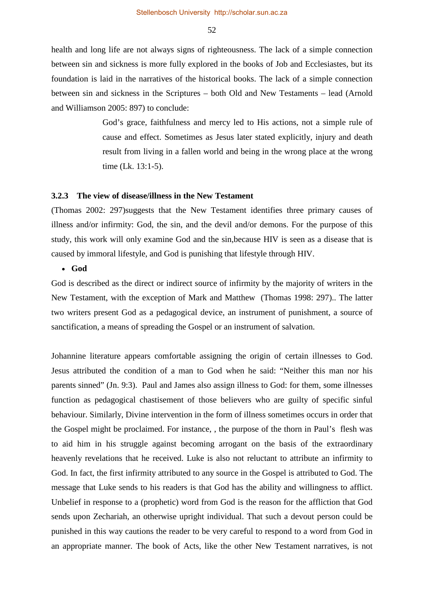health and long life are not always signs of righteousness. The lack of a simple connection between sin and sickness is more fully explored in the books of Job and Ecclesiastes, but its foundation is laid in the narratives of the historical books. The lack of a simple connection between sin and sickness in the Scriptures – both Old and New Testaments – lead (Arnold and Williamson 2005: 897) to conclude:

> God's grace, faithfulness and mercy led to His actions, not a simple rule of cause and effect. Sometimes as Jesus later stated explicitly, injury and death result from living in a fallen world and being in the wrong place at the wrong time (Lk. 13:1-5).

#### **3.2.3 The view of disease/illness in the New Testament**

(Thomas 2002: 297)suggests that the New Testament identifies three primary causes of illness and/or infirmity: God, the sin, and the devil and/or demons. For the purpose of this study, this work will only examine God and the sin,because HIV is seen as a disease that is caused by immoral lifestyle, and God is punishing that lifestyle through HIV.

#### • **God**

God is described as the direct or indirect source of infirmity by the majority of writers in the New Testament, with the exception of Mark and Matthew (Thomas 1998: 297).. The latter two writers present God as a pedagogical device, an instrument of punishment, a source of sanctification, a means of spreading the Gospel or an instrument of salvation.

Johannine literature appears comfortable assigning the origin of certain illnesses to God. Jesus attributed the condition of a man to God when he said: "Neither this man nor his parents sinned" (Jn. 9:3). Paul and James also assign illness to God: for them, some illnesses function as pedagogical chastisement of those believers who are guilty of specific sinful behaviour. Similarly, Divine intervention in the form of illness sometimes occurs in order that the Gospel might be proclaimed. For instance, , the purpose of the thorn in Paul's flesh was to aid him in his struggle against becoming arrogant on the basis of the extraordinary heavenly revelations that he received. Luke is also not reluctant to attribute an infirmity to God. In fact, the first infirmity attributed to any source in the Gospel is attributed to God. The message that Luke sends to his readers is that God has the ability and willingness to afflict. Unbelief in response to a (prophetic) word from God is the reason for the affliction that God sends upon Zechariah, an otherwise upright individual. That such a devout person could be punished in this way cautions the reader to be very careful to respond to a word from God in an appropriate manner. The book of Acts, like the other New Testament narratives, is not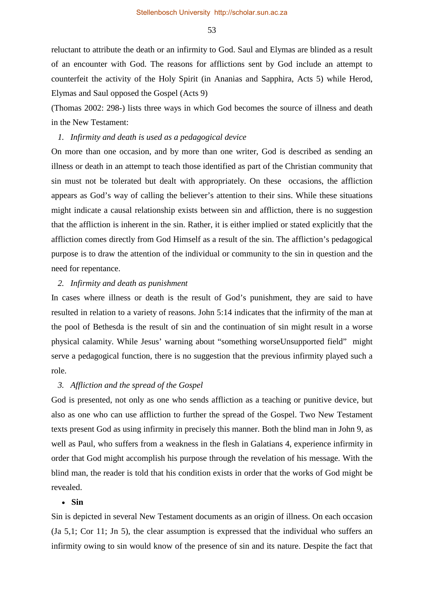Stellenbosch University http://scholar.sun.ac.za

53

reluctant to attribute the death or an infirmity to God. Saul and Elymas are blinded as a result of an encounter with God. The reasons for afflictions sent by God include an attempt to counterfeit the activity of the Holy Spirit (in Ananias and Sapphira, Acts 5) while Herod, Elymas and Saul opposed the Gospel (Acts 9)

(Thomas 2002: 298-) lists three ways in which God becomes the source of illness and death in the New Testament:

#### *1. Infirmity and death is used as a pedagogical device*

On more than one occasion, and by more than one writer, God is described as sending an illness or death in an attempt to teach those identified as part of the Christian community that sin must not be tolerated but dealt with appropriately. On these occasions, the affliction appears as God's way of calling the believer's attention to their sins. While these situations might indicate a causal relationship exists between sin and affliction, there is no suggestion that the affliction is inherent in the sin. Rather, it is either implied or stated explicitly that the affliction comes directly from God Himself as a result of the sin. The affliction's pedagogical purpose is to draw the attention of the individual or community to the sin in question and the need for repentance.

#### *2. Infirmity and death as punishment*

In cases where illness or death is the result of God's punishment, they are said to have resulted in relation to a variety of reasons. John 5:14 indicates that the infirmity of the man at the pool of Bethesda is the result of sin and the continuation of sin might result in a worse physical calamity. While Jesus' warning about "something worseUnsupported field" might serve a pedagogical function, there is no suggestion that the previous infirmity played such a role.

## *3. Affliction and the spread of the Gospel*

God is presented, not only as one who sends affliction as a teaching or punitive device, but also as one who can use affliction to further the spread of the Gospel. Two New Testament texts present God as using infirmity in precisely this manner. Both the blind man in John 9, as well as Paul, who suffers from a weakness in the flesh in Galatians 4, experience infirmity in order that God might accomplish his purpose through the revelation of his message. With the blind man, the reader is told that his condition exists in order that the works of God might be revealed.

## • **Sin**

Sin is depicted in several New Testament documents as an origin of illness. On each occasion (Ja 5,1; Cor 11; Jn 5), the clear assumption is expressed that the individual who suffers an infirmity owing to sin would know of the presence of sin and its nature. Despite the fact that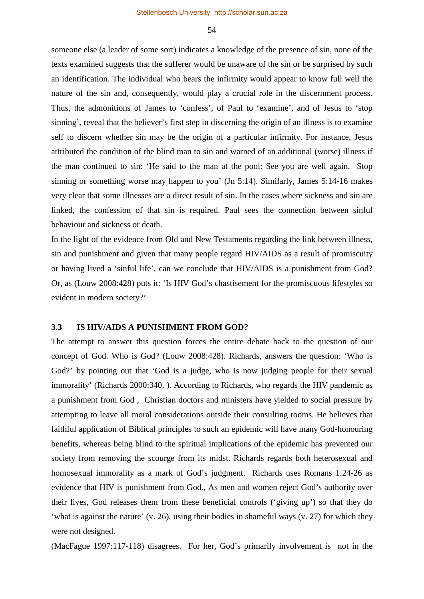someone else (a leader of some sort) indicates a knowledge of the presence of sin, none of the texts examined suggests that the sufferer would be unaware of the sin or be surprised by such an identification. The individual who bears the infirmity would appear to know full well the nature of the sin and, consequently, would play a crucial role in the discernment process. Thus, the admonitions of James to 'confess', of Paul to 'examine', and of Jesus to 'stop sinning', reveal that the believer's first step in discerning the origin of an illness is to examine self to discern whether sin may be the origin of a particular infirmity. For instance, Jesus attributed the condition of the blind man to sin and warned of an additional (worse) illness if the man continued to sin: 'He said to the man at the pool: See you are well again. Stop sinning or something worse may happen to you' (Jn 5:14). Similarly, James 5:14-16 makes very clear that some illnesses are a direct result of sin. In the cases where sickness and sin are linked, the confession of that sin is required. Paul sees the connection between sinful behaviour and sickness or death.

In the light of the evidence from Old and New Testaments regarding the link between illness, sin and punishment and given that many people regard HIV/AIDS as a result of promiscuity or having lived a 'sinful life', can we conclude that HIV/AIDS is a punishment from God? Or, as (Louw 2008:428) puts it: 'Is HIV God's chastisement for the promiscuous lifestyles so evident in modern society?'

## **3.3 IS HIV/AIDS A PUNISHMENT FROM GOD?**

The attempt to answer this question forces the entire debate back to the question of our concept of God. Who is God? (Louw 2008:428). Richards, answers the question: 'Who is God?' by pointing out that 'God is a judge, who is now judging people for their sexual immorality' (Richards 2000:340, ). According to Richards, who regards the HIV pandemic as a punishment from God , Christian doctors and ministers have yielded to social pressure by attempting to leave all moral considerations outside their consulting rooms. He believes that faithful application of Biblical principles to such an epidemic will have many God-honouring benefits, whereas being blind to the spiritual implications of the epidemic has prevented our society from removing the scourge from its midst. Richards regards both heterosexual and homosexual immorality as a mark of God's judgment. Richards uses Romans 1:24-26 as evidence that HIV is punishment from God., As men and women reject God's authority over their lives, God releases them from these beneficial controls ('giving up') so that they do 'what is against the nature' (v. 26), using their bodies in shameful ways (v. 27) for which they were not designed.

(MacFague 1997:117-118) disagrees. For her, God's primarily involvement is not in the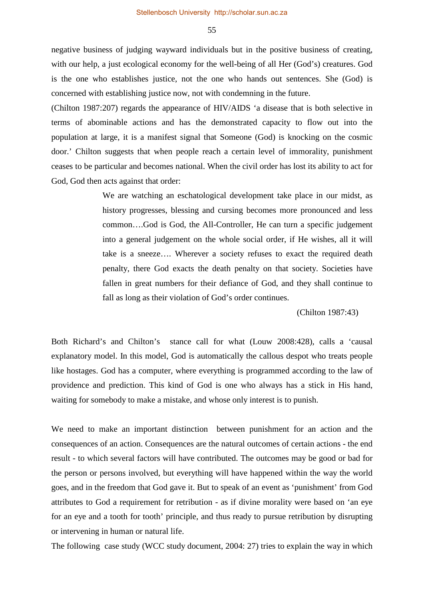negative business of judging wayward individuals but in the positive business of creating, with our help, a just ecological economy for the well-being of all Her (God's) creatures. God is the one who establishes justice, not the one who hands out sentences. She (God) is concerned with establishing justice now, not with condemning in the future.

(Chilton 1987:207) regards the appearance of HIV/AIDS 'a disease that is both selective in terms of abominable actions and has the demonstrated capacity to flow out into the population at large, it is a manifest signal that Someone (God) is knocking on the cosmic door.' Chilton suggests that when people reach a certain level of immorality, punishment ceases to be particular and becomes national. When the civil order has lost its ability to act for God, God then acts against that order:

> We are watching an eschatological development take place in our midst, as history progresses, blessing and cursing becomes more pronounced and less common….God is God, the All-Controller, He can turn a specific judgement into a general judgement on the whole social order, if He wishes, all it will take is a sneeze…. Wherever a society refuses to exact the required death penalty, there God exacts the death penalty on that society. Societies have fallen in great numbers for their defiance of God, and they shall continue to fall as long as their violation of God's order continues.

> > (Chilton 1987:43)

Both Richard's and Chilton's stance call for what (Louw 2008:428), calls a 'causal explanatory model. In this model, God is automatically the callous despot who treats people like hostages. God has a computer, where everything is programmed according to the law of providence and prediction. This kind of God is one who always has a stick in His hand, waiting for somebody to make a mistake, and whose only interest is to punish.

We need to make an important distinction between punishment for an action and the consequences of an action. Consequences are the natural outcomes of certain actions - the end result - to which several factors will have contributed. The outcomes may be good or bad for the person or persons involved, but everything will have happened within the way the world goes, and in the freedom that God gave it. But to speak of an event as 'punishment' from God attributes to God a requirement for retribution - as if divine morality were based on 'an eye for an eye and a tooth for tooth' principle, and thus ready to pursue retribution by disrupting or intervening in human or natural life.

The following case study (WCC study document, 2004: 27) tries to explain the way in which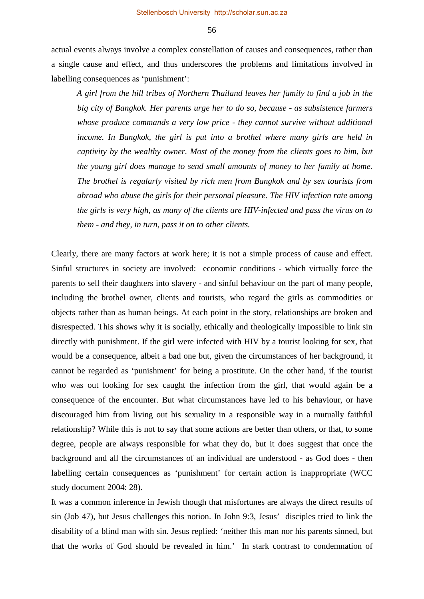actual events always involve a complex constellation of causes and consequences, rather than a single cause and effect, and thus underscores the problems and limitations involved in labelling consequences as 'punishment':

*A girl from the hill tribes of Northern Thailand leaves her family to find a job in the big city of Bangkok. Her parents urge her to do so, because - as subsistence farmers whose produce commands a very low price - they cannot survive without additional income. In Bangkok, the girl is put into a brothel where many girls are held in captivity by the wealthy owner. Most of the money from the clients goes to him, but the young girl does manage to send small amounts of money to her family at home. The brothel is regularly visited by rich men from Bangkok and by sex tourists from abroad who abuse the girls for their personal pleasure. The HIV infection rate among the girls is very high, as many of the clients are HIV-infected and pass the virus on to them - and they, in turn, pass it on to other clients.* 

Clearly, there are many factors at work here; it is not a simple process of cause and effect. Sinful structures in society are involved: economic conditions - which virtually force the parents to sell their daughters into slavery - and sinful behaviour on the part of many people, including the brothel owner, clients and tourists, who regard the girls as commodities or objects rather than as human beings. At each point in the story, relationships are broken and disrespected. This shows why it is socially, ethically and theologically impossible to link sin directly with punishment. If the girl were infected with HIV by a tourist looking for sex, that would be a consequence, albeit a bad one but, given the circumstances of her background, it cannot be regarded as 'punishment' for being a prostitute. On the other hand, if the tourist who was out looking for sex caught the infection from the girl, that would again be a consequence of the encounter. But what circumstances have led to his behaviour, or have discouraged him from living out his sexuality in a responsible way in a mutually faithful relationship? While this is not to say that some actions are better than others, or that, to some degree, people are always responsible for what they do, but it does suggest that once the background and all the circumstances of an individual are understood - as God does - then labelling certain consequences as 'punishment' for certain action is inappropriate (WCC study document 2004: 28).

It was a common inference in Jewish though that misfortunes are always the direct results of sin (Job 47), but Jesus challenges this notion. In John 9:3, Jesus' disciples tried to link the disability of a blind man with sin. Jesus replied: 'neither this man nor his parents sinned, but that the works of God should be revealed in him.' In stark contrast to condemnation of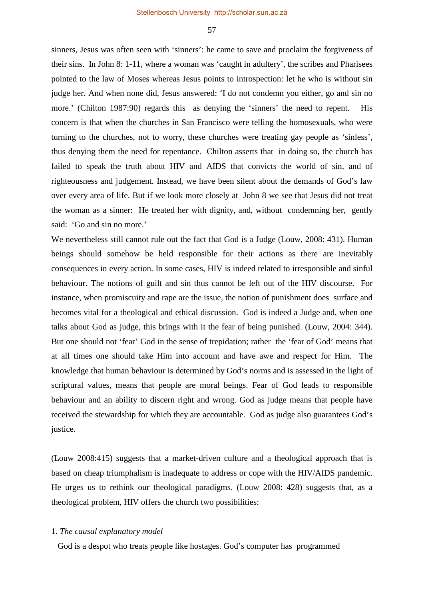sinners, Jesus was often seen with 'sinners': he came to save and proclaim the forgiveness of their sins. In John 8: 1-11, where a woman was 'caught in adultery', the scribes and Pharisees pointed to the law of Moses whereas Jesus points to introspection: let he who is without sin judge her. And when none did, Jesus answered: 'I do not condemn you either, go and sin no more.' (Chilton 1987:90) regards this as denying the 'sinners' the need to repent. His concern is that when the churches in San Francisco were telling the homosexuals, who were turning to the churches, not to worry, these churches were treating gay people as 'sinless', thus denying them the need for repentance. Chilton asserts that in doing so, the church has failed to speak the truth about HIV and AIDS that convicts the world of sin, and of righteousness and judgement. Instead, we have been silent about the demands of God's law over every area of life. But if we look more closely at John 8 we see that Jesus did not treat the woman as a sinner: He treated her with dignity, and, without condemning her, gently said: 'Go and sin no more.'

We nevertheless still cannot rule out the fact that God is a Judge (Louw, 2008: 431). Human beings should somehow be held responsible for their actions as there are inevitably consequences in every action. In some cases, HIV is indeed related to irresponsible and sinful behaviour. The notions of guilt and sin thus cannot be left out of the HIV discourse. For instance, when promiscuity and rape are the issue, the notion of punishment does surface and becomes vital for a theological and ethical discussion. God is indeed a Judge and, when one talks about God as judge, this brings with it the fear of being punished. (Louw, 2004: 344). But one should not 'fear' God in the sense of trepidation; rather the 'fear of God' means that at all times one should take Him into account and have awe and respect for Him. The knowledge that human behaviour is determined by God's norms and is assessed in the light of scriptural values, means that people are moral beings. Fear of God leads to responsible behaviour and an ability to discern right and wrong. God as judge means that people have received the stewardship for which they are accountable. God as judge also guarantees God's justice.

(Louw 2008:415) suggests that a market-driven culture and a theological approach that is based on cheap triumphalism is inadequate to address or cope with the HIV/AIDS pandemic. He urges us to rethink our theological paradigms. (Louw 2008: 428) suggests that, as a theological problem, HIV offers the church two possibilities:

#### 1. *The causal explanatory model*

God is a despot who treats people like hostages. God's computer has programmed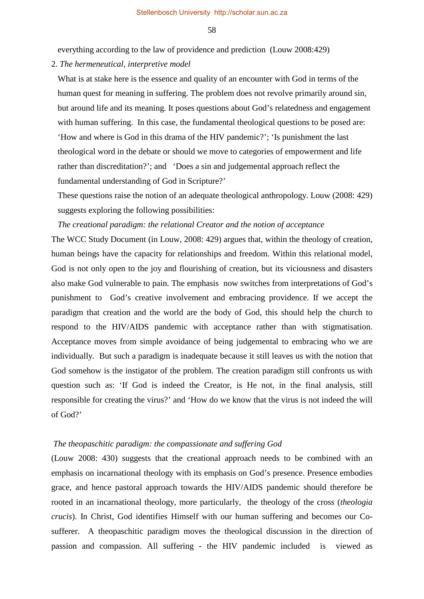everything according to the law of providence and prediction (Louw 2008:429)

#### 2. *The hermeneutical, interpretive model*

What is at stake here is the essence and quality of an encounter with God in terms of the human quest for meaning in suffering. The problem does not revolve primarily around sin, but around life and its meaning. It poses questions about God's relatedness and engagement with human suffering. In this case, the fundamental theological questions to be posed are: 'How and where is God in this drama of the HIV pandemic?'; 'Is punishment the last theological word in the debate or should we move to categories of empowerment and life rather than discreditation?'; and 'Does a sin and judgemental approach reflect the fundamental understanding of God in Scripture?'

These questions raise the notion of an adequate theological anthropology. Louw (2008: 429) suggests exploring the following possibilities:

*The creational paradigm: the relational Creator and the notion of acceptance*

The WCC Study Document (in Louw, 2008: 429) argues that, within the theology of creation, human beings have the capacity for relationships and freedom. Within this relational model, God is not only open to the joy and flourishing of creation, but its viciousness and disasters also make God vulnerable to pain. The emphasis now switches from interpretations of God's punishment to God's creative involvement and embracing providence. If we accept the paradigm that creation and the world are the body of God, this should help the church to respond to the HIV/AIDS pandemic with acceptance rather than with stigmatisation. Acceptance moves from simple avoidance of being judgemental to embracing who we are individually. But such a paradigm is inadequate because it still leaves us with the notion that God somehow is the instigator of the problem. The creation paradigm still confronts us with question such as: 'If God is indeed the Creator, is He not, in the final analysis, still responsible for creating the virus?' and 'How do we know that the virus is not indeed the will of God?'

#### *The theopaschitic paradigm: the compassionate and suffering God*

(Louw 2008: 430) suggests that the creational approach needs to be combined with an emphasis on incarnational theology with its emphasis on God's presence. Presence embodies grace, and hence pastoral approach towards the HIV/AIDS pandemic should therefore be rooted in an incarnational theology, more particularly, the theology of the cross (*theologia crucis*). In Christ, God identifies Himself with our human suffering and becomes our Cosufferer. A theopaschitic paradigm moves the theological discussion in the direction of passion and compassion. All suffering - the HIV pandemic included is viewed as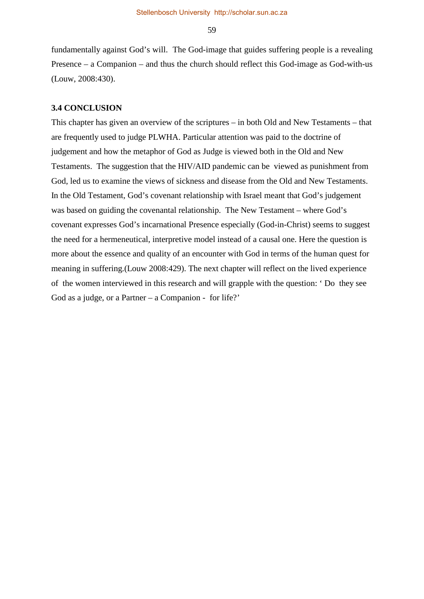fundamentally against God's will. The God-image that guides suffering people is a revealing Presence – a Companion – and thus the church should reflect this God-image as God-with-us (Louw, 2008:430).

## **3.4 CONCLUSION**

This chapter has given an overview of the scriptures – in both Old and New Testaments – that are frequently used to judge PLWHA. Particular attention was paid to the doctrine of judgement and how the metaphor of God as Judge is viewed both in the Old and New Testaments. The suggestion that the HIV/AID pandemic can be viewed as punishment from God, led us to examine the views of sickness and disease from the Old and New Testaments. In the Old Testament, God's covenant relationship with Israel meant that God's judgement was based on guiding the covenantal relationship. The New Testament – where God's covenant expresses God's incarnational Presence especially (God-in-Christ) seems to suggest the need for a hermeneutical, interpretive model instead of a causal one. Here the question is more about the essence and quality of an encounter with God in terms of the human quest for meaning in suffering.(Louw 2008:429). The next chapter will reflect on the lived experience of the women interviewed in this research and will grapple with the question: ' Do they see God as a judge, or a Partner – a Companion - for life?'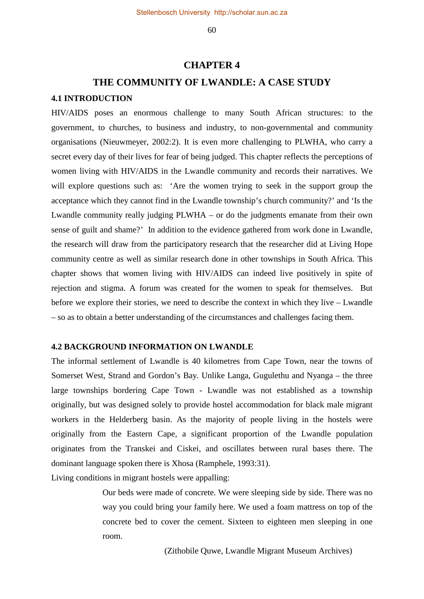## **CHAPTER 4**

# **THE COMMUNITY OF LWANDLE: A CASE STUDY**

## **4.1 INTRODUCTION**

HIV/AIDS poses an enormous challenge to many South African structures: to the government, to churches, to business and industry, to non-governmental and community organisations (Nieuwmeyer, 2002:2). It is even more challenging to PLWHA, who carry a secret every day of their lives for fear of being judged. This chapter reflects the perceptions of women living with HIV/AIDS in the Lwandle community and records their narratives. We will explore questions such as: 'Are the women trying to seek in the support group the acceptance which they cannot find in the Lwandle township's church community?' and 'Is the Lwandle community really judging PLWHA – or do the judgments emanate from their own sense of guilt and shame?' In addition to the evidence gathered from work done in Lwandle, the research will draw from the participatory research that the researcher did at Living Hope community centre as well as similar research done in other townships in South Africa. This chapter shows that women living with HIV/AIDS can indeed live positively in spite of rejection and stigma. A forum was created for the women to speak for themselves. But before we explore their stories, we need to describe the context in which they live – Lwandle – so as to obtain a better understanding of the circumstances and challenges facing them.

## **4.2 BACKGROUND INFORMATION ON LWANDLE**

The informal settlement of Lwandle is 40 kilometres from Cape Town, near the towns of Somerset West, Strand and Gordon's Bay. Unlike Langa, Gugulethu and Nyanga – the three large townships bordering Cape Town - Lwandle was not established as a township originally, but was designed solely to provide hostel accommodation for black male migrant workers in the Helderberg basin. As the majority of people living in the hostels were originally from the Eastern Cape, a significant proportion of the Lwandle population originates from the Transkei and Ciskei, and oscillates between rural bases there. The dominant language spoken there is Xhosa (Ramphele, 1993:31).

Living conditions in migrant hostels were appalling:

Our beds were made of concrete. We were sleeping side by side. There was no way you could bring your family here. We used a foam mattress on top of the concrete bed to cover the cement. Sixteen to eighteen men sleeping in one room.

(Zithobile Quwe, Lwandle Migrant Museum Archives)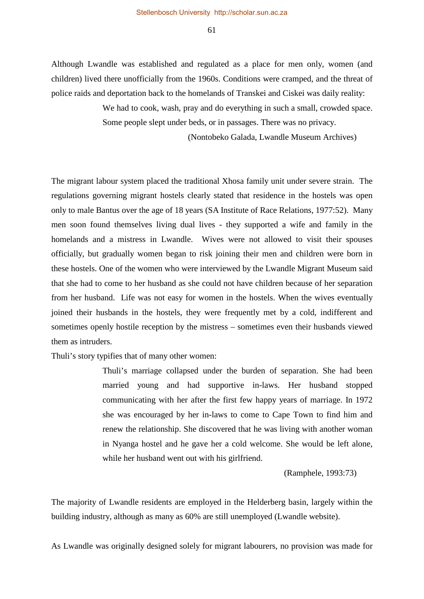Although Lwandle was established and regulated as a place for men only, women (and children) lived there unofficially from the 1960s. Conditions were cramped, and the threat of police raids and deportation back to the homelands of Transkei and Ciskei was daily reality:

> We had to cook, wash, pray and do everything in such a small, crowded space. Some people slept under beds, or in passages. There was no privacy.

> > (Nontobeko Galada, Lwandle Museum Archives)

The migrant labour system placed the traditional Xhosa family unit under severe strain. The regulations governing migrant hostels clearly stated that residence in the hostels was open only to male Bantus over the age of 18 years (SA Institute of Race Relations, 1977:52). Many men soon found themselves living dual lives - they supported a wife and family in the homelands and a mistress in Lwandle. Wives were not allowed to visit their spouses officially, but gradually women began to risk joining their men and children were born in these hostels. One of the women who were interviewed by the Lwandle Migrant Museum said that she had to come to her husband as she could not have children because of her separation from her husband. Life was not easy for women in the hostels. When the wives eventually joined their husbands in the hostels, they were frequently met by a cold, indifferent and sometimes openly hostile reception by the mistress – sometimes even their husbands viewed them as intruders.

Thuli's story typifies that of many other women:

Thuli's marriage collapsed under the burden of separation. She had been married young and had supportive in-laws. Her husband stopped communicating with her after the first few happy years of marriage. In 1972 she was encouraged by her in-laws to come to Cape Town to find him and renew the relationship. She discovered that he was living with another woman in Nyanga hostel and he gave her a cold welcome. She would be left alone, while her husband went out with his girlfriend.

(Ramphele, 1993:73)

The majority of Lwandle residents are employed in the Helderberg basin, largely within the building industry, although as many as 60% are still unemployed (Lwandle website).

As Lwandle was originally designed solely for migrant labourers, no provision was made for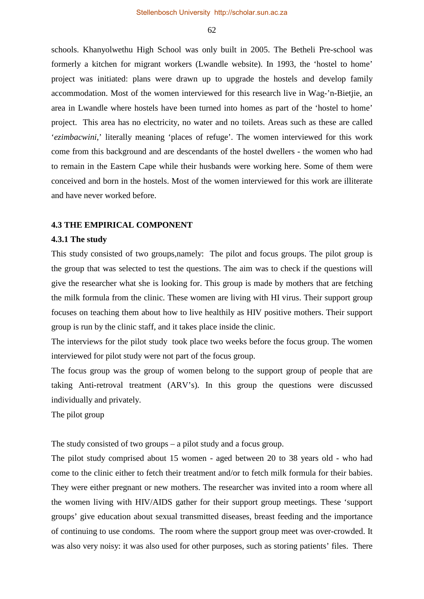schools. Khanyolwethu High School was only built in 2005. The Betheli Pre-school was formerly a kitchen for migrant workers (Lwandle website). In 1993, the 'hostel to home' project was initiated: plans were drawn up to upgrade the hostels and develop family accommodation. Most of the women interviewed for this research live in Wag-'n-Bietjie, an area in Lwandle where hostels have been turned into homes as part of the 'hostel to home' project. This area has no electricity, no water and no toilets. Areas such as these are called '*ezimbacwini*,' literally meaning 'places of refuge'. The women interviewed for this work come from this background and are descendants of the hostel dwellers - the women who had to remain in the Eastern Cape while their husbands were working here. Some of them were conceived and born in the hostels. Most of the women interviewed for this work are illiterate and have never worked before.

## **4.3 THE EMPIRICAL COMPONENT**

#### **4.3.1 The study**

This study consisted of two groups,namely: The pilot and focus groups. The pilot group is the group that was selected to test the questions. The aim was to check if the questions will give the researcher what she is looking for. This group is made by mothers that are fetching the milk formula from the clinic. These women are living with HI virus. Their support group focuses on teaching them about how to live healthily as HIV positive mothers. Their support group is run by the clinic staff, and it takes place inside the clinic.

The interviews for the pilot study took place two weeks before the focus group. The women interviewed for pilot study were not part of the focus group.

The focus group was the group of women belong to the support group of people that are taking Anti-retroval treatment (ARV's). In this group the questions were discussed individually and privately.

#### The pilot group

The study consisted of two groups – a pilot study and a focus group.

The pilot study comprised about 15 women - aged between 20 to 38 years old - who had come to the clinic either to fetch their treatment and/or to fetch milk formula for their babies. They were either pregnant or new mothers. The researcher was invited into a room where all the women living with HIV/AIDS gather for their support group meetings. These 'support groups' give education about sexual transmitted diseases, breast feeding and the importance of continuing to use condoms. The room where the support group meet was over-crowded. It was also very noisy: it was also used for other purposes, such as storing patients' files. There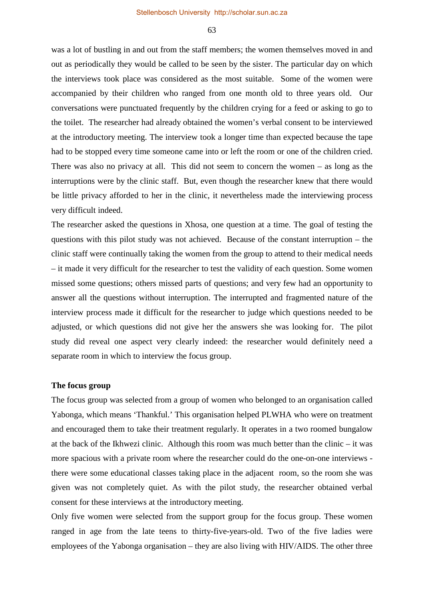was a lot of bustling in and out from the staff members; the women themselves moved in and out as periodically they would be called to be seen by the sister. The particular day on which the interviews took place was considered as the most suitable. Some of the women were accompanied by their children who ranged from one month old to three years old. Our conversations were punctuated frequently by the children crying for a feed or asking to go to the toilet. The researcher had already obtained the women's verbal consent to be interviewed at the introductory meeting. The interview took a longer time than expected because the tape had to be stopped every time someone came into or left the room or one of the children cried. There was also no privacy at all. This did not seem to concern the women – as long as the interruptions were by the clinic staff. But, even though the researcher knew that there would be little privacy afforded to her in the clinic, it nevertheless made the interviewing process very difficult indeed.

The researcher asked the questions in Xhosa, one question at a time. The goal of testing the questions with this pilot study was not achieved. Because of the constant interruption – the clinic staff were continually taking the women from the group to attend to their medical needs – it made it very difficult for the researcher to test the validity of each question. Some women missed some questions; others missed parts of questions; and very few had an opportunity to answer all the questions without interruption. The interrupted and fragmented nature of the interview process made it difficult for the researcher to judge which questions needed to be adjusted, or which questions did not give her the answers she was looking for. The pilot study did reveal one aspect very clearly indeed: the researcher would definitely need a separate room in which to interview the focus group.

#### **The focus group**

The focus group was selected from a group of women who belonged to an organisation called Yabonga, which means 'Thankful.' This organisation helped PLWHA who were on treatment and encouraged them to take their treatment regularly. It operates in a two roomed bungalow at the back of the Ikhwezi clinic. Although this room was much better than the clinic – it was more spacious with a private room where the researcher could do the one-on-one interviews there were some educational classes taking place in the adjacent room, so the room she was given was not completely quiet. As with the pilot study, the researcher obtained verbal consent for these interviews at the introductory meeting.

Only five women were selected from the support group for the focus group. These women ranged in age from the late teens to thirty-five-years-old. Two of the five ladies were employees of the Yabonga organisation – they are also living with HIV/AIDS. The other three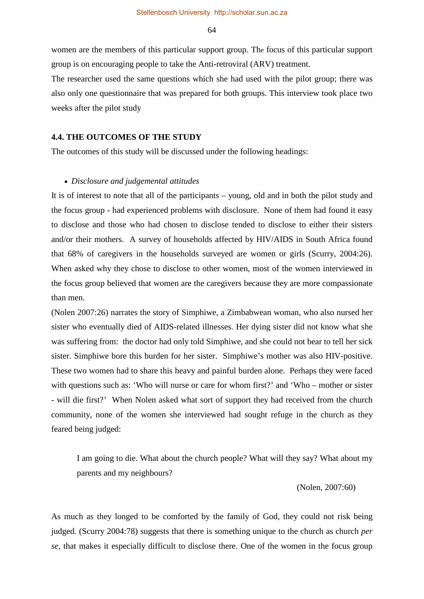women are the members of this particular support group. The focus of this particular support group is on encouraging people to take the Anti-retroviral (ARV) treatment.

The researcher used the same questions which she had used with the pilot group; there was also only one questionnaire that was prepared for both groups. This interview took place two weeks after the pilot study

#### **4.4. THE OUTCOMES OF THE STUDY**

The outcomes of this study will be discussed under the following headings:

#### • *Disclosure and judgemental attitudes*

It is of interest to note that all of the participants – young, old and in both the pilot study and the focus group - had experienced problems with disclosure. None of them had found it easy to disclose and those who had chosen to disclose tended to disclose to either their sisters and/or their mothers. A survey of households affected by HIV/AIDS in South Africa found that 68% of caregivers in the households surveyed are women or girls (Scurry, 2004:26). When asked why they chose to disclose to other women, most of the women interviewed in the focus group believed that women are the caregivers because they are more compassionate than men.

(Nolen 2007:26) narrates the story of Simphiwe, a Zimbabwean woman, who also nursed her sister who eventually died of AIDS-related illnesses. Her dying sister did not know what she was suffering from: the doctor had only told Simphiwe, and she could not bear to tell her sick sister. Simphiwe bore this burden for her sister. Simphiwe's mother was also HIV-positive. These two women had to share this heavy and painful burden alone. Perhaps they were faced with questions such as: 'Who will nurse or care for whom first?' and 'Who – mother or sister - will die first?' When Nolen asked what sort of support they had received from the church community, none of the women she interviewed had sought refuge in the church as they feared being judged:

I am going to die. What about the church people? What will they say? What about my parents and my neighbours?

(Nolen, 2007:60)

As much as they longed to be comforted by the family of God, they could not risk being judged. (Scurry 2004:78) suggests that there is something unique to the church as church *per se*, that makes it especially difficult to disclose there. One of the women in the focus group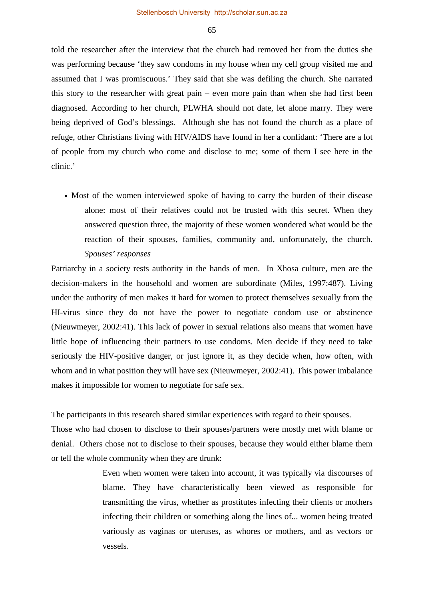told the researcher after the interview that the church had removed her from the duties she was performing because 'they saw condoms in my house when my cell group visited me and assumed that I was promiscuous.' They said that she was defiling the church. She narrated this story to the researcher with great pain – even more pain than when she had first been diagnosed. According to her church, PLWHA should not date, let alone marry. They were being deprived of God's blessings. Although she has not found the church as a place of refuge, other Christians living with HIV/AIDS have found in her a confidant: 'There are a lot of people from my church who come and disclose to me; some of them I see here in the clinic.'

• Most of the women interviewed spoke of having to carry the burden of their disease alone: most of their relatives could not be trusted with this secret. When they answered question three, the majority of these women wondered what would be the reaction of their spouses, families, community and, unfortunately, the church. *Spouses' responses* 

Patriarchy in a society rests authority in the hands of men. In Xhosa culture, men are the decision-makers in the household and women are subordinate (Miles, 1997:487). Living under the authority of men makes it hard for women to protect themselves sexually from the HI-virus since they do not have the power to negotiate condom use or abstinence (Nieuwmeyer, 2002:41). This lack of power in sexual relations also means that women have little hope of influencing their partners to use condoms. Men decide if they need to take seriously the HIV-positive danger, or just ignore it, as they decide when, how often, with whom and in what position they will have sex (Nieuwmeyer, 2002:41). This power imbalance makes it impossible for women to negotiate for safe sex.

The participants in this research shared similar experiences with regard to their spouses.

Those who had chosen to disclose to their spouses/partners were mostly met with blame or denial. Others chose not to disclose to their spouses, because they would either blame them or tell the whole community when they are drunk:

> Even when women were taken into account, it was typically via discourses of blame. They have characteristically been viewed as responsible for transmitting the virus, whether as prostitutes infecting their clients or mothers infecting their children or something along the lines of... women being treated variously as vaginas or uteruses, as whores or mothers, and as vectors or vessels.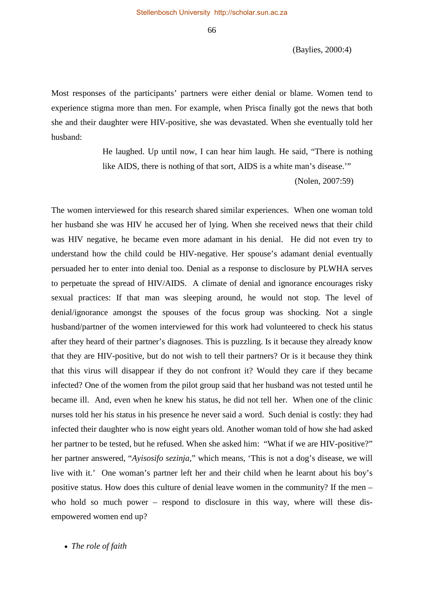(Baylies, 2000:4)

Most responses of the participants' partners were either denial or blame. Women tend to experience stigma more than men. For example, when Prisca finally got the news that both she and their daughter were HIV-positive, she was devastated. When she eventually told her husband:

> He laughed. Up until now, I can hear him laugh. He said, "There is nothing like AIDS, there is nothing of that sort, AIDS is a white man's disease.'"

> > (Nolen, 2007:59)

The women interviewed for this research shared similar experiences. When one woman told her husband she was HIV he accused her of lying. When she received news that their child was HIV negative, he became even more adamant in his denial. He did not even try to understand how the child could be HIV-negative. Her spouse's adamant denial eventually persuaded her to enter into denial too. Denial as a response to disclosure by PLWHA serves to perpetuate the spread of HIV/AIDS. A climate of denial and ignorance encourages risky sexual practices: If that man was sleeping around, he would not stop. The level of denial/ignorance amongst the spouses of the focus group was shocking. Not a single husband/partner of the women interviewed for this work had volunteered to check his status after they heard of their partner's diagnoses. This is puzzling. Is it because they already know that they are HIV-positive, but do not wish to tell their partners? Or is it because they think that this virus will disappear if they do not confront it? Would they care if they became infected? One of the women from the pilot group said that her husband was not tested until he became ill. And, even when he knew his status, he did not tell her. When one of the clinic nurses told her his status in his presence he never said a word. Such denial is costly: they had infected their daughter who is now eight years old. Another woman told of how she had asked her partner to be tested, but he refused. When she asked him: "What if we are HIV-positive?" her partner answered, "*Ayisosifo sezinja*," which means, 'This is not a dog's disease, we will live with it.' One woman's partner left her and their child when he learnt about his boy's positive status. How does this culture of denial leave women in the community? If the men – who hold so much power – respond to disclosure in this way, where will these disempowered women end up?

• *The role of faith*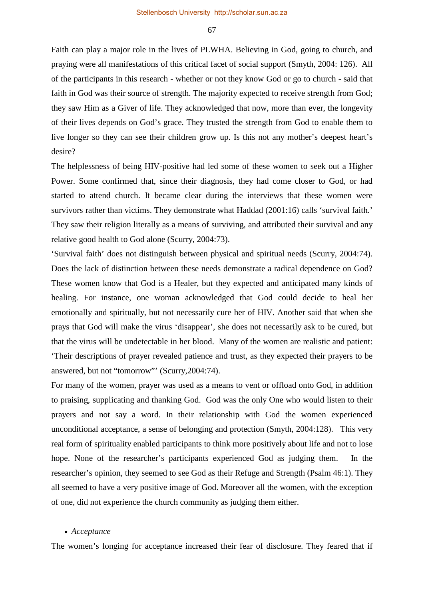Faith can play a major role in the lives of PLWHA. Believing in God, going to church, and praying were all manifestations of this critical facet of social support (Smyth, 2004: 126). All of the participants in this research - whether or not they know God or go to church - said that faith in God was their source of strength. The majority expected to receive strength from God; they saw Him as a Giver of life. They acknowledged that now, more than ever, the longevity of their lives depends on God's grace. They trusted the strength from God to enable them to live longer so they can see their children grow up. Is this not any mother's deepest heart's desire?

The helplessness of being HIV-positive had led some of these women to seek out a Higher Power. Some confirmed that, since their diagnosis, they had come closer to God, or had started to attend church. It became clear during the interviews that these women were survivors rather than victims. They demonstrate what Haddad (2001:16) calls 'survival faith.' They saw their religion literally as a means of surviving, and attributed their survival and any relative good health to God alone (Scurry, 2004:73).

'Survival faith' does not distinguish between physical and spiritual needs (Scurry, 2004:74). Does the lack of distinction between these needs demonstrate a radical dependence on God? These women know that God is a Healer, but they expected and anticipated many kinds of healing. For instance, one woman acknowledged that God could decide to heal her emotionally and spiritually, but not necessarily cure her of HIV. Another said that when she prays that God will make the virus 'disappear', she does not necessarily ask to be cured, but that the virus will be undetectable in her blood. Many of the women are realistic and patient: 'Their descriptions of prayer revealed patience and trust, as they expected their prayers to be answered, but not "tomorrow"' (Scurry,2004:74).

For many of the women, prayer was used as a means to vent or offload onto God, in addition to praising, supplicating and thanking God. God was the only One who would listen to their prayers and not say a word. In their relationship with God the women experienced unconditional acceptance, a sense of belonging and protection (Smyth, 2004:128). This very real form of spirituality enabled participants to think more positively about life and not to lose hope. None of the researcher's participants experienced God as judging them. In the researcher's opinion, they seemed to see God as their Refuge and Strength (Psalm 46:1). They all seemed to have a very positive image of God. Moreover all the women, with the exception of one, did not experience the church community as judging them either.

#### • *Acceptance*

The women's longing for acceptance increased their fear of disclosure. They feared that if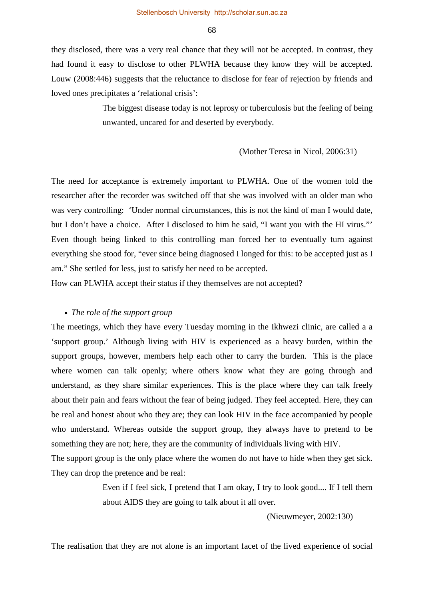they disclosed, there was a very real chance that they will not be accepted. In contrast, they had found it easy to disclose to other PLWHA because they know they will be accepted. Louw (2008:446) suggests that the reluctance to disclose for fear of rejection by friends and loved ones precipitates a 'relational crisis':

> The biggest disease today is not leprosy or tuberculosis but the feeling of being unwanted, uncared for and deserted by everybody.

#### (Mother Teresa in Nicol, 2006:31)

The need for acceptance is extremely important to PLWHA. One of the women told the researcher after the recorder was switched off that she was involved with an older man who was very controlling: 'Under normal circumstances, this is not the kind of man I would date, but I don't have a choice. After I disclosed to him he said, "I want you with the HI virus."' Even though being linked to this controlling man forced her to eventually turn against everything she stood for, "ever since being diagnosed I longed for this: to be accepted just as I am." She settled for less, just to satisfy her need to be accepted.

How can PLWHA accept their status if they themselves are not accepted?

#### • *The role of the support group*

The meetings, which they have every Tuesday morning in the Ikhwezi clinic, are called a a 'support group.' Although living with HIV is experienced as a heavy burden, within the support groups, however, members help each other to carry the burden. This is the place where women can talk openly; where others know what they are going through and understand, as they share similar experiences. This is the place where they can talk freely about their pain and fears without the fear of being judged. They feel accepted. Here, they can be real and honest about who they are; they can look HIV in the face accompanied by people who understand. Whereas outside the support group, they always have to pretend to be something they are not; here, they are the community of individuals living with HIV.

The support group is the only place where the women do not have to hide when they get sick. They can drop the pretence and be real:

> Even if I feel sick, I pretend that I am okay, I try to look good.... If I tell them about AIDS they are going to talk about it all over.

> > (Nieuwmeyer, 2002:130)

The realisation that they are not alone is an important facet of the lived experience of social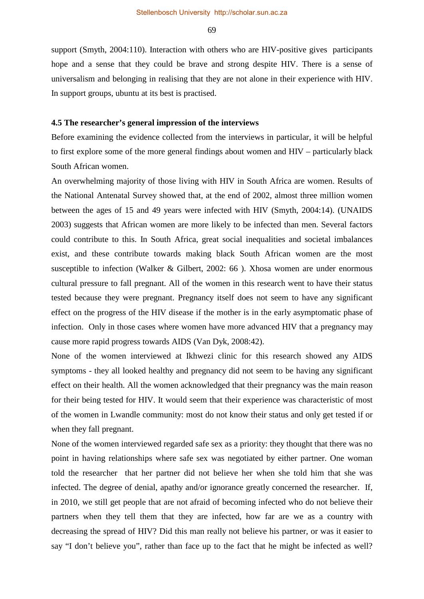support (Smyth, 2004:110). Interaction with others who are HIV-positive gives participants hope and a sense that they could be brave and strong despite HIV. There is a sense of universalism and belonging in realising that they are not alone in their experience with HIV. In support groups, ubuntu at its best is practised.

#### **4.5 The researcher's general impression of the interviews**

Before examining the evidence collected from the interviews in particular, it will be helpful to first explore some of the more general findings about women and HIV – particularly black South African women.

An overwhelming majority of those living with HIV in South Africa are women. Results of the National Antenatal Survey showed that, at the end of 2002, almost three million women between the ages of 15 and 49 years were infected with HIV (Smyth, 2004:14). (UNAIDS 2003) suggests that African women are more likely to be infected than men. Several factors could contribute to this. In South Africa, great social inequalities and societal imbalances exist, and these contribute towards making black South African women are the most susceptible to infection (Walker & Gilbert, 2002: 66 ). Xhosa women are under enormous cultural pressure to fall pregnant. All of the women in this research went to have their status tested because they were pregnant. Pregnancy itself does not seem to have any significant effect on the progress of the HIV disease if the mother is in the early asymptomatic phase of infection. Only in those cases where women have more advanced HIV that a pregnancy may cause more rapid progress towards AIDS (Van Dyk, 2008:42).

None of the women interviewed at Ikhwezi clinic for this research showed any AIDS symptoms - they all looked healthy and pregnancy did not seem to be having any significant effect on their health. All the women acknowledged that their pregnancy was the main reason for their being tested for HIV. It would seem that their experience was characteristic of most of the women in Lwandle community: most do not know their status and only get tested if or when they fall pregnant.

None of the women interviewed regarded safe sex as a priority: they thought that there was no point in having relationships where safe sex was negotiated by either partner. One woman told the researcher that her partner did not believe her when she told him that she was infected. The degree of denial, apathy and/or ignorance greatly concerned the researcher. If, in 2010, we still get people that are not afraid of becoming infected who do not believe their partners when they tell them that they are infected, how far are we as a country with decreasing the spread of HIV? Did this man really not believe his partner, or was it easier to say "I don't believe you", rather than face up to the fact that he might be infected as well?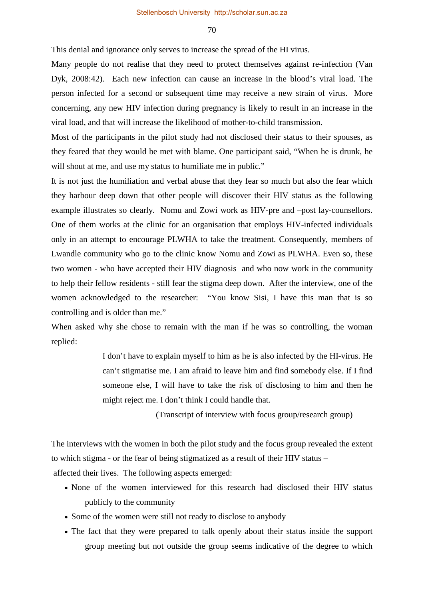This denial and ignorance only serves to increase the spread of the HI virus.

Many people do not realise that they need to protect themselves against re-infection (Van Dyk, 2008:42). Each new infection can cause an increase in the blood's viral load. The person infected for a second or subsequent time may receive a new strain of virus. More concerning, any new HIV infection during pregnancy is likely to result in an increase in the viral load, and that will increase the likelihood of mother-to-child transmission.

Most of the participants in the pilot study had not disclosed their status to their spouses, as they feared that they would be met with blame. One participant said, "When he is drunk, he will shout at me, and use my status to humiliate me in public."

It is not just the humiliation and verbal abuse that they fear so much but also the fear which they harbour deep down that other people will discover their HIV status as the following example illustrates so clearly. Nomu and Zowi work as HIV-pre and –post lay-counsellors. One of them works at the clinic for an organisation that employs HIV-infected individuals only in an attempt to encourage PLWHA to take the treatment. Consequently, members of Lwandle community who go to the clinic know Nomu and Zowi as PLWHA. Even so, these two women - who have accepted their HIV diagnosis and who now work in the community to help their fellow residents - still fear the stigma deep down. After the interview, one of the women acknowledged to the researcher: "You know Sisi, I have this man that is so controlling and is older than me."

When asked why she chose to remain with the man if he was so controlling, the woman replied:

> I don't have to explain myself to him as he is also infected by the HI-virus. He can't stigmatise me. I am afraid to leave him and find somebody else. If I find someone else, I will have to take the risk of disclosing to him and then he might reject me. I don't think I could handle that.

> > (Transcript of interview with focus group/research group)

The interviews with the women in both the pilot study and the focus group revealed the extent to which stigma - or the fear of being stigmatized as a result of their HIV status –

affected their lives. The following aspects emerged:

- None of the women interviewed for this research had disclosed their HIV status publicly to the community
- Some of the women were still not ready to disclose to anybody
- The fact that they were prepared to talk openly about their status inside the support group meeting but not outside the group seems indicative of the degree to which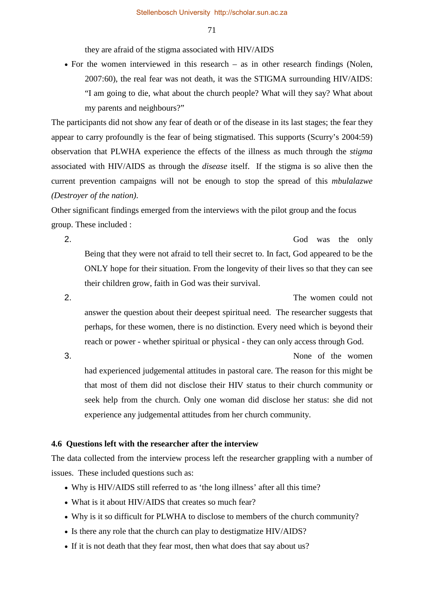they are afraid of the stigma associated with HIV/AIDS

• For the women interviewed in this research – as in other research findings (Nolen, 2007:60), the real fear was not death, it was the STIGMA surrounding HIV/AIDS: "I am going to die, what about the church people? What will they say? What about my parents and neighbours?"

The participants did not show any fear of death or of the disease in its last stages; the fear they appear to carry profoundly is the fear of being stigmatised. This supports (Scurry's 2004:59) observation that PLWHA experience the effects of the illness as much through the *stigma* associated with HIV/AIDS as through the *disease* itself. If the stigma is so alive then the current prevention campaigns will not be enough to stop the spread of this *mbulalazwe (Destroyer of the nation)*.

Other significant findings emerged from the interviews with the pilot group and the focus group. These included :

2. God was the only Being that they were not afraid to tell their secret to. In fact, God appeared to be the ONLY hope for their situation. From the longevity of their lives so that they can see their children grow, faith in God was their survival.

2. The women could not answer the question about their deepest spiritual need. The researcher suggests that perhaps, for these women, there is no distinction. Every need which is beyond their reach or power - whether spiritual or physical - they can only access through God.

3. None of the women had experienced judgemental attitudes in pastoral care. The reason for this might be that most of them did not disclose their HIV status to their church community or seek help from the church. Only one woman did disclose her status: she did not experience any judgemental attitudes from her church community.

### **4.6 Questions left with the researcher after the interview**

The data collected from the interview process left the researcher grappling with a number of issues. These included questions such as:

- Why is HIV/AIDS still referred to as 'the long illness' after all this time?
- What is it about HIV/AIDS that creates so much fear?
- Why is it so difficult for PLWHA to disclose to members of the church community?
- Is there any role that the church can play to destigmatize HIV/AIDS?
- If it is not death that they fear most, then what does that say about us?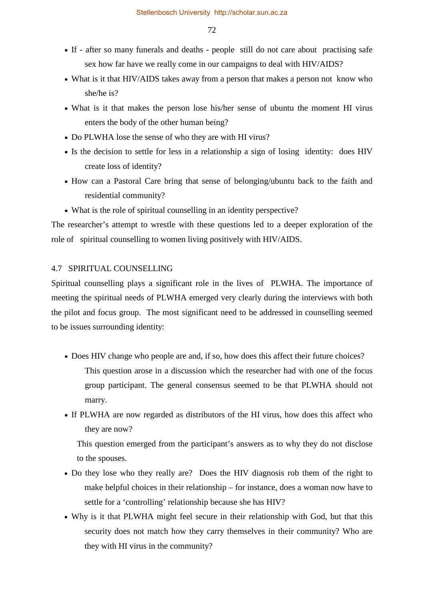- If after so many funerals and deaths people still do not care about practising safe sex how far have we really come in our campaigns to deal with HIV/AIDS?
- What is it that HIV/AIDS takes away from a person that makes a person not know who she/he is?
- What is it that makes the person lose his/her sense of ubuntu the moment HI virus enters the body of the other human being?
- Do PLWHA lose the sense of who they are with HI virus?
- Is the decision to settle for less in a relationship a sign of losing identity: does HIV create loss of identity?
- How can a Pastoral Care bring that sense of belonging/ubuntu back to the faith and residential community?
- What is the role of spiritual counselling in an identity perspective?

The researcher's attempt to wrestle with these questions led to a deeper exploration of the role of spiritual counselling to women living positively with HIV/AIDS.

## 4.7 SPIRITUAL COUNSELLING

Spiritual counselling plays a significant role in the lives of PLWHA. The importance of meeting the spiritual needs of PLWHA emerged very clearly during the interviews with both the pilot and focus group. The most significant need to be addressed in counselling seemed to be issues surrounding identity:

• Does HIV change who people are and, if so, how does this affect their future choices?

This question arose in a discussion which the researcher had with one of the focus group participant. The general consensus seemed to be that PLWHA should not marry.

• If PLWHA are now regarded as distributors of the HI virus, how does this affect who they are now?

This question emerged from the participant's answers as to why they do not disclose to the spouses.

- Do they lose who they really are? Does the HIV diagnosis rob them of the right to make helpful choices in their relationship – for instance, does a woman now have to settle for a 'controlling' relationship because she has HIV?
- Why is it that PLWHA might feel secure in their relationship with God, but that this security does not match how they carry themselves in their community? Who are they with HI virus in the community?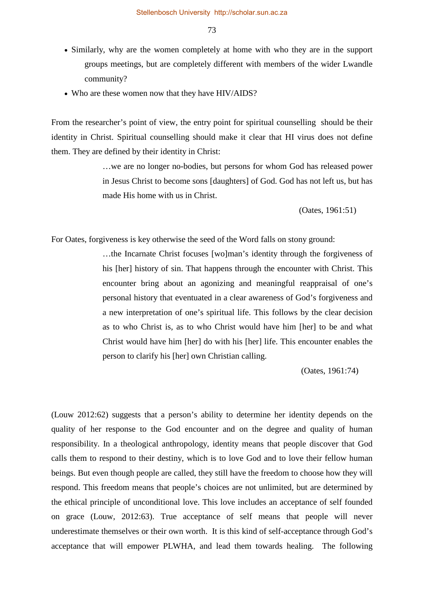- Similarly, why are the women completely at home with who they are in the support groups meetings, but are completely different with members of the wider Lwandle community?
- Who are these women now that they have HIV/AIDS?

From the researcher's point of view, the entry point for spiritual counselling should be their identity in Christ. Spiritual counselling should make it clear that HI virus does not define them. They are defined by their identity in Christ:

> …we are no longer no-bodies, but persons for whom God has released power in Jesus Christ to become sons [daughters] of God. God has not left us, but has made His home with us in Christ.

> > (Oates, 1961:51)

For Oates, forgiveness is key otherwise the seed of the Word falls on stony ground:

…the Incarnate Christ focuses [wo]man's identity through the forgiveness of his [her] history of sin. That happens through the encounter with Christ. This encounter bring about an agonizing and meaningful reappraisal of one's personal history that eventuated in a clear awareness of God's forgiveness and a new interpretation of one's spiritual life. This follows by the clear decision as to who Christ is, as to who Christ would have him [her] to be and what Christ would have him [her] do with his [her] life. This encounter enables the person to clarify his [her] own Christian calling.

(Oates, 1961:74)

(Louw 2012:62) suggests that a person's ability to determine her identity depends on the quality of her response to the God encounter and on the degree and quality of human responsibility. In a theological anthropology, identity means that people discover that God calls them to respond to their destiny, which is to love God and to love their fellow human beings. But even though people are called, they still have the freedom to choose how they will respond. This freedom means that people's choices are not unlimited, but are determined by the ethical principle of unconditional love. This love includes an acceptance of self founded on grace (Louw, 2012:63). True acceptance of self means that people will never underestimate themselves or their own worth. It is this kind of self-acceptance through God's acceptance that will empower PLWHA, and lead them towards healing. The following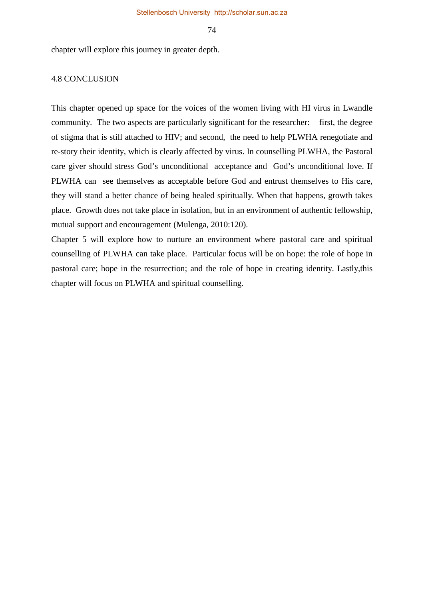chapter will explore this journey in greater depth.

#### 4.8 CONCLUSION

This chapter opened up space for the voices of the women living with HI virus in Lwandle community. The two aspects are particularly significant for the researcher: first, the degree of stigma that is still attached to HIV; and second, the need to help PLWHA renegotiate and re-story their identity, which is clearly affected by virus. In counselling PLWHA, the Pastoral care giver should stress God's unconditional acceptance and God's unconditional love. If PLWHA can see themselves as acceptable before God and entrust themselves to His care, they will stand a better chance of being healed spiritually. When that happens, growth takes place. Growth does not take place in isolation, but in an environment of authentic fellowship, mutual support and encouragement (Mulenga, 2010:120).

Chapter 5 will explore how to nurture an environment where pastoral care and spiritual counselling of PLWHA can take place. Particular focus will be on hope: the role of hope in pastoral care; hope in the resurrection; and the role of hope in creating identity. Lastly,this chapter will focus on PLWHA and spiritual counselling.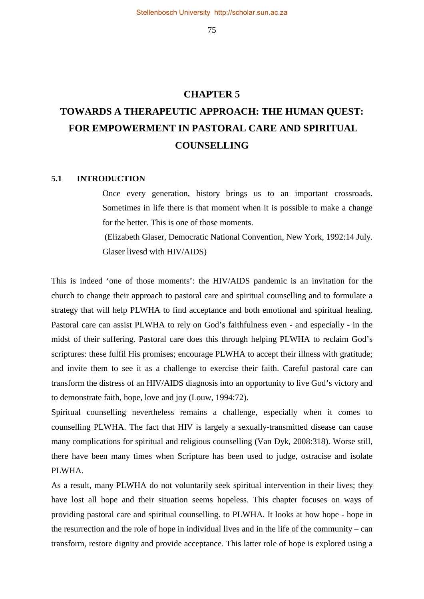# **CHAPTER 5 TOWARDS A THERAPEUTIC APPROACH: THE HUMAN QUEST: FOR EMPOWERMENT IN PASTORAL CARE AND SPIRITUAL COUNSELLING**

#### **5.1 INTRODUCTION**

Once every generation, history brings us to an important crossroads. Sometimes in life there is that moment when it is possible to make a change for the better. This is one of those moments.

 (Elizabeth Glaser, Democratic National Convention, New York, 1992:14 July. Glaser livesd with HIV/AIDS)

This is indeed 'one of those moments': the HIV/AIDS pandemic is an invitation for the church to change their approach to pastoral care and spiritual counselling and to formulate a strategy that will help PLWHA to find acceptance and both emotional and spiritual healing. Pastoral care can assist PLWHA to rely on God's faithfulness even - and especially - in the midst of their suffering. Pastoral care does this through helping PLWHA to reclaim God's scriptures: these fulfil His promises; encourage PLWHA to accept their illness with gratitude; and invite them to see it as a challenge to exercise their faith. Careful pastoral care can transform the distress of an HIV/AIDS diagnosis into an opportunity to live God's victory and to demonstrate faith, hope, love and joy (Louw, 1994:72).

Spiritual counselling nevertheless remains a challenge, especially when it comes to counselling PLWHA. The fact that HIV is largely a sexually-transmitted disease can cause many complications for spiritual and religious counselling (Van Dyk, 2008:318). Worse still, there have been many times when Scripture has been used to judge, ostracise and isolate PLWHA.

As a result, many PLWHA do not voluntarily seek spiritual intervention in their lives; they have lost all hope and their situation seems hopeless. This chapter focuses on ways of providing pastoral care and spiritual counselling. to PLWHA. It looks at how hope - hope in the resurrection and the role of hope in individual lives and in the life of the community – can transform, restore dignity and provide acceptance. This latter role of hope is explored using a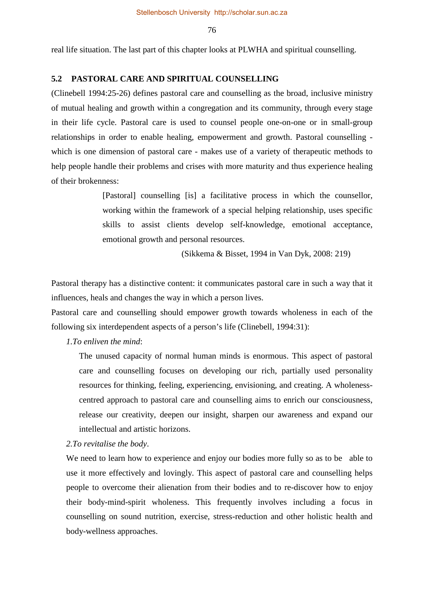real life situation. The last part of this chapter looks at PLWHA and spiritual counselling.

## **5.2 PASTORAL CARE AND SPIRITUAL COUNSELLING**

(Clinebell 1994:25-26) defines pastoral care and counselling as the broad, inclusive ministry of mutual healing and growth within a congregation and its community, through every stage in their life cycle. Pastoral care is used to counsel people one-on-one or in small-group relationships in order to enable healing, empowerment and growth. Pastoral counselling which is one dimension of pastoral care - makes use of a variety of therapeutic methods to help people handle their problems and crises with more maturity and thus experience healing of their brokenness:

> [Pastoral] counselling [is] a facilitative process in which the counsellor, working within the framework of a special helping relationship, uses specific skills to assist clients develop self-knowledge, emotional acceptance, emotional growth and personal resources.

> > (Sikkema & Bisset, 1994 in Van Dyk, 2008: 219)

Pastoral therapy has a distinctive content: it communicates pastoral care in such a way that it influences, heals and changes the way in which a person lives.

Pastoral care and counselling should empower growth towards wholeness in each of the following six interdependent aspects of a person's life (Clinebell, 1994:31):

## *1.To enliven the mind*:

The unused capacity of normal human minds is enormous. This aspect of pastoral care and counselling focuses on developing our rich, partially used personality resources for thinking, feeling, experiencing, envisioning, and creating. A wholenesscentred approach to pastoral care and counselling aims to enrich our consciousness, release our creativity, deepen our insight, sharpen our awareness and expand our intellectual and artistic horizons.

*2.To revitalise the body*.

We need to learn how to experience and enjoy our bodies more fully so as to be able to use it more effectively and lovingly. This aspect of pastoral care and counselling helps people to overcome their alienation from their bodies and to re-discover how to enjoy their body-mind-spirit wholeness. This frequently involves including a focus in counselling on sound nutrition, exercise, stress-reduction and other holistic health and body-wellness approaches.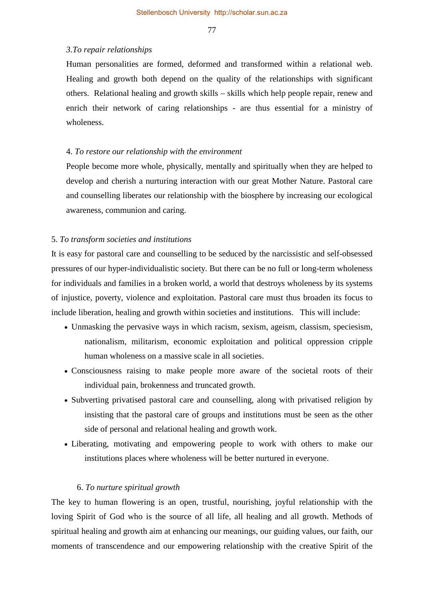#### *3.To repair relationships*

Human personalities are formed, deformed and transformed within a relational web. Healing and growth both depend on the quality of the relationships with significant others. Relational healing and growth skills – skills which help people repair, renew and enrich their network of caring relationships - are thus essential for a ministry of wholeness.

## 4. *To restore our relationship with the environment*

People become more whole, physically, mentally and spiritually when they are helped to develop and cherish a nurturing interaction with our great Mother Nature. Pastoral care and counselling liberates our relationship with the biosphere by increasing our ecological awareness, communion and caring.

#### 5. *To transform societies and institutions*

It is easy for pastoral care and counselling to be seduced by the narcissistic and self-obsessed pressures of our hyper-individualistic society. But there can be no full or long-term wholeness for individuals and families in a broken world, a world that destroys wholeness by its systems of injustice, poverty, violence and exploitation. Pastoral care must thus broaden its focus to include liberation, healing and growth within societies and institutions. This will include:

- Unmasking the pervasive ways in which racism, sexism, ageism, classism, speciesism, nationalism, militarism, economic exploitation and political oppression cripple human wholeness on a massive scale in all societies.
- Consciousness raising to make people more aware of the societal roots of their individual pain, brokenness and truncated growth.
- Subverting privatised pastoral care and counselling, along with privatised religion by insisting that the pastoral care of groups and institutions must be seen as the other side of personal and relational healing and growth work.
- Liberating, motivating and empowering people to work with others to make our institutions places where wholeness will be better nurtured in everyone.

#### 6. *To nurture spiritual growth*

The key to human flowering is an open, trustful, nourishing, joyful relationship with the loving Spirit of God who is the source of all life, all healing and all growth. Methods of spiritual healing and growth aim at enhancing our meanings, our guiding values, our faith, our moments of transcendence and our empowering relationship with the creative Spirit of the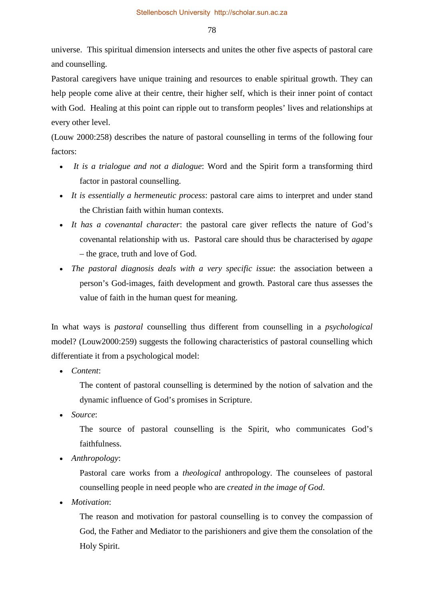Stellenbosch University http://scholar.sun.ac.za

78

universe. This spiritual dimension intersects and unites the other five aspects of pastoral care and counselling.

Pastoral caregivers have unique training and resources to enable spiritual growth. They can help people come alive at their centre, their higher self, which is their inner point of contact with God. Healing at this point can ripple out to transform peoples' lives and relationships at every other level.

(Louw 2000:258) describes the nature of pastoral counselling in terms of the following four factors:

- *It is a trialogue and not a dialogue*: Word and the Spirit form a transforming third factor in pastoral counselling.
- *It is essentially a hermeneutic process*: pastoral care aims to interpret and under stand the Christian faith within human contexts.
- *It has a covenantal character*: the pastoral care giver reflects the nature of God's covenantal relationship with us. Pastoral care should thus be characterised by *agape* – the grace, truth and love of God.
- *The pastoral diagnosis deals with a very specific issue*: the association between a person's God-images, faith development and growth. Pastoral care thus assesses the value of faith in the human quest for meaning.

In what ways is *pastoral* counselling thus different from counselling in a *psychological* model? (Louw2000:259) suggests the following characteristics of pastoral counselling which differentiate it from a psychological model:

• *Content*:

The content of pastoral counselling is determined by the notion of salvation and the dynamic influence of God's promises in Scripture.

• *Source*:

The source of pastoral counselling is the Spirit, who communicates God's faithfulness.

• *Anthropology*:

Pastoral care works from a *theological* anthropology. The counselees of pastoral counselling people in need people who are *created in the image of God*.

• *Motivation*:

The reason and motivation for pastoral counselling is to convey the compassion of God, the Father and Mediator to the parishioners and give them the consolation of the Holy Spirit.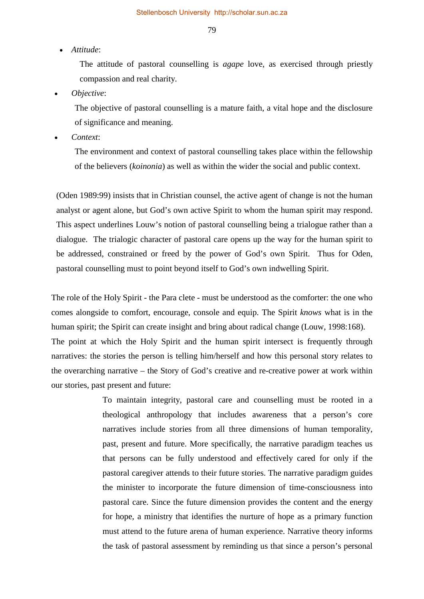#### • *Attitude*:

The attitude of pastoral counselling is *agape* love, as exercised through priestly compassion and real charity.

• *Objective*:

The objective of pastoral counselling is a mature faith, a vital hope and the disclosure of significance and meaning.

• *Context*:

The environment and context of pastoral counselling takes place within the fellowship of the believers (*koinonia*) as well as within the wider the social and public context.

(Oden 1989:99) insists that in Christian counsel, the active agent of change is not the human analyst or agent alone, but God's own active Spirit to whom the human spirit may respond. This aspect underlines Louw's notion of pastoral counselling being a trialogue rather than a dialogue. The trialogic character of pastoral care opens up the way for the human spirit to be addressed, constrained or freed by the power of God's own Spirit. Thus for Oden, pastoral counselling must to point beyond itself to God's own indwelling Spirit.

The role of the Holy Spirit - the Para clete - must be understood as the comforter: the one who comes alongside to comfort, encourage, console and equip. The Spirit *knows* what is in the human spirit; the Spirit can create insight and bring about radical change (Louw, 1998:168). The point at which the Holy Spirit and the human spirit intersect is frequently through narratives: the stories the person is telling him/herself and how this personal story relates to the overarching narrative – the Story of God's creative and re-creative power at work within our stories, past present and future:

> To maintain integrity, pastoral care and counselling must be rooted in a theological anthropology that includes awareness that a person's core narratives include stories from all three dimensions of human temporality, past, present and future. More specifically, the narrative paradigm teaches us that persons can be fully understood and effectively cared for only if the pastoral caregiver attends to their future stories. The narrative paradigm guides the minister to incorporate the future dimension of time-consciousness into pastoral care. Since the future dimension provides the content and the energy for hope, a ministry that identifies the nurture of hope as a primary function must attend to the future arena of human experience. Narrative theory informs the task of pastoral assessment by reminding us that since a person's personal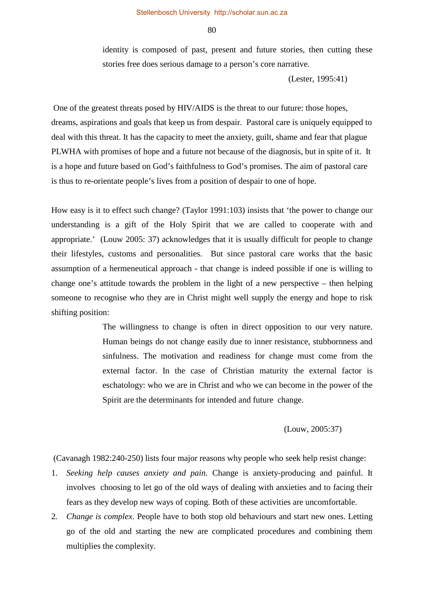identity is composed of past, present and future stories, then cutting these stories free does serious damage to a person's core narrative.

(Lester, 1995:41)

 One of the greatest threats posed by HIV/AIDS is the threat to our future: those hopes, dreams, aspirations and goals that keep us from despair. Pastoral care is uniquely equipped to deal with this threat. It has the capacity to meet the anxiety, guilt, shame and fear that plague PLWHA with promises of hope and a future not because of the diagnosis, but in spite of it. It is a hope and future based on God's faithfulness to God's promises. The aim of pastoral care is thus to re-orientate people's lives from a position of despair to one of hope.

How easy is it to effect such change? (Taylor 1991:103) insists that 'the power to change our understanding is a gift of the Holy Spirit that we are called to cooperate with and appropriate.' (Louw 2005: 37) acknowledges that it is usually difficult for people to change their lifestyles, customs and personalities. But since pastoral care works that the basic assumption of a hermeneutical approach - that change is indeed possible if one is willing to change one's attitude towards the problem in the light of a new perspective – then helping someone to recognise who they are in Christ might well supply the energy and hope to risk shifting position:

> The willingness to change is often in direct opposition to our very nature. Human beings do not change easily due to inner resistance, stubbornness and sinfulness. The motivation and readiness for change must come from the external factor. In the case of Christian maturity the external factor is eschatology: who we are in Christ and who we can become in the power of the Spirit are the determinants for intended and future change.

#### (Louw, 2005:37)

(Cavanagh 1982:240-250) lists four major reasons why people who seek help resist change:

- 1. *Seeking help causes anxiety and pain.* Change is anxiety-producing and painful. It involves choosing to let go of the old ways of dealing with anxieties and to facing their fears as they develop new ways of coping. Both of these activities are uncomfortable.
- 2*. Change is complex*. People have to both stop old behaviours and start new ones. Letting go of the old and starting the new are complicated procedures and combining them multiplies the complexity.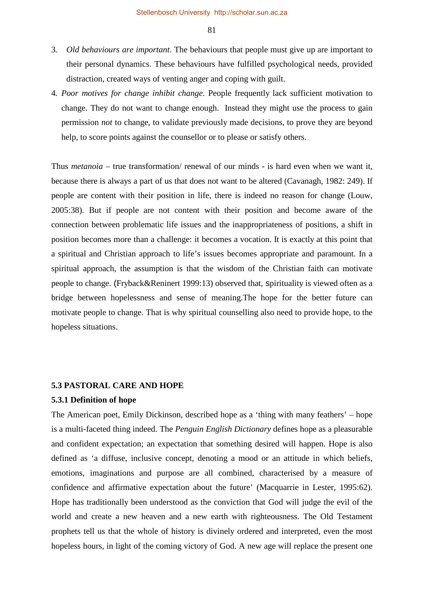- 3*. Old behaviours are important*. The behaviours that people must give up are important to their personal dynamics. These behaviours have fulfilled psychological needs, provided distraction, created ways of venting anger and coping with guilt.
- 4*. Poor motives for change inhibit change*. People frequently lack sufficient motivation to change. They do not want to change enough. Instead they might use the process to gain permission *not* to change, to validate previously made decisions, to prove they are beyond help, to score points against the counsellor or to please or satisfy others.

Thus *metanoia* – true transformation/ renewal of our minds - is hard even when we want it, because there is always a part of us that does not want to be altered (Cavanagh, 1982: 249). If people are content with their position in life, there is indeed no reason for change (Louw, 2005:38). But if people are not content with their position and become aware of the connection between problematic life issues and the inappropriateness of positions, a shift in position becomes more than a challenge: it becomes a vocation. It is exactly at this point that a spiritual and Christian approach to life's issues becomes appropriate and paramount. In a spiritual approach, the assumption is that the wisdom of the Christian faith can motivate people to change. (Fryback&Reninert 1999:13) observed that, spirituality is viewed often as a bridge between hopelessness and sense of meaning.The hope for the better future can motivate people to change. That is why spiritual counselling also need to provide hope, to the hopeless situations.

## **5.3 PASTORAL CARE AND HOPE**

## **5.3.1 Definition of hope**

The American poet, Emily Dickinson, described hope as a 'thing with many feathers' – hope is a multi-faceted thing indeed. The *Penguin English Dictionary* defines hope as a pleasurable and confident expectation; an expectation that something desired will happen. Hope is also defined as 'a diffuse, inclusive concept, denoting a mood or an attitude in which beliefs, emotions, imaginations and purpose are all combined, characterised by a measure of confidence and affirmative expectation about the future' (Macquarrie in Lester, 1995:62). Hope has traditionally been understood as the conviction that God will judge the evil of the world and create a new heaven and a new earth with righteousness. The Old Testament prophets tell us that the whole of history is divinely ordered and interpreted, even the most hopeless hours, in light of the coming victory of God. A new age will replace the present one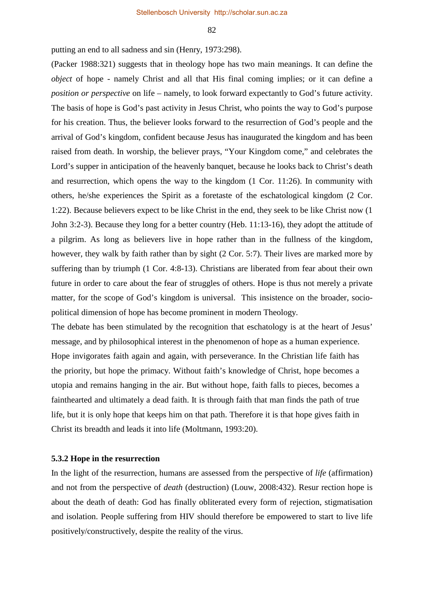putting an end to all sadness and sin (Henry, 1973:298).

(Packer 1988:321) suggests that in theology hope has two main meanings. It can define the *object* of hope - namely Christ and all that His final coming implies; or it can define a *position or perspective* on life – namely, to look forward expectantly to God's future activity. The basis of hope is God's past activity in Jesus Christ, who points the way to God's purpose for his creation. Thus, the believer looks forward to the resurrection of God's people and the arrival of God's kingdom, confident because Jesus has inaugurated the kingdom and has been raised from death. In worship, the believer prays, "Your Kingdom come," and celebrates the Lord's supper in anticipation of the heavenly banquet, because he looks back to Christ's death and resurrection, which opens the way to the kingdom (1 Cor. 11:26). In community with others, he/she experiences the Spirit as a foretaste of the eschatological kingdom (2 Cor. 1:22). Because believers expect to be like Christ in the end, they seek to be like Christ now (1 John 3:2-3). Because they long for a better country (Heb. 11:13-16), they adopt the attitude of a pilgrim. As long as believers live in hope rather than in the fullness of the kingdom, however, they walk by faith rather than by sight (2 Cor. 5:7). Their lives are marked more by suffering than by triumph (1 Cor. 4:8-13). Christians are liberated from fear about their own future in order to care about the fear of struggles of others. Hope is thus not merely a private matter, for the scope of God's kingdom is universal. This insistence on the broader, sociopolitical dimension of hope has become prominent in modern Theology.

The debate has been stimulated by the recognition that eschatology is at the heart of Jesus' message, and by philosophical interest in the phenomenon of hope as a human experience. Hope invigorates faith again and again, with perseverance. In the Christian life faith has the priority, but hope the primacy. Without faith's knowledge of Christ, hope becomes a utopia and remains hanging in the air. But without hope, faith falls to pieces, becomes a fainthearted and ultimately a dead faith. It is through faith that man finds the path of true life, but it is only hope that keeps him on that path. Therefore it is that hope gives faith in Christ its breadth and leads it into life (Moltmann, 1993:20).

#### **5.3.2 Hope in the resurrection**

In the light of the resurrection, humans are assessed from the perspective of *life* (affirmation) and not from the perspective of *death* (destruction) (Louw, 2008:432). Resur rection hope is about the death of death: God has finally obliterated every form of rejection, stigmatisation and isolation. People suffering from HIV should therefore be empowered to start to live life positively/constructively, despite the reality of the virus.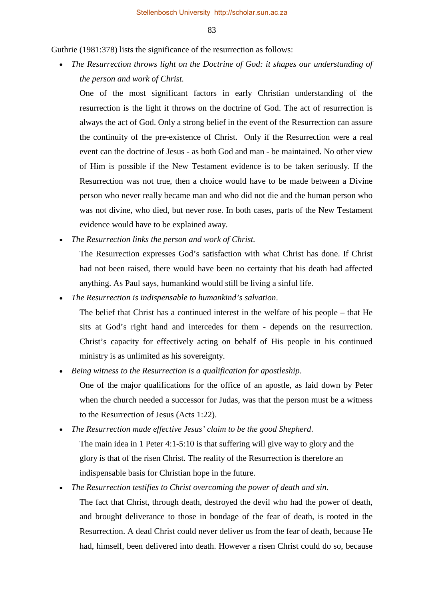Guthrie (1981:378) lists the significance of the resurrection as follows:

• *The Resurrection throws light on the Doctrine of God: it shapes our understanding of the person and work of Christ.* 

One of the most significant factors in early Christian understanding of the resurrection is the light it throws on the doctrine of God. The act of resurrection is always the act of God. Only a strong belief in the event of the Resurrection can assure the continuity of the pre-existence of Christ. Only if the Resurrection were a real event can the doctrine of Jesus - as both God and man - be maintained. No other view of Him is possible if the New Testament evidence is to be taken seriously. If the Resurrection was not true, then a choice would have to be made between a Divine person who never really became man and who did not die and the human person who was not divine, who died, but never rose. In both cases, parts of the New Testament evidence would have to be explained away.

• *The Resurrection links the person and work of Christ.* 

The Resurrection expresses God's satisfaction with what Christ has done. If Christ had not been raised, there would have been no certainty that his death had affected anything. As Paul says, humankind would still be living a sinful life.

• *The Resurrection is indispensable to humankind's salvation*.

The belief that Christ has a continued interest in the welfare of his people – that He sits at God's right hand and intercedes for them - depends on the resurrection. Christ's capacity for effectively acting on behalf of His people in his continued ministry is as unlimited as his sovereignty.

• *Being witness to the Resurrection is a qualification for apostleship*.

One of the major qualifications for the office of an apostle, as laid down by Peter when the church needed a successor for Judas, was that the person must be a witness to the Resurrection of Jesus (Acts 1:22).

• *The Resurrection made effective Jesus' claim to be the good Shepherd*.

The main idea in 1 Peter 4:1-5:10 is that suffering will give way to glory and the glory is that of the risen Christ. The reality of the Resurrection is therefore an indispensable basis for Christian hope in the future.

• *The Resurrection testifies to Christ overcoming the power of death and sin.*

The fact that Christ, through death, destroyed the devil who had the power of death, and brought deliverance to those in bondage of the fear of death, is rooted in the Resurrection. A dead Christ could never deliver us from the fear of death, because He had, himself, been delivered into death. However a risen Christ could do so, because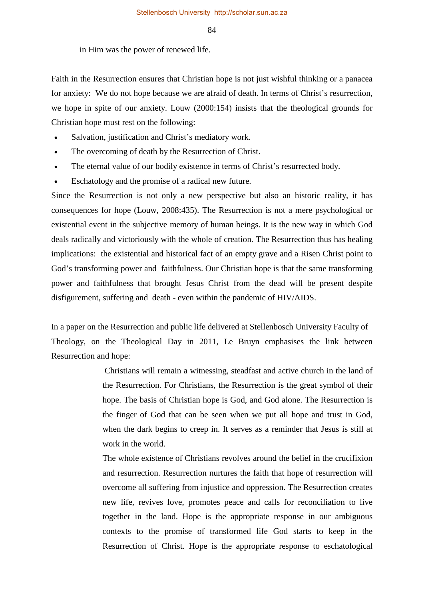in Him was the power of renewed life.

Faith in the Resurrection ensures that Christian hope is not just wishful thinking or a panacea for anxiety: We do not hope because we are afraid of death. In terms of Christ's resurrection, we hope in spite of our anxiety. Louw (2000:154) insists that the theological grounds for Christian hope must rest on the following:

- Salvation, justification and Christ's mediatory work.
- The overcoming of death by the Resurrection of Christ.
- The eternal value of our bodily existence in terms of Christ's resurrected body.
- Eschatology and the promise of a radical new future.

Since the Resurrection is not only a new perspective but also an historic reality, it has consequences for hope (Louw, 2008:435). The Resurrection is not a mere psychological or existential event in the subjective memory of human beings. It is the new way in which God deals radically and victoriously with the whole of creation. The Resurrection thus has healing implications: the existential and historical fact of an empty grave and a Risen Christ point to God's transforming power and faithfulness. Our Christian hope is that the same transforming power and faithfulness that brought Jesus Christ from the dead will be present despite disfigurement, suffering and death - even within the pandemic of HIV/AIDS.

In a paper on the Resurrection and public life delivered at Stellenbosch University Faculty of Theology, on the Theological Day in 2011, Le Bruyn emphasises the link between Resurrection and hope:

> Christians will remain a witnessing, steadfast and active church in the land of the Resurrection. For Christians, the Resurrection is the great symbol of their hope. The basis of Christian hope is God, and God alone. The Resurrection is the finger of God that can be seen when we put all hope and trust in God, when the dark begins to creep in. It serves as a reminder that Jesus is still at work in the world.

> The whole existence of Christians revolves around the belief in the crucifixion and resurrection. Resurrection nurtures the faith that hope of resurrection will overcome all suffering from injustice and oppression. The Resurrection creates new life, revives love, promotes peace and calls for reconciliation to live together in the land. Hope is the appropriate response in our ambiguous contexts to the promise of transformed life God starts to keep in the Resurrection of Christ. Hope is the appropriate response to eschatological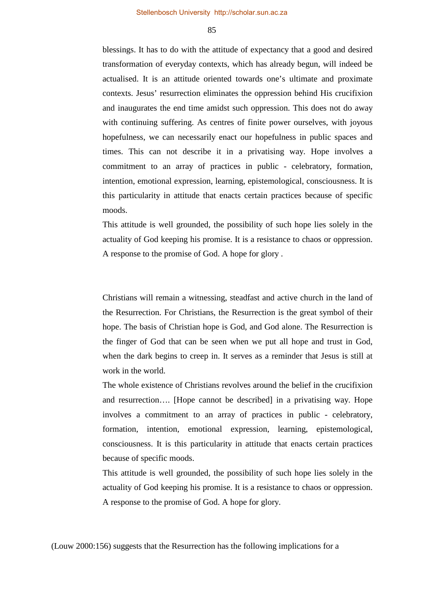blessings. It has to do with the attitude of expectancy that a good and desired transformation of everyday contexts, which has already begun, will indeed be actualised. It is an attitude oriented towards one's ultimate and proximate contexts. Jesus' resurrection eliminates the oppression behind His crucifixion and inaugurates the end time amidst such oppression. This does not do away with continuing suffering. As centres of finite power ourselves, with joyous hopefulness, we can necessarily enact our hopefulness in public spaces and times. This can not describe it in a privatising way. Hope involves a commitment to an array of practices in public - celebratory, formation, intention, emotional expression, learning, epistemological, consciousness. It is this particularity in attitude that enacts certain practices because of specific moods.

This attitude is well grounded, the possibility of such hope lies solely in the actuality of God keeping his promise. It is a resistance to chaos or oppression. A response to the promise of God. A hope for glory .

Christians will remain a witnessing, steadfast and active church in the land of the Resurrection. For Christians, the Resurrection is the great symbol of their hope. The basis of Christian hope is God, and God alone. The Resurrection is the finger of God that can be seen when we put all hope and trust in God, when the dark begins to creep in. It serves as a reminder that Jesus is still at work in the world.

The whole existence of Christians revolves around the belief in the crucifixion and resurrection…. [Hope cannot be described] in a privatising way. Hope involves a commitment to an array of practices in public - celebratory, formation, intention, emotional expression, learning, epistemological, consciousness. It is this particularity in attitude that enacts certain practices because of specific moods.

This attitude is well grounded, the possibility of such hope lies solely in the actuality of God keeping his promise. It is a resistance to chaos or oppression. A response to the promise of God. A hope for glory.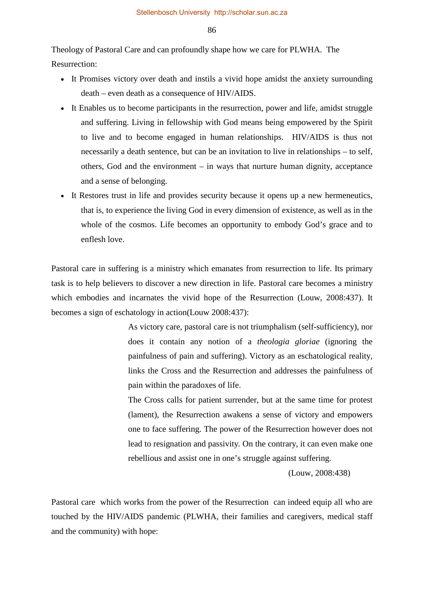Theology of Pastoral Care and can profoundly shape how we care for PLWHA. The Resurrection:

- It Promises victory over death and instils a vivid hope amidst the anxiety surrounding death – even death as a consequence of HIV/AIDS.
- It Enables us to become participants in the resurrection, power and life, amidst struggle and suffering. Living in fellowship with God means being empowered by the Spirit to live and to become engaged in human relationships. HIV/AIDS is thus not necessarily a death sentence, but can be an invitation to live in relationships – to self, others, God and the environment – in ways that nurture human dignity, acceptance and a sense of belonging.
- It Restores trust in life and provides security because it opens up a new hermeneutics, that is, to experience the living God in every dimension of existence, as well as in the whole of the cosmos. Life becomes an opportunity to embody God's grace and to enflesh love.

Pastoral care in suffering is a ministry which emanates from resurrection to life. Its primary task is to help believers to discover a new direction in life. Pastoral care becomes a ministry which embodies and incarnates the vivid hope of the Resurrection (Louw, 2008:437). It becomes a sign of eschatology in action(Louw 2008:437):

> As victory care, pastoral care is not triumphalism (self-sufficiency), nor does it contain any notion of a *theologia gloriae* (ignoring the painfulness of pain and suffering). Victory as an eschatological reality, links the Cross and the Resurrection and addresses the painfulness of pain within the paradoxes of life.

> The Cross calls for patient surrender, but at the same time for protest (lament), the Resurrection awakens a sense of victory and empowers one to face suffering. The power of the Resurrection however does not lead to resignation and passivity. On the contrary, it can even make one rebellious and assist one in one's struggle against suffering.

> > (Louw, 2008:438)

Pastoral care which works from the power of the Resurrection can indeed equip all who are touched by the HIV/AIDS pandemic (PLWHA, their families and caregivers, medical staff and the community) with hope: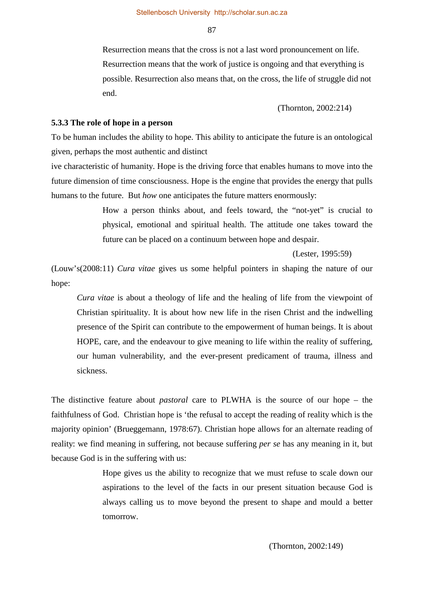Resurrection means that the cross is not a last word pronouncement on life. Resurrection means that the work of justice is ongoing and that everything is possible. Resurrection also means that, on the cross, the life of struggle did not end.

(Thornton, 2002:214)

#### **5.3.3 The role of hope in a person**

To be human includes the ability to hope. This ability to anticipate the future is an ontological given, perhaps the most authentic and distinct

ive characteristic of humanity. Hope is the driving force that enables humans to move into the future dimension of time consciousness. Hope is the engine that provides the energy that pulls humans to the future. But *how* one anticipates the future matters enormously:

> How a person thinks about, and feels toward, the "not-yet" is crucial to physical, emotional and spiritual health. The attitude one takes toward the future can be placed on a continuum between hope and despair.

> > (Lester, 1995:59)

(Louw's(2008:11) *Cura vitae* gives us some helpful pointers in shaping the nature of our hope:

*Cura vitae* is about a theology of life and the healing of life from the viewpoint of Christian spirituality. It is about how new life in the risen Christ and the indwelling presence of the Spirit can contribute to the empowerment of human beings. It is about HOPE, care, and the endeavour to give meaning to life within the reality of suffering, our human vulnerability, and the ever-present predicament of trauma, illness and sickness.

The distinctive feature about *pastoral* care to PLWHA is the source of our hope – the faithfulness of God. Christian hope is 'the refusal to accept the reading of reality which is the majority opinion' (Brueggemann, 1978:67). Christian hope allows for an alternate reading of reality: we find meaning in suffering, not because suffering *per se* has any meaning in it, but because God is in the suffering with us:

> Hope gives us the ability to recognize that we must refuse to scale down our aspirations to the level of the facts in our present situation because God is always calling us to move beyond the present to shape and mould a better tomorrow.

> > (Thornton, 2002:149)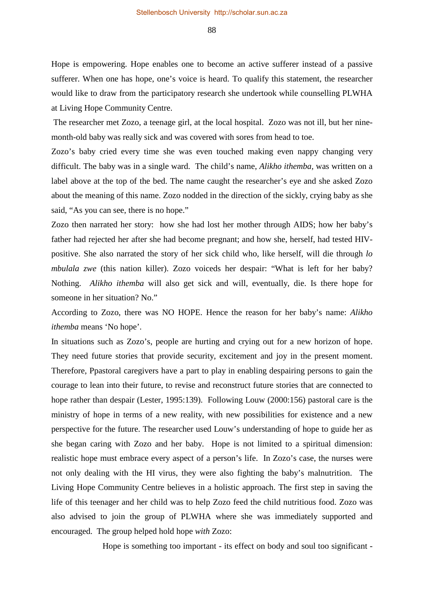Hope is empowering. Hope enables one to become an active sufferer instead of a passive sufferer. When one has hope, one's voice is heard. To qualify this statement, the researcher would like to draw from the participatory research she undertook while counselling PLWHA at Living Hope Community Centre.

The researcher met Zozo, a teenage girl, at the local hospital. Zozo was not ill, but her ninemonth-old baby was really sick and was covered with sores from head to toe.

Zozo's baby cried every time she was even touched making even nappy changing very difficult. The baby was in a single ward. The child's name, *Alikho ithemba,* was written on a label above at the top of the bed. The name caught the researcher's eye and she asked Zozo about the meaning of this name. Zozo nodded in the direction of the sickly, crying baby as she said, "As you can see, there is no hope."

Zozo then narrated her story: how she had lost her mother through AIDS; how her baby's father had rejected her after she had become pregnant; and how she, herself, had tested HIVpositive. She also narrated the story of her sick child who, like herself, will die through *lo mbulala zwe* (this nation killer). Zozo voiceds her despair: "What is left for her baby? Nothing. *Alikho ithemba* will also get sick and will, eventually, die. Is there hope for someone in her situation? No."

According to Zozo, there was NO HOPE. Hence the reason for her baby's name: *Alikho ithemba* means 'No hope'.

In situations such as Zozo's, people are hurting and crying out for a new horizon of hope. They need future stories that provide security, excitement and joy in the present moment. Therefore, Ppastoral caregivers have a part to play in enabling despairing persons to gain the courage to lean into their future, to revise and reconstruct future stories that are connected to hope rather than despair (Lester, 1995:139). Following Louw (2000:156) pastoral care is the ministry of hope in terms of a new reality, with new possibilities for existence and a new perspective for the future. The researcher used Louw's understanding of hope to guide her as she began caring with Zozo and her baby. Hope is not limited to a spiritual dimension: realistic hope must embrace every aspect of a person's life. In Zozo's case, the nurses were not only dealing with the HI virus, they were also fighting the baby's malnutrition. The Living Hope Community Centre believes in a holistic approach. The first step in saving the life of this teenager and her child was to help Zozo feed the child nutritious food. Zozo was also advised to join the group of PLWHA where she was immediately supported and encouraged. The group helped hold hope *with* Zozo:

Hope is something too important - its effect on body and soul too significant -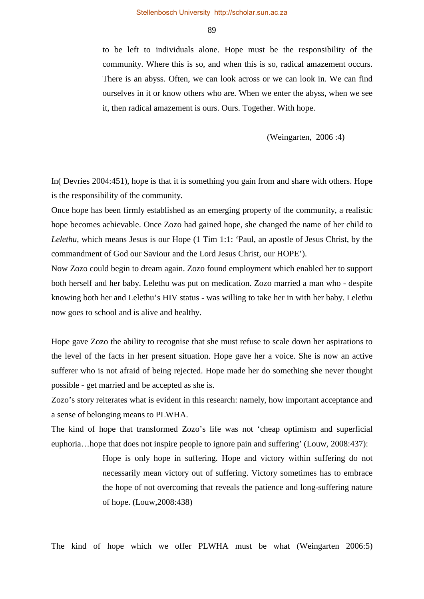to be left to individuals alone. Hope must be the responsibility of the community. Where this is so, and when this is so, radical amazement occurs. There is an abyss. Often, we can look across or we can look in. We can find ourselves in it or know others who are. When we enter the abyss, when we see it, then radical amazement is ours. Ours. Together. With hope.

(Weingarten, 2006 :4)

In( Devries 2004:451), hope is that it is something you gain from and share with others. Hope is the responsibility of the community.

Once hope has been firmly established as an emerging property of the community, a realistic hope becomes achievable. Once Zozo had gained hope, she changed the name of her child to *Lelethu*, which means Jesus is our Hope (1 Tim 1:1: 'Paul, an apostle of Jesus Christ, by the commandment of God our Saviour and the Lord Jesus Christ, our HOPE').

Now Zozo could begin to dream again. Zozo found employment which enabled her to support both herself and her baby. Lelethu was put on medication. Zozo married a man who - despite knowing both her and Lelethu's HIV status - was willing to take her in with her baby. Lelethu now goes to school and is alive and healthy.

Hope gave Zozo the ability to recognise that she must refuse to scale down her aspirations to the level of the facts in her present situation. Hope gave her a voice. She is now an active sufferer who is not afraid of being rejected. Hope made her do something she never thought possible - get married and be accepted as she is.

Zozo's story reiterates what is evident in this research: namely, how important acceptance and a sense of belonging means to PLWHA.

The kind of hope that transformed Zozo's life was not 'cheap optimism and superficial euphoria…hope that does not inspire people to ignore pain and suffering' (Louw, 2008:437):

> Hope is only hope in suffering. Hope and victory within suffering do not necessarily mean victory out of suffering. Victory sometimes has to embrace the hope of not overcoming that reveals the patience and long-suffering nature of hope. (Louw,2008:438)

The kind of hope which we offer PLWHA must be what (Weingarten 2006:5)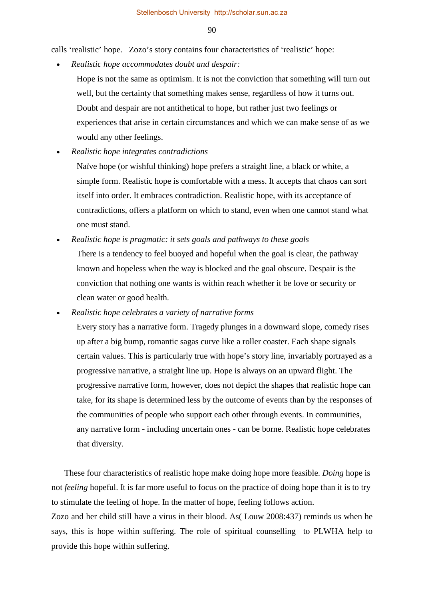calls 'realistic' hope. Zozo's story contains four characteristics of 'realistic' hope:

• *Realistic hope accommodates doubt and despair:* 

- Hope is not the same as optimism. It is not the conviction that something will turn out well, but the certainty that something makes sense, regardless of how it turns out. Doubt and despair are not antithetical to hope, but rather just two feelings or experiences that arise in certain circumstances and which we can make sense of as we would any other feelings.
- *Realistic hope integrates contradictions*

Naïve hope (or wishful thinking) hope prefers a straight line, a black or white, a simple form. Realistic hope is comfortable with a mess. It accepts that chaos can sort itself into order. It embraces contradiction. Realistic hope, with its acceptance of contradictions, offers a platform on which to stand, even when one cannot stand what one must stand.

• *Realistic hope is pragmatic: it sets goals and pathways to these goals* 

There is a tendency to feel buoyed and hopeful when the goal is clear, the pathway known and hopeless when the way is blocked and the goal obscure. Despair is the conviction that nothing one wants is within reach whether it be love or security or clean water or good health.

• *Realistic hope celebrates a variety of narrative forms* 

Every story has a narrative form. Tragedy plunges in a downward slope, comedy rises up after a big bump, romantic sagas curve like a roller coaster. Each shape signals certain values. This is particularly true with hope's story line, invariably portrayed as a progressive narrative, a straight line up. Hope is always on an upward flight. The progressive narrative form, however, does not depict the shapes that realistic hope can take, for its shape is determined less by the outcome of events than by the responses of the communities of people who support each other through events. In communities, any narrative form - including uncertain ones - can be borne. Realistic hope celebrates that diversity.

These four characteristics of realistic hope make doing hope more feasible. *Doing* hope is not *feeling* hopeful. It is far more useful to focus on the practice of doing hope than it is to try to stimulate the feeling of hope. In the matter of hope, feeling follows action.

Zozo and her child still have a virus in their blood. As( Louw 2008:437) reminds us when he says, this is hope within suffering. The role of spiritual counselling to PLWHA help to provide this hope within suffering.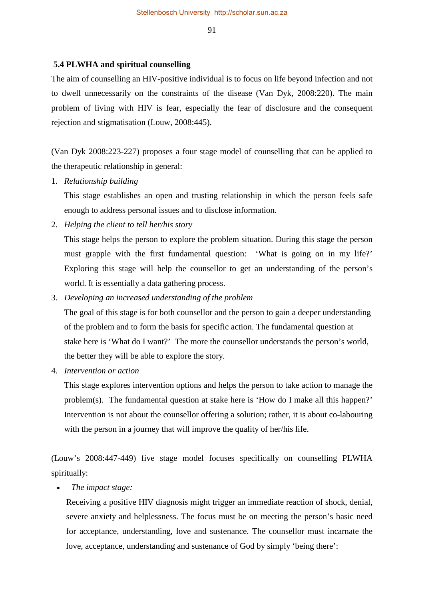## **5.4 PLWHA and spiritual counselling**

The aim of counselling an HIV-positive individual is to focus on life beyond infection and not to dwell unnecessarily on the constraints of the disease (Van Dyk, 2008:220). The main problem of living with HIV is fear, especially the fear of disclosure and the consequent rejection and stigmatisation (Louw, 2008:445).

(Van Dyk 2008:223-227) proposes a four stage model of counselling that can be applied to the therapeutic relationship in general:

1. *Relationship building* 

This stage establishes an open and trusting relationship in which the person feels safe enough to address personal issues and to disclose information.

2. *Helping the client to tell her/his story*

This stage helps the person to explore the problem situation. During this stage the person must grapple with the first fundamental question: 'What is going on in my life?' Exploring this stage will help the counsellor to get an understanding of the person's world. It is essentially a data gathering process.

3. *Developing an increased understanding of the problem* 

 The goal of this stage is for both counsellor and the person to gain a deeper understanding of the problem and to form the basis for specific action. The fundamental question at stake here is 'What do I want?' The more the counsellor understands the person's world, the better they will be able to explore the story.

4. *Intervention or action* 

This stage explores intervention options and helps the person to take action to manage the problem(s). The fundamental question at stake here is 'How do I make all this happen?' Intervention is not about the counsellor offering a solution; rather, it is about co-labouring with the person in a journey that will improve the quality of her/his life.

(Louw's 2008:447-449) five stage model focuses specifically on counselling PLWHA spiritually:

• *The impact stage:*

Receiving a positive HIV diagnosis might trigger an immediate reaction of shock, denial, severe anxiety and helplessness. The focus must be on meeting the person's basic need for acceptance, understanding, love and sustenance. The counsellor must incarnate the love, acceptance, understanding and sustenance of God by simply 'being there':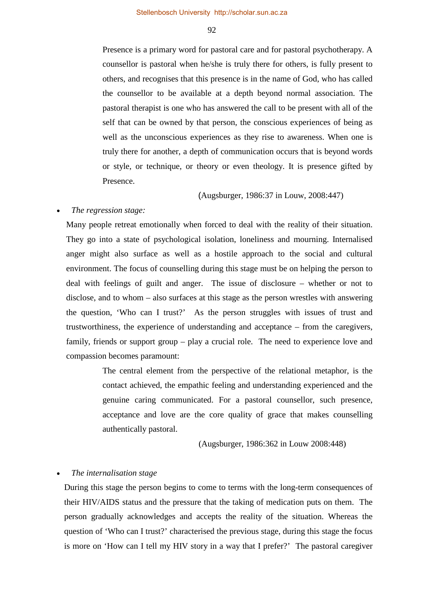Presence is a primary word for pastoral care and for pastoral psychotherapy. A counsellor is pastoral when he/she is truly there for others, is fully present to others, and recognises that this presence is in the name of God, who has called the counsellor to be available at a depth beyond normal association. The pastoral therapist is one who has answered the call to be present with all of the self that can be owned by that person, the conscious experiences of being as well as the unconscious experiences as they rise to awareness. When one is truly there for another, a depth of communication occurs that is beyond words or style, or technique, or theory or even theology. It is presence gifted by Presence.

(Augsburger, 1986:37 in Louw, 2008:447)

#### • *The regression stage:*

Many people retreat emotionally when forced to deal with the reality of their situation. They go into a state of psychological isolation, loneliness and mourning. Internalised anger might also surface as well as a hostile approach to the social and cultural environment. The focus of counselling during this stage must be on helping the person to deal with feelings of guilt and anger. The issue of disclosure – whether or not to disclose, and to whom – also surfaces at this stage as the person wrestles with answering the question, 'Who can I trust?' As the person struggles with issues of trust and trustworthiness, the experience of understanding and acceptance – from the caregivers, family, friends or support group – play a crucial role. The need to experience love and compassion becomes paramount:

> The central element from the perspective of the relational metaphor, is the contact achieved, the empathic feeling and understanding experienced and the genuine caring communicated. For a pastoral counsellor, such presence, acceptance and love are the core quality of grace that makes counselling authentically pastoral.

> > (Augsburger, 1986:362 in Louw 2008:448)

#### • *The internalisation stage*

During this stage the person begins to come to terms with the long-term consequences of their HIV/AIDS status and the pressure that the taking of medication puts on them. The person gradually acknowledges and accepts the reality of the situation. Whereas the question of 'Who can I trust?' characterised the previous stage, during this stage the focus is more on 'How can I tell my HIV story in a way that I prefer?' The pastoral caregiver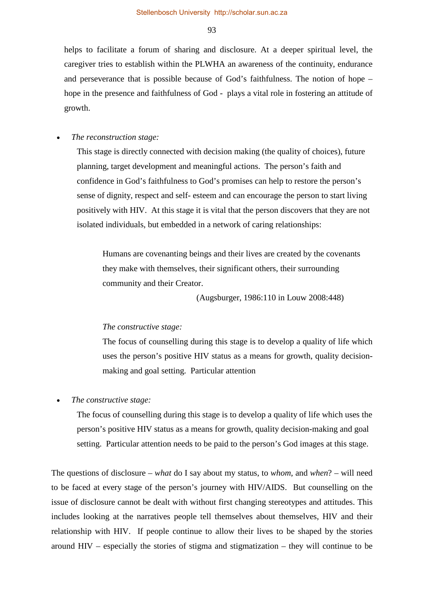helps to facilitate a forum of sharing and disclosure. At a deeper spiritual level, the caregiver tries to establish within the PLWHA an awareness of the continuity, endurance and perseverance that is possible because of God's faithfulness. The notion of hope – hope in the presence and faithfulness of God - plays a vital role in fostering an attitude of growth.

#### • *The reconstruction stage:*

This stage is directly connected with decision making (the quality of choices), future planning, target development and meaningful actions. The person's faith and confidence in God's faithfulness to God's promises can help to restore the person's sense of dignity, respect and self- esteem and can encourage the person to start living positively with HIV. At this stage it is vital that the person discovers that they are not isolated individuals, but embedded in a network of caring relationships:

Humans are covenanting beings and their lives are created by the covenants they make with themselves, their significant others, their surrounding community and their Creator.

(Augsburger, 1986:110 in Louw 2008:448)

#### *The constructive stage:*

The focus of counselling during this stage is to develop a quality of life which uses the person's positive HIV status as a means for growth, quality decisionmaking and goal setting. Particular attention

## • *The constructive stage:*

The focus of counselling during this stage is to develop a quality of life which uses the person's positive HIV status as a means for growth, quality decision-making and goal setting. Particular attention needs to be paid to the person's God images at this stage.

The questions of disclosure – *what* do I say about my status, to *whom*, and *when*? – will need to be faced at every stage of the person's journey with HIV/AIDS. But counselling on the issue of disclosure cannot be dealt with without first changing stereotypes and attitudes. This includes looking at the narratives people tell themselves about themselves, HIV and their relationship with HIV. If people continue to allow their lives to be shaped by the stories around HIV – especially the stories of stigma and stigmatization – they will continue to be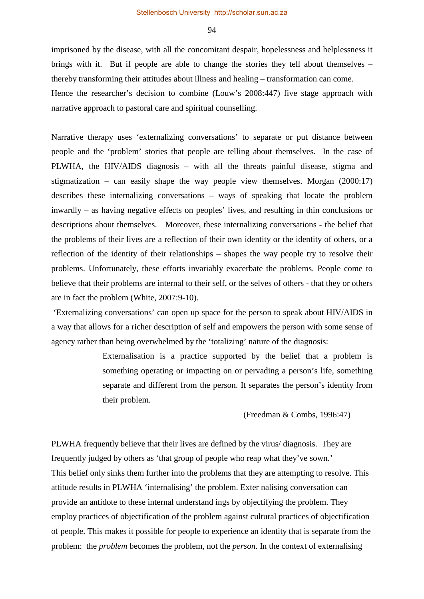imprisoned by the disease, with all the concomitant despair, hopelessness and helplessness it brings with it. But if people are able to change the stories they tell about themselves – thereby transforming their attitudes about illness and healing – transformation can come. Hence the researcher's decision to combine (Louw's 2008:447) five stage approach with narrative approach to pastoral care and spiritual counselling.

Narrative therapy uses 'externalizing conversations' to separate or put distance between people and the 'problem' stories that people are telling about themselves. In the case of PLWHA, the HIV/AIDS diagnosis – with all the threats painful disease, stigma and stigmatization – can easily shape the way people view themselves. Morgan (2000:17) describes these internalizing conversations – ways of speaking that locate the problem inwardly – as having negative effects on peoples' lives, and resulting in thin conclusions or descriptions about themselves. Moreover, these internalizing conversations - the belief that the problems of their lives are a reflection of their own identity or the identity of others, or a reflection of the identity of their relationships – shapes the way people try to resolve their problems. Unfortunately, these efforts invariably exacerbate the problems. People come to believe that their problems are internal to their self, or the selves of others - that they or others are in fact the problem (White, 2007:9-10).

'Externalizing conversations' can open up space for the person to speak about HIV/AIDS in a way that allows for a richer description of self and empowers the person with some sense of agency rather than being overwhelmed by the 'totalizing' nature of the diagnosis:

> Externalisation is a practice supported by the belief that a problem is something operating or impacting on or pervading a person's life, something separate and different from the person. It separates the person's identity from their problem.

> > (Freedman & Combs, 1996:47)

PLWHA frequently believe that their lives are defined by the virus/ diagnosis. They are frequently judged by others as 'that group of people who reap what they've sown.' This belief only sinks them further into the problems that they are attempting to resolve. This attitude results in PLWHA 'internalising' the problem. Exter nalising conversation can provide an antidote to these internal understand ings by objectifying the problem. They employ practices of objectification of the problem against cultural practices of objectification of people. This makes it possible for people to experience an identity that is separate from the problem: the *problem* becomes the problem, not the *person*. In the context of externalising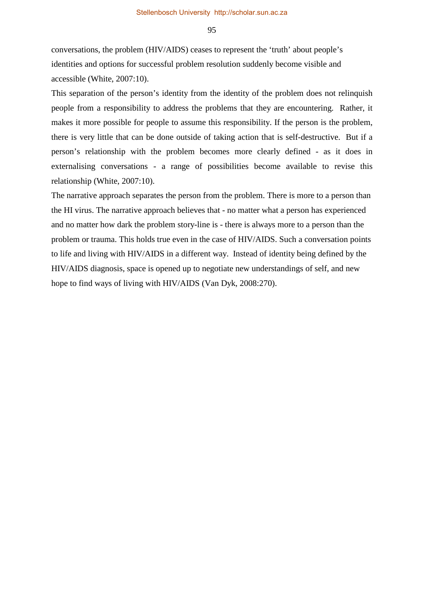conversations, the problem (HIV/AIDS) ceases to represent the 'truth' about people's identities and options for successful problem resolution suddenly become visible and accessible (White, 2007:10).

This separation of the person's identity from the identity of the problem does not relinquish people from a responsibility to address the problems that they are encountering. Rather, it makes it more possible for people to assume this responsibility. If the person is the problem, there is very little that can be done outside of taking action that is self-destructive. But if a person's relationship with the problem becomes more clearly defined - as it does in externalising conversations - a range of possibilities become available to revise this relationship (White, 2007:10).

The narrative approach separates the person from the problem. There is more to a person than the HI virus. The narrative approach believes that - no matter what a person has experienced and no matter how dark the problem story-line is - there is always more to a person than the problem or trauma. This holds true even in the case of HIV/AIDS. Such a conversation points to life and living with HIV/AIDS in a different way. Instead of identity being defined by the HIV/AIDS diagnosis, space is opened up to negotiate new understandings of self, and new hope to find ways of living with HIV/AIDS (Van Dyk, 2008:270).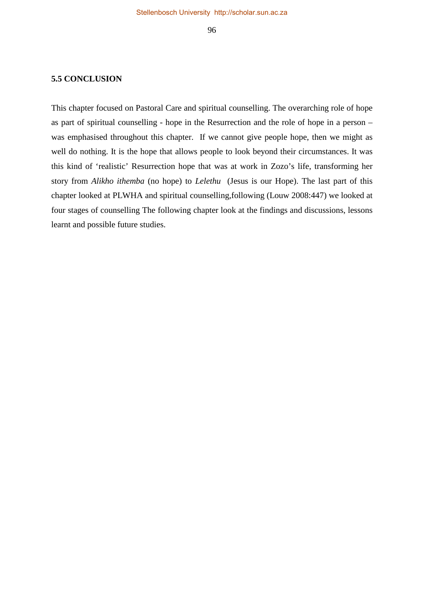### **5.5 CONCLUSION**

This chapter focused on Pastoral Care and spiritual counselling. The overarching role of hope as part of spiritual counselling - hope in the Resurrection and the role of hope in a person – was emphasised throughout this chapter. If we cannot give people hope, then we might as well do nothing. It is the hope that allows people to look beyond their circumstances. It was this kind of 'realistic' Resurrection hope that was at work in Zozo's life, transforming her story from *Alikho ithemba* (no hope) to *Lelethu* (Jesus is our Hope). The last part of this chapter looked at PLWHA and spiritual counselling,following (Louw 2008:447) we looked at four stages of counselling The following chapter look at the findings and discussions, lessons learnt and possible future studies.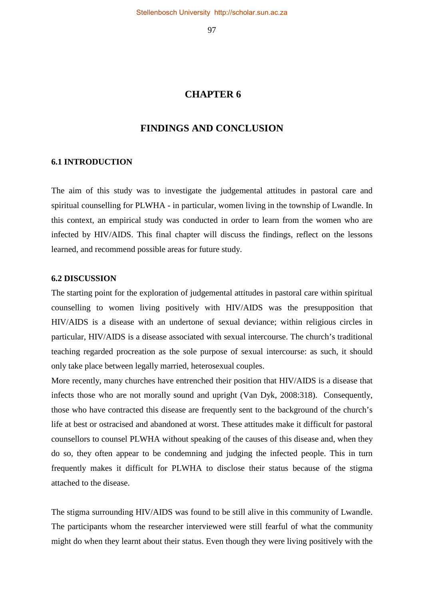## **CHAPTER 6**

## **FINDINGS AND CONCLUSION**

#### **6.1 INTRODUCTION**

The aim of this study was to investigate the judgemental attitudes in pastoral care and spiritual counselling for PLWHA - in particular, women living in the township of Lwandle. In this context, an empirical study was conducted in order to learn from the women who are infected by HIV/AIDS. This final chapter will discuss the findings, reflect on the lessons learned, and recommend possible areas for future study.

## **6.2 DISCUSSION**

The starting point for the exploration of judgemental attitudes in pastoral care within spiritual counselling to women living positively with HIV/AIDS was the presupposition that HIV/AIDS is a disease with an undertone of sexual deviance; within religious circles in particular, HIV/AIDS is a disease associated with sexual intercourse. The church's traditional teaching regarded procreation as the sole purpose of sexual intercourse: as such, it should only take place between legally married, heterosexual couples.

More recently, many churches have entrenched their position that HIV/AIDS is a disease that infects those who are not morally sound and upright (Van Dyk, 2008:318). Consequently, those who have contracted this disease are frequently sent to the background of the church's life at best or ostracised and abandoned at worst. These attitudes make it difficult for pastoral counsellors to counsel PLWHA without speaking of the causes of this disease and, when they do so, they often appear to be condemning and judging the infected people. This in turn frequently makes it difficult for PLWHA to disclose their status because of the stigma attached to the disease.

The stigma surrounding HIV/AIDS was found to be still alive in this community of Lwandle. The participants whom the researcher interviewed were still fearful of what the community might do when they learnt about their status. Even though they were living positively with the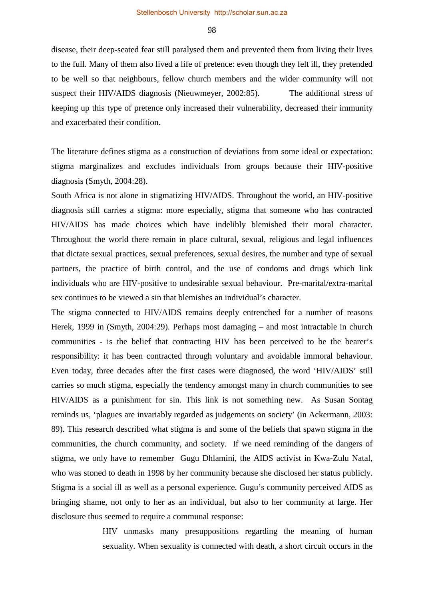disease, their deep-seated fear still paralysed them and prevented them from living their lives to the full. Many of them also lived a life of pretence: even though they felt ill, they pretended to be well so that neighbours, fellow church members and the wider community will not suspect their HIV/AIDS diagnosis (Nieuwmeyer, 2002:85). The additional stress of keeping up this type of pretence only increased their vulnerability, decreased their immunity and exacerbated their condition.

The literature defines stigma as a construction of deviations from some ideal or expectation: stigma marginalizes and excludes individuals from groups because their HIV-positive diagnosis (Smyth, 2004:28).

South Africa is not alone in stigmatizing HIV/AIDS. Throughout the world, an HIV-positive diagnosis still carries a stigma: more especially, stigma that someone who has contracted HIV/AIDS has made choices which have indelibly blemished their moral character. Throughout the world there remain in place cultural, sexual, religious and legal influences that dictate sexual practices, sexual preferences, sexual desires, the number and type of sexual partners, the practice of birth control, and the use of condoms and drugs which link individuals who are HIV-positive to undesirable sexual behaviour. Pre-marital/extra-marital sex continues to be viewed a sin that blemishes an individual's character.

The stigma connected to HIV/AIDS remains deeply entrenched for a number of reasons Herek, 1999 in (Smyth, 2004:29). Perhaps most damaging – and most intractable in church communities - is the belief that contracting HIV has been perceived to be the bearer's responsibility: it has been contracted through voluntary and avoidable immoral behaviour. Even today, three decades after the first cases were diagnosed, the word 'HIV/AIDS' still carries so much stigma, especially the tendency amongst many in church communities to see HIV/AIDS as a punishment for sin. This link is not something new. As Susan Sontag reminds us, 'plagues are invariably regarded as judgements on society' (in Ackermann, 2003: 89). This research described what stigma is and some of the beliefs that spawn stigma in the communities, the church community, and society. If we need reminding of the dangers of stigma, we only have to remember Gugu Dhlamini, the AIDS activist in Kwa-Zulu Natal, who was stoned to death in 1998 by her community because she disclosed her status publicly. Stigma is a social ill as well as a personal experience. Gugu's community perceived AIDS as bringing shame, not only to her as an individual, but also to her community at large. Her disclosure thus seemed to require a communal response:

> HIV unmasks many presuppositions regarding the meaning of human sexuality. When sexuality is connected with death, a short circuit occurs in the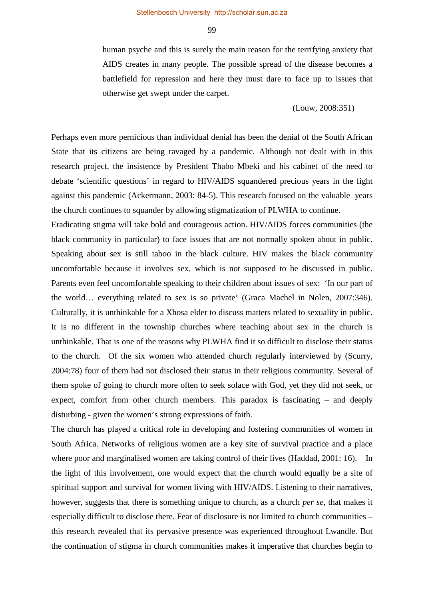human psyche and this is surely the main reason for the terrifying anxiety that AIDS creates in many people. The possible spread of the disease becomes a battlefield for repression and here they must dare to face up to issues that otherwise get swept under the carpet.

#### (Louw, 2008:351)

Perhaps even more pernicious than individual denial has been the denial of the South African State that its citizens are being ravaged by a pandemic. Although not dealt with in this research project, the insistence by President Thabo Mbeki and his cabinet of the need to debate 'scientific questions' in regard to HIV/AIDS squandered precious years in the fight against this pandemic (Ackermann, 2003: 84-5). This research focused on the valuable years the church continues to squander by allowing stigmatization of PLWHA to continue.

Eradicating stigma will take bold and courageous action. HIV/AIDS forces communities (the black community in particular) to face issues that are not normally spoken about in public. Speaking about sex is still taboo in the black culture. HIV makes the black community uncomfortable because it involves sex, which is not supposed to be discussed in public. Parents even feel uncomfortable speaking to their children about issues of sex: 'In our part of the world… everything related to sex is so private' (Graca Machel in Nolen, 2007:346). Culturally, it is unthinkable for a Xhosa elder to discuss matters related to sexuality in public. It is no different in the township churches where teaching about sex in the church is unthinkable. That is one of the reasons why PLWHA find it so difficult to disclose their status to the church. Of the six women who attended church regularly interviewed by (Scurry, 2004:78) four of them had not disclosed their status in their religious community. Several of them spoke of going to church more often to seek solace with God, yet they did not seek, or expect, comfort from other church members. This paradox is fascinating – and deeply disturbing - given the women's strong expressions of faith.

The church has played a critical role in developing and fostering communities of women in South Africa. Networks of religious women are a key site of survival practice and a place where poor and marginalised women are taking control of their lives (Haddad, 2001: 16). In the light of this involvement, one would expect that the church would equally be a site of spiritual support and survival for women living with HIV/AIDS. Listening to their narratives, however, suggests that there is something unique to church, as a church *per se*, that makes it especially difficult to disclose there. Fear of disclosure is not limited to church communities – this research revealed that its pervasive presence was experienced throughout Lwandle. But the continuation of stigma in church communities makes it imperative that churches begin to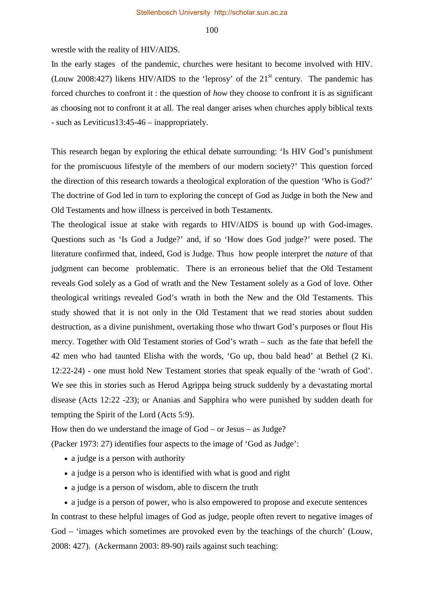wrestle with the reality of HIV/AIDS.

In the early stages of the pandemic, churches were hesitant to become involved with HIV. (Louw 2008:427) likens HIV/AIDS to the 'leprosy' of the  $21<sup>st</sup>$  century. The pandemic has forced churches to confront it : the question of *how* they choose to confront it is as significant as choosing not to confront it at all. The real danger arises when churches apply biblical texts - such as Leviticus13:45-46 – inappropriately.

This research began by exploring the ethical debate surrounding: 'Is HIV God's punishment for the promiscuous lifestyle of the members of our modern society?' This question forced the direction of this research towards a theological exploration of the question 'Who is God?' The doctrine of God led in turn to exploring the concept of God as Judge in both the New and Old Testaments and how illness is perceived in both Testaments.

The theological issue at stake with regards to HIV/AIDS is bound up with God-images. Questions such as 'Is God a Judge?' and, if so 'How does God judge?' were posed. The literature confirmed that, indeed, God is Judge. Thus how people interpret the *nature* of that judgment can become problematic. There is an erroneous belief that the Old Testament reveals God solely as a God of wrath and the New Testament solely as a God of love. Other theological writings revealed God's wrath in both the New and the Old Testaments. This study showed that it is not only in the Old Testament that we read stories about sudden destruction, as a divine punishment, overtaking those who thwart God's purposes or flout His mercy. Together with Old Testament stories of God's wrath – such as the fate that befell the 42 men who had taunted Elisha with the words, 'Go up, thou bald head' at Bethel (2 Ki. 12:22-24) - one must hold New Testament stories that speak equally of the 'wrath of God'. We see this in stories such as Herod Agrippa being struck suddenly by a devastating mortal disease (Acts 12:22 -23); or Ananias and Sapphira who were punished by sudden death for tempting the Spirit of the Lord (Acts 5:9).

How then do we understand the image of God – or Jesus – as Judge?

(Packer 1973: 27) identifies four aspects to the image of 'God as Judge':

- a judge is a person with authority
- a judge is a person who is identified with what is good and right
- a judge is a person of wisdom, able to discern the truth

• a judge is a person of power, who is also empowered to propose and execute sentences In contrast to these helpful images of God as judge, people often revert to negative images of God – 'images which sometimes are provoked even by the teachings of the church' (Louw, 2008: 427). (Ackermann 2003: 89-90) rails against such teaching: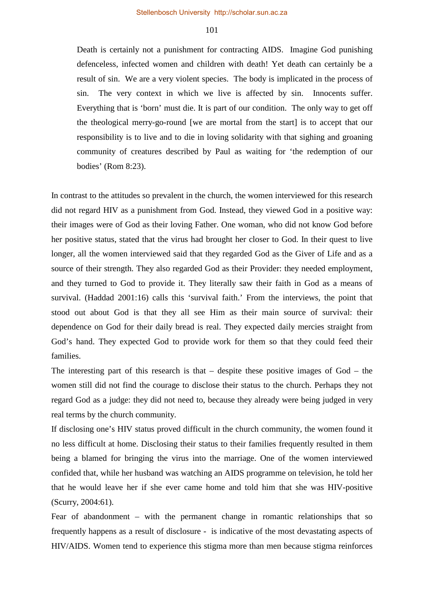Death is certainly not a punishment for contracting AIDS. Imagine God punishing defenceless, infected women and children with death! Yet death can certainly be a result of sin. We are a very violent species. The body is implicated in the process of sin. The very context in which we live is affected by sin. Innocents suffer. Everything that is 'born' must die. It is part of our condition. The only way to get off the theological merry-go-round [we are mortal from the start] is to accept that our responsibility is to live and to die in loving solidarity with that sighing and groaning community of creatures described by Paul as waiting for 'the redemption of our bodies' (Rom 8:23).

In contrast to the attitudes so prevalent in the church, the women interviewed for this research did not regard HIV as a punishment from God. Instead, they viewed God in a positive way: their images were of God as their loving Father. One woman, who did not know God before her positive status, stated that the virus had brought her closer to God. In their quest to live longer, all the women interviewed said that they regarded God as the Giver of Life and as a source of their strength. They also regarded God as their Provider: they needed employment, and they turned to God to provide it. They literally saw their faith in God as a means of survival. (Haddad 2001:16) calls this 'survival faith.' From the interviews, the point that stood out about God is that they all see Him as their main source of survival: their dependence on God for their daily bread is real. They expected daily mercies straight from God's hand. They expected God to provide work for them so that they could feed their families.

The interesting part of this research is that – despite these positive images of God – the women still did not find the courage to disclose their status to the church. Perhaps they not regard God as a judge: they did not need to, because they already were being judged in very real terms by the church community.

If disclosing one's HIV status proved difficult in the church community, the women found it no less difficult at home. Disclosing their status to their families frequently resulted in them being a blamed for bringing the virus into the marriage. One of the women interviewed confided that, while her husband was watching an AIDS programme on television, he told her that he would leave her if she ever came home and told him that she was HIV-positive (Scurry, 2004:61).

Fear of abandonment – with the permanent change in romantic relationships that so frequently happens as a result of disclosure - is indicative of the most devastating aspects of HIV/AIDS. Women tend to experience this stigma more than men because stigma reinforces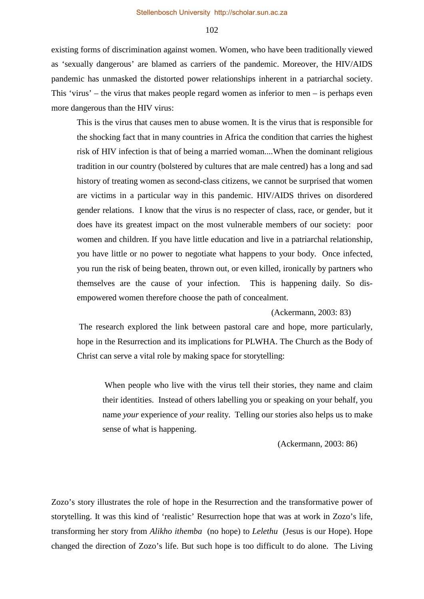existing forms of discrimination against women. Women, who have been traditionally viewed as 'sexually dangerous' are blamed as carriers of the pandemic. Moreover, the HIV/AIDS pandemic has unmasked the distorted power relationships inherent in a patriarchal society. This 'virus' – the virus that makes people regard women as inferior to men – is perhaps even more dangerous than the HIV virus:

This is the virus that causes men to abuse women. It is the virus that is responsible for the shocking fact that in many countries in Africa the condition that carries the highest risk of HIV infection is that of being a married woman....When the dominant religious tradition in our country (bolstered by cultures that are male centred) has a long and sad history of treating women as second-class citizens, we cannot be surprised that women are victims in a particular way in this pandemic. HIV/AIDS thrives on disordered gender relations. I know that the virus is no respecter of class, race, or gender, but it does have its greatest impact on the most vulnerable members of our society: poor women and children. If you have little education and live in a patriarchal relationship, you have little or no power to negotiate what happens to your body. Once infected, you run the risk of being beaten, thrown out, or even killed, ironically by partners who themselves are the cause of your infection. This is happening daily. So disempowered women therefore choose the path of concealment.

#### (Ackermann, 2003: 83)

The research explored the link between pastoral care and hope, more particularly, hope in the Resurrection and its implications for PLWHA. The Church as the Body of Christ can serve a vital role by making space for storytelling:

When people who live with the virus tell their stories, they name and claim their identities. Instead of others labelling you or speaking on your behalf, you name *your* experience of *your* reality. Telling our stories also helps us to make sense of what is happening.

#### (Ackermann, 2003: 86)

Zozo's story illustrates the role of hope in the Resurrection and the transformative power of storytelling. It was this kind of 'realistic' Resurrection hope that was at work in Zozo's life, transforming her story from *Alikho ithemba* (no hope) to *Lelethu* (Jesus is our Hope). Hope changed the direction of Zozo's life. But such hope is too difficult to do alone. The Living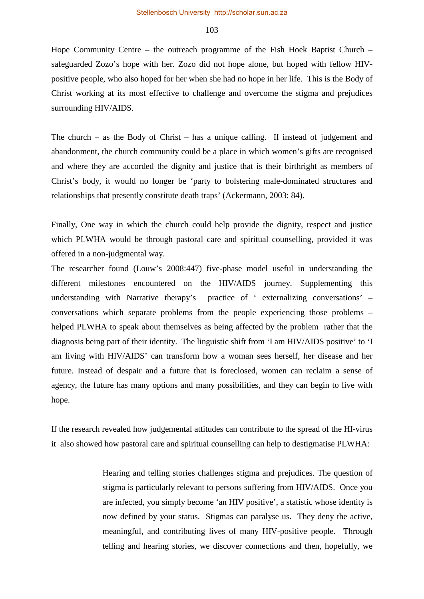Hope Community Centre – the outreach programme of the Fish Hoek Baptist Church – safeguarded Zozo's hope with her. Zozo did not hope alone, but hoped with fellow HIVpositive people, who also hoped for her when she had no hope in her life. This is the Body of Christ working at its most effective to challenge and overcome the stigma and prejudices surrounding HIV/AIDS.

The church – as the Body of Christ – has a unique calling. If instead of judgement and abandonment, the church community could be a place in which women's gifts are recognised and where they are accorded the dignity and justice that is their birthright as members of Christ's body, it would no longer be 'party to bolstering male-dominated structures and relationships that presently constitute death traps' (Ackermann, 2003: 84).

Finally, One way in which the church could help provide the dignity, respect and justice which PLWHA would be through pastoral care and spiritual counselling, provided it was offered in a non-judgmental way.

The researcher found (Louw's 2008:447) five-phase model useful in understanding the different milestones encountered on the HIV/AIDS journey. Supplementing this understanding with Narrative therapy's practice of ' externalizing conversations' – conversations which separate problems from the people experiencing those problems – helped PLWHA to speak about themselves as being affected by the problem rather that the diagnosis being part of their identity. The linguistic shift from 'I am HIV/AIDS positive' to 'I am living with HIV/AIDS' can transform how a woman sees herself, her disease and her future. Instead of despair and a future that is foreclosed, women can reclaim a sense of agency, the future has many options and many possibilities, and they can begin to live with hope.

If the research revealed how judgemental attitudes can contribute to the spread of the HI-virus it also showed how pastoral care and spiritual counselling can help to destigmatise PLWHA:

> Hearing and telling stories challenges stigma and prejudices. The question of stigma is particularly relevant to persons suffering from HIV/AIDS. Once you are infected, you simply become 'an HIV positive', a statistic whose identity is now defined by your status. Stigmas can paralyse us. They deny the active, meaningful, and contributing lives of many HIV-positive people. Through telling and hearing stories, we discover connections and then, hopefully, we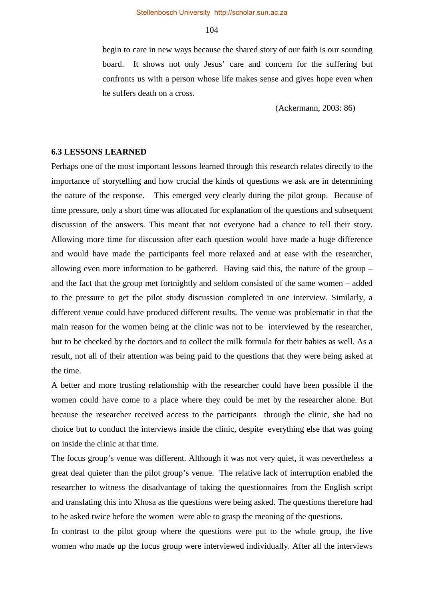begin to care in new ways because the shared story of our faith is our sounding board. It shows not only Jesus' care and concern for the suffering but confronts us with a person whose life makes sense and gives hope even when he suffers death on a cross.

(Ackermann, 2003: 86)

#### **6.3 LESSONS LEARNED**

Perhaps one of the most important lessons learned through this research relates directly to the importance of storytelling and how crucial the kinds of questions we ask are in determining the nature of the response. This emerged very clearly during the pilot group. Because of time pressure, only a short time was allocated for explanation of the questions and subsequent discussion of the answers. This meant that not everyone had a chance to tell their story. Allowing more time for discussion after each question would have made a huge difference and would have made the participants feel more relaxed and at ease with the researcher, allowing even more information to be gathered. Having said this, the nature of the group – and the fact that the group met fortnightly and seldom consisted of the same women – added to the pressure to get the pilot study discussion completed in one interview. Similarly, a different venue could have produced different results. The venue was problematic in that the main reason for the women being at the clinic was not to be interviewed by the researcher, but to be checked by the doctors and to collect the milk formula for their babies as well. As a result, not all of their attention was being paid to the questions that they were being asked at the time.

A better and more trusting relationship with the researcher could have been possible if the women could have come to a place where they could be met by the researcher alone. But because the researcher received access to the participants through the clinic, she had no choice but to conduct the interviews inside the clinic, despite everything else that was going on inside the clinic at that time.

The focus group's venue was different. Although it was not very quiet, it was nevertheless a great deal quieter than the pilot group's venue. The relative lack of interruption enabled the researcher to witness the disadvantage of taking the questionnaires from the English script and translating this into Xhosa as the questions were being asked. The questions therefore had to be asked twice before the women were able to grasp the meaning of the questions.

In contrast to the pilot group where the questions were put to the whole group, the five women who made up the focus group were interviewed individually. After all the interviews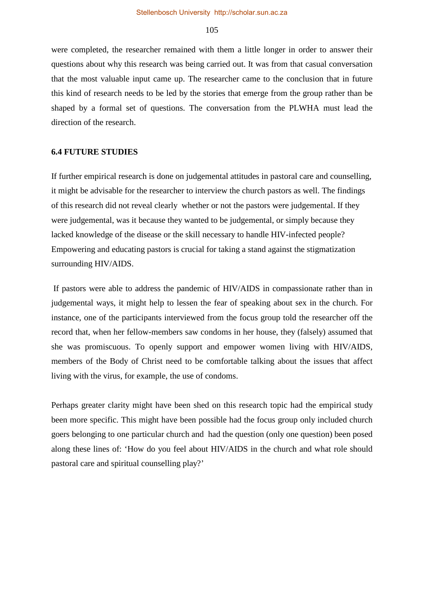were completed, the researcher remained with them a little longer in order to answer their questions about why this research was being carried out. It was from that casual conversation that the most valuable input came up. The researcher came to the conclusion that in future this kind of research needs to be led by the stories that emerge from the group rather than be shaped by a formal set of questions. The conversation from the PLWHA must lead the direction of the research.

### **6.4 FUTURE STUDIES**

If further empirical research is done on judgemental attitudes in pastoral care and counselling, it might be advisable for the researcher to interview the church pastors as well. The findings of this research did not reveal clearly whether or not the pastors were judgemental. If they were judgemental, was it because they wanted to be judgemental, or simply because they lacked knowledge of the disease or the skill necessary to handle HIV-infected people? Empowering and educating pastors is crucial for taking a stand against the stigmatization surrounding HIV/AIDS.

If pastors were able to address the pandemic of HIV/AIDS in compassionate rather than in judgemental ways, it might help to lessen the fear of speaking about sex in the church. For instance, one of the participants interviewed from the focus group told the researcher off the record that, when her fellow-members saw condoms in her house, they (falsely) assumed that she was promiscuous. To openly support and empower women living with HIV/AIDS, members of the Body of Christ need to be comfortable talking about the issues that affect living with the virus, for example, the use of condoms.

Perhaps greater clarity might have been shed on this research topic had the empirical study been more specific. This might have been possible had the focus group only included church goers belonging to one particular church and had the question (only one question) been posed along these lines of: 'How do you feel about HIV/AIDS in the church and what role should pastoral care and spiritual counselling play?'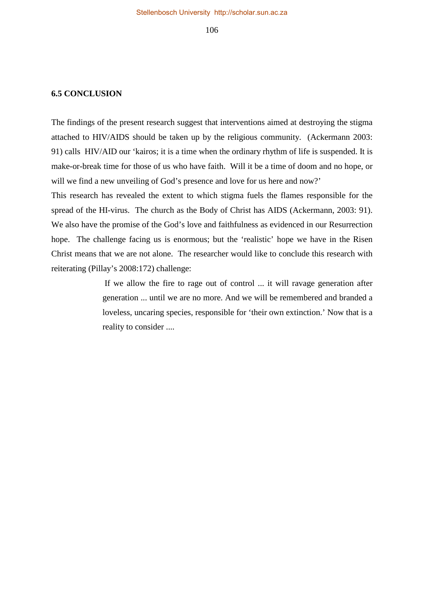#### **6.5 CONCLUSION**

The findings of the present research suggest that interventions aimed at destroying the stigma attached to HIV/AIDS should be taken up by the religious community. (Ackermann 2003: 91) calls HIV/AID our 'kairos; it is a time when the ordinary rhythm of life is suspended. It is make-or-break time for those of us who have faith. Will it be a time of doom and no hope, or will we find a new unveiling of God's presence and love for us here and now?'

This research has revealed the extent to which stigma fuels the flames responsible for the spread of the HI-virus. The church as the Body of Christ has AIDS (Ackermann, 2003: 91). We also have the promise of the God's love and faithfulness as evidenced in our Resurrection hope. The challenge facing us is enormous; but the 'realistic' hope we have in the Risen Christ means that we are not alone. The researcher would like to conclude this research with reiterating (Pillay's 2008:172) challenge:

> If we allow the fire to rage out of control ... it will ravage generation after generation ... until we are no more. And we will be remembered and branded a loveless, uncaring species, responsible for 'their own extinction.' Now that is a reality to consider ....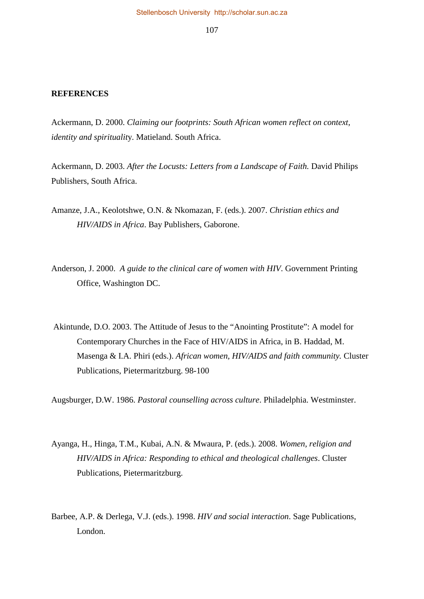#### **REFERENCES**

Ackermann, D. 2000. *Claiming our footprints: South African women reflect on context, identity and spiritualit*y. Matieland. South Africa.

Ackermann, D. 2003. *After the Locusts: Letters from a Landscape of Faith.* David Philips Publishers, South Africa.

- Amanze, J.A., Keolotshwe, O.N. & Nkomazan, F. (eds.). 2007. *Christian ethics and HIV/AIDS in Africa*. Bay Publishers, Gaborone.
- Anderson, J. 2000. *A guide to the clinical care of women with HIV*. Government Printing Office, Washington DC.
- Akintunde, D.O. 2003. The Attitude of Jesus to the "Anointing Prostitute": A model for Contemporary Churches in the Face of HIV/AIDS in Africa, in B. Haddad, M. Masenga & I.A. Phiri (eds.). *African women, HIV/AIDS and faith community.* Cluster Publications, Pietermaritzburg. 98-100

Augsburger, D.W. 1986. *Pastoral counselling across culture*. Philadelphia. Westminster.

- Ayanga, H., Hinga, T.M., Kubai, A.N. & Mwaura, P. (eds.). 2008. *Women, religion and HIV/AIDS in Africa: Responding to ethical and theological challenges*. Cluster Publications, Pietermaritzburg.
- Barbee, A.P. & Derlega, V.J. (eds.). 1998. *HIV and social interaction*. Sage Publications, London.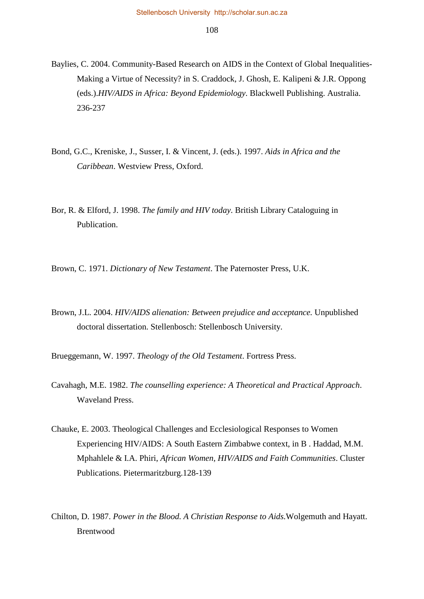- Baylies, C. 2004. Community-Based Research on AIDS in the Context of Global Inequalities-Making a Virtue of Necessity? in S. Craddock, J. Ghosh, E. Kalipeni & J.R. Oppong (eds.).*HIV/AIDS in Africa: Beyond Epidemiology*. Blackwell Publishing. Australia. 236-237
- Bond, G.C., Kreniske, J., Susser, I. & Vincent, J. (eds.). 1997. *Aids in Africa and the Caribbean*. Westview Press, Oxford.
- Bor, R. & Elford, J. 1998. *The family and HIV today*. British Library Cataloguing in Publication.
- Brown, C. 1971. *Dictionary of New Testament*. The Paternoster Press, U.K.
- Brown, J.L. 2004. *HIV/AIDS alienation: Between prejudice and acceptance.* Unpublished doctoral dissertation. Stellenbosch: Stellenbosch University.

Brueggemann, W. 1997. *Theology of the Old Testament*. Fortress Press.

- Cavahagh, M.E. 1982. *The counselling experience: A Theoretical and Practical Approach*. Waveland Press.
- Chauke, E. 2003. Theological Challenges and Ecclesiological Responses to Women Experiencing HIV/AIDS: A South Eastern Zimbabwe context, in B . Haddad, M.M. Mphahlele & I.A. Phiri, *African Women, HIV/AIDS and Faith Communities*. Cluster Publications. Pietermaritzburg.128-139
- Chilton, D. 1987. *Power in the Blood. A Christian Response to Aids.*Wolgemuth and Hayatt. Brentwood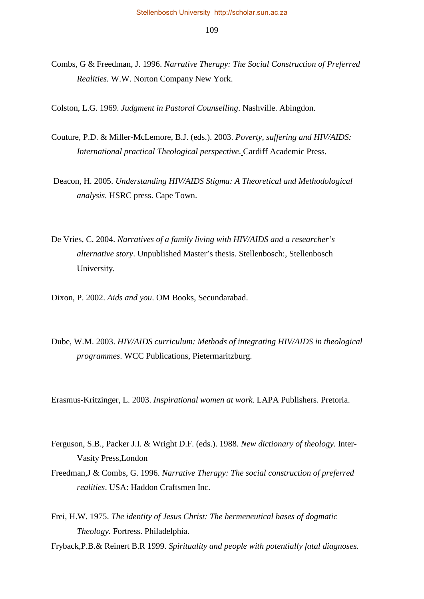Combs, G & Freedman, J. 1996. *Narrative Therapy: The Social Construction of Preferred Realities.* W.W. Norton Company New York.

Colston, L.G. 1969. *Judgment in Pastoral Counselling*. Nashville. Abingdon.

- Couture, P.D. & Miller-McLemore, B.J. (eds.). 2003. *Poverty, suffering and HIV/AIDS: International practical Theological perspective*. Cardiff Academic Press.
- Deacon, H. 2005. *Understanding HIV/AIDS Stigma: A Theoretical and Methodological analysis.* HSRC press. Cape Town.
- De Vries, C. 2004. *Narratives of a family living with HIV/AIDS and a researcher's alternative story*. Unpublished Master's thesis. Stellenbosch:, Stellenbosch University.
- Dixon, P. 2002. *Aids and you*. OM Books, Secundarabad.
- Dube, W.M. 2003. *HIV/AIDS curriculum: Methods of integrating HIV/AIDS in theological programmes*. WCC Publications, Pietermaritzburg.

Erasmus-Kritzinger, L. 2003. *Inspirational women at work.* LAPA Publishers. Pretoria.

- Ferguson, S.B., Packer J.I. & Wright D.F. (eds.). 1988. *New dictionary of theology.* Inter*-*Vasity Press*,*London
- Freedman,J & Combs, G. 1996. *Narrative Therapy: The social construction of preferred realities*. USA: Haddon Craftsmen Inc.
- Frei, H.W. 1975. *The identity of Jesus Christ: The hermeneutical bases of dogmatic Theology.* Fortress. Philadelphia.
- Fryback,P.B.& Reinert B.R 1999. *Spirituality and people with potentially fatal diagnoses.*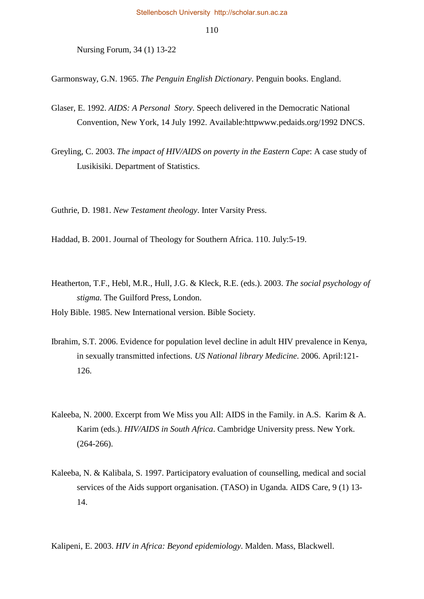Nursing Forum, 34 (1) 13-22

Garmonsway, G.N. 1965. *The Penguin English Dictionary*. Penguin books. England.

- Glaser, E. 1992. *AIDS: A Personal Story*. Speech delivered in the Democratic National Convention, New York, 14 July 1992. Available:htt[pwww.pedaids.org/1992](http://www.pedaids.org/1992) DNCS.
- Greyling, C. 2003. *The impact of HIV/AIDS on poverty in the Eastern Cape*: A case study of Lusikisiki. Department of Statistics.

Guthrie, D. 1981. *New Testament theology*. Inter Varsity Press.

Haddad, B. 2001. Journal of Theology for Southern Africa. 110. July:5-19.

Heatherton, T.F., Hebl, M.R., Hull, J.G. & Kleck, R.E. (eds.). 2003. *The social psychology of stigma.* The Guilford Press, London.

Holy Bible. 1985. New International version. Bible Society.

- Ibrahim, S.T. 2006. Evidence for population level decline in adult HIV prevalence in Kenya, in sexually transmitted infections. *US National library Medicine*. 2006. April:121- 126.
- Kaleeba, N. 2000. Excerpt from We Miss you All: AIDS in the Family. in A.S. Karim & A. Karim (eds.). *HIV/AIDS in South Africa*. Cambridge University press. New York. (264-266).
- Kaleeba, N. & Kalibala, S. 1997. Participatory evaluation of counselling, medical and social services of the Aids support organisation. (TASO) in Uganda*.* AIDS Care, 9 (1) 13- 14.

Kalipeni, E. 2003. *HIV in Africa: Beyond epidemiology*. Malden. Mass, Blackwell.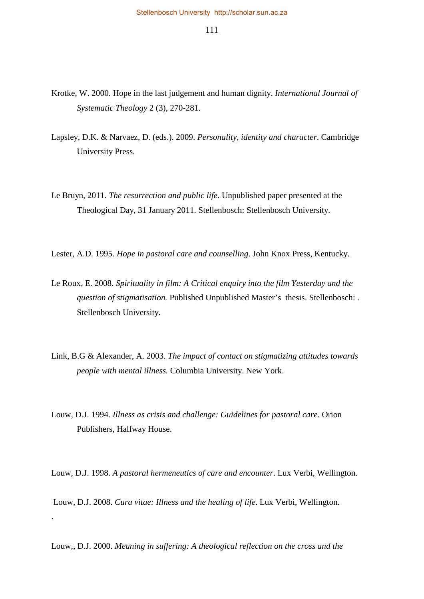- Krotke, W. 2000. Hope in the last judgement and human dignity. *International Journal of Systematic Theology* 2 (3), 270-281.
- Lapsley, D.K. & Narvaez, D. (eds.). 2009. *Personality, identity and character*. Cambridge University Press.
- Le Bruyn, 2011. *The resurrection and public life*. Unpublished paper presented at the Theological Day, 31 January 2011. Stellenbosch: Stellenbosch University.
- Lester, A.D. 1995. *Hope in pastoral care and counselling*. John Knox Press, Kentucky.
- Le Roux, E. 2008. *Spirituality in film: A Critical enquiry into the film Yesterday and the question of stigmatisation.* Published Unpublished Master's thesis. Stellenbosch: . Stellenbosch University.
- Link, B.G & Alexander, A. 2003. *The impact of contact on stigmatizing attitudes towards people with mental illness.* Columbia University. New York.
- Louw, D.J. 1994. *Illness as crisis and challenge: Guidelines for pastoral care*. Orion Publishers, Halfway House.

Louw, D.J. 1998. *A pastoral hermeneutics of care and encounter*. Lux Verbi, Wellington.

Louw, D.J. 2008. *Cura vitae: Illness and the healing of life*. Lux Verbi, Wellington.

.

Louw,, D.J. 2000. *Meaning in suffering: A theological reflection on the cross and the*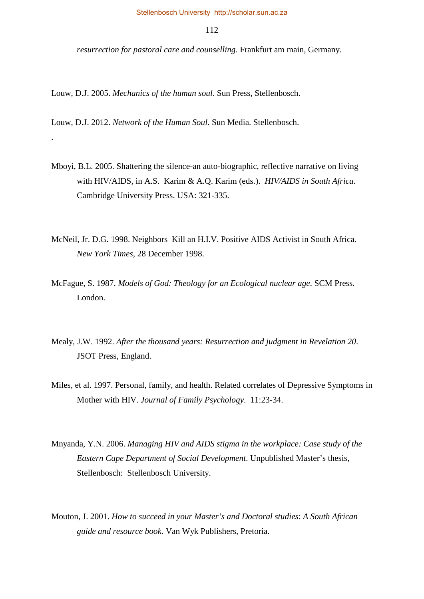*resurrection for pastoral care and counselling*. Frankfurt am main, Germany.

Louw, D.J. 2005. *Mechanics of the human soul*. Sun Press, Stellenbosch.

Louw, D.J. 2012. *Network of the Human Soul*. Sun Media. Stellenbosch.

.

- Mboyi, B.L. 2005. Shattering the silence-an auto-biographic, reflective narrative on living with HIV/AIDS*,* in A.S. Karim & A.Q. Karim (eds.). *HIV/AIDS in South Africa*. Cambridge University Press. USA: 321-335.
- McNeil, Jr. D.G. 1998. Neighbors Kill an H.I.V. Positive AIDS Activist in South Africa*. New York Times*, 28 December 1998.
- McFague, S. 1987. *Models of God: Theology for an Ecological nuclear age*. SCM Press. London.
- Mealy, J.W. 1992. *After the thousand years: Resurrection and judgment in Revelation 20*. JSOT Press, England.
- Miles, et al. 1997. Personal, family, and health. Related correlates of Depressive Symptoms in Mother with HIV. *Journal of Family Psychology*. 11:23-34.
- Mnyanda, Y.N. 2006. *Managing HIV and AIDS stigma in the workplace: Case study of the Eastern Cape Department of Social Development*. Unpublished Master's thesis, Stellenbosch: Stellenbosch University.
- Mouton, J. 2001. *How to succeed in your Master's and Doctoral studies*: *A South African guide and resource book*. Van Wyk Publishers, Pretoria.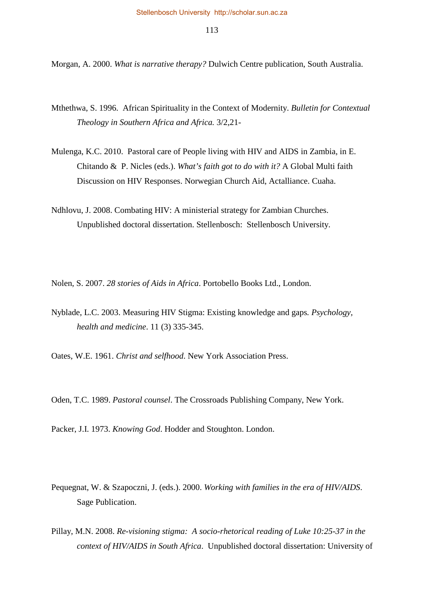Morgan, A. 2000. *What is narrative therapy?* Dulwich Centre publication, South Australia.

- Mthethwa, S. 1996. African Spirituality in the Context of Modernity. *Bulletin for Contextual Theology in Southern Africa and Africa.* 3/2,21-
- Mulenga, K.C. 2010. Pastoral care of People living with HIV and AIDS in Zambia, in E. Chitando & P. Nicles (eds.). *What's faith got to do with it?* A Global Multi faith Discussion on HIV Responses. Norwegian Church Aid, Actalliance. Cuaha.
- Ndhlovu, J. 2008. Combating HIV: A ministerial strategy for Zambian Churches. Unpublished doctoral dissertation. Stellenbosch: Stellenbosch University.

Nolen, S. 2007. *28 stories of Aids in Africa*. Portobello Books Ltd., London.

Nyblade, L.C. 2003. Measuring HIV Stigma: Existing knowledge and gaps*. Psychology, health and medicine*. 11 (3) 335-345.

Oates, W.E. 1961. *Christ and selfhood*. New York Association Press.

Oden, T.C. 1989. *Pastoral counsel*. The Crossroads Publishing Company, New York.

Packer, J.I. 1973. *Knowing God*. Hodder and Stoughton. London.

- Pequegnat, W. & Szapoczni, J. (eds.). 2000. *Working with families in the era of HIV/AIDS*. Sage Publication.
- Pillay, M.N. 2008. *Re-visioning stigma: A socio-rhetorical reading of Luke 10:25-37 in the context of HIV/AIDS in South Africa*. Unpublished doctoral dissertation: University of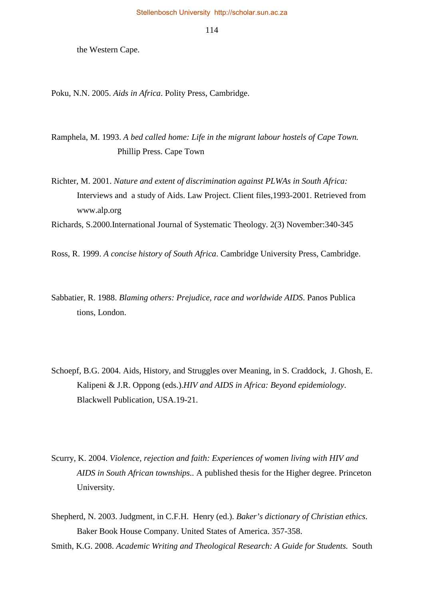the Western Cape.

Poku, N.N. 2005. *Aids in Africa*. Polity Press, Cambridge.

Ramphela, M. 1993. *A bed called home: Life in the migrant labour hostels of Cape Town.*  Phillip Press. Cape Town

Richter, M. 2001. *Nature and extent of discrimination against PLWAs in South Africa:* Interviews and a study of Aids. Law Project. Client files,1993-2001. Retrieved from [www.alp.org](http://www.alp.org/)

Richards, S.2000.International Journal of Systematic Theology. 2(3) November:340-345

Ross, R. 1999. *A concise history of South Africa*. Cambridge University Press, Cambridge.

- Sabbatier, R. 1988. *Blaming others: Prejudice, race and worldwide AIDS*. Panos Publica tions, London.
- Schoepf, B.G. 2004. Aids, History, and Struggles over Meaning, in S. Craddock, J. Ghosh, E. Kalipeni & J.R. Oppong (eds.).*HIV and AIDS in Africa: Beyond epidemiology*. Blackwell Publication, USA.19-21.
- Scurry, K. 2004. *Violence, rejection and faith: Experiences of women living with HIV and AIDS in South African townships..* A published thesis for the Higher degree. Princeton University.
- Shepherd, N. 2003. Judgment, in C.F.H. Henry (ed.). *Baker's dictionary of Christian ethics*. Baker Book House Company. United States of America. 357-358.

Smith, K.G. 2008. *Academic Writing and Theological Research: A Guide for Students.* South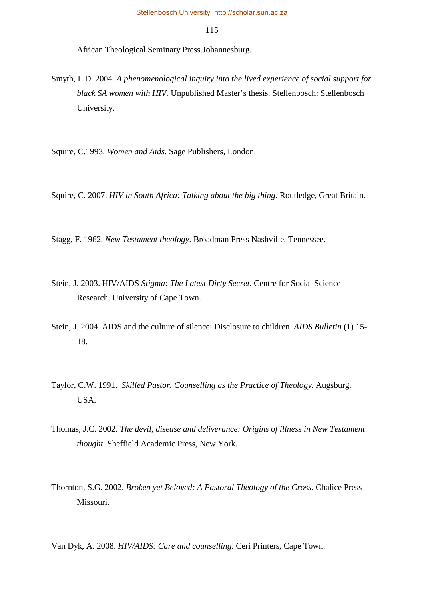African Theological Seminary Press.Johannesburg.

Smyth, L.D. 2004. *A phenomenological inquiry into the lived experience of social support for black SA women with HIV.* Unpublished Master's thesis. Stellenbosch: Stellenbosch University.

Squire, C.1993. *Women and Aids*. Sage Publishers, London.

Squire, C. 2007. *HIV in South Africa: Talking about the big thing*. Routledge, Great Britain.

Stagg, F. 1962. *New Testament theology*. Broadman Press Nashville, Tennessee.

- Stein, J. 2003. HIV/AIDS *Stigma: The Latest Dirty Secret.* Centre for Social Science Research, University of Cape Town.
- Stein, J. 2004. AIDS and the culture of silence: Disclosure to children. *AIDS Bulletin* (1) 15- 18.
- Taylor, C.W. 1991. *Skilled Pastor. Counselling as the Practice of Theology*. Augsburg. USA.
- Thomas, J.C. 2002. *The devil, disease and deliverance: Origins of illness in New Testament thought.* Sheffield Academic Press, New York.
- Thornton, S.G. 2002. *Broken yet Beloved: A Pastoral Theology of the Cross.* Chalice Press Missouri.

Van Dyk, A. 2008. *HIV/AIDS: Care and counselling*. Ceri Printers, Cape Town.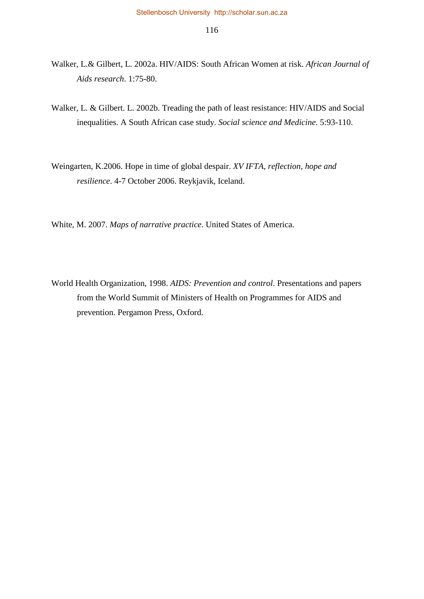- Walker, L.& Gilbert, L. 2002a. HIV/AIDS: South African Women at risk. *African Journal of Aids research*. 1:75-80.
- Walker, L. & Gilbert. L. 2002b. Treading the path of least resistance: HIV/AIDS and Social inequalities. A South African case study. *Social science and Medicine*. 5:93-110.
- Weingarten, K.2006. Hope in time of global despair. *XV IFTA, reflection, hope and resilience*. 4-7 October 2006. Reykjavik, Iceland.
- White, M. 2007. *Maps of narrative practice*. United States of America.
- World Health Organization, 1998. *AIDS: Prevention and control*. Presentations and papers from the World Summit of Ministers of Health on Programmes for AIDS and prevention. Pergamon Press, Oxford.